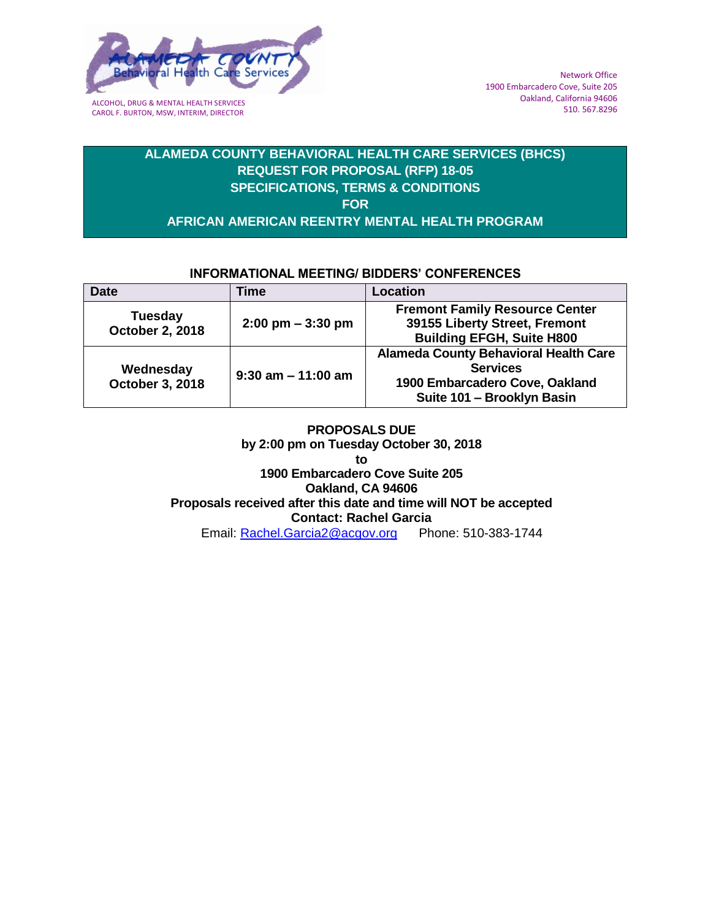

CAROL F. BURTON, MSW, INTERIM, DIRECTOR

# **ALAMEDA COUNTY BEHAVIORAL HEALTH CARE SERVICES (BHCS) REQUEST FOR PROPOSAL (RFP) 18-05 SPECIFICATIONS, TERMS & CONDITIONS FOR AFRICAN AMERICAN REENTRY MENTAL HEALTH PROGRAM**

## **INFORMATIONAL MEETING/ BIDDERS' CONFERENCES**

| <b>Date</b>                              | Time                                | <b>Location</b>                                                                                                                 |
|------------------------------------------|-------------------------------------|---------------------------------------------------------------------------------------------------------------------------------|
| <b>Tuesday</b><br><b>October 2, 2018</b> | $2:00 \text{ pm} - 3:30 \text{ pm}$ | <b>Fremont Family Resource Center</b><br>39155 Liberty Street, Fremont<br><b>Building EFGH, Suite H800</b>                      |
| Wednesday<br>October 3, 2018             | $9:30$ am $-11:00$ am               | <b>Alameda County Behavioral Health Care</b><br><b>Services</b><br>1900 Embarcadero Cove, Oakland<br>Suite 101 - Brooklyn Basin |

**PROPOSALS DUE by 2:00 pm on Tuesday October 30, 2018 to 1900 Embarcadero Cove Suite 205 Oakland, CA 94606 Proposals received after this date and time will NOT be accepted Contact: Rachel Garcia** Email: [Rachel.Garcia2@acgov.org](mailto:Rachel.Garcia2@acgov.org) Phone: 510-383-1744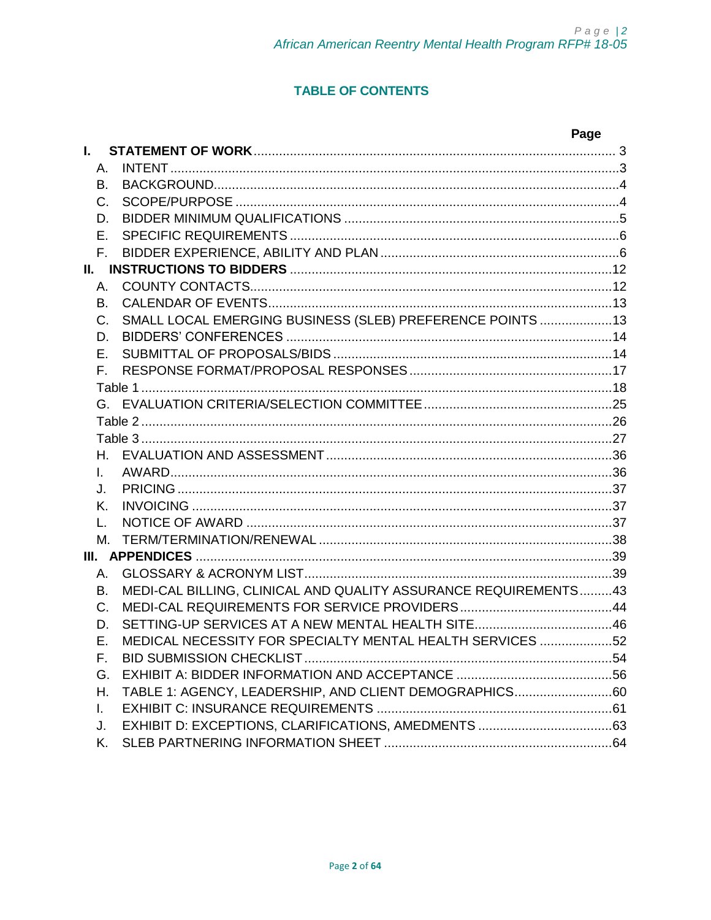# **TABLE OF CONTENTS**

|              |                                                                 | Page |
|--------------|-----------------------------------------------------------------|------|
| L.           |                                                                 |      |
| А.           |                                                                 |      |
| В.           |                                                                 |      |
| C.           |                                                                 |      |
| D.           |                                                                 |      |
| F.           |                                                                 |      |
| F.           |                                                                 |      |
|              |                                                                 |      |
| A.           |                                                                 |      |
| В.           |                                                                 |      |
| $C_{\cdot}$  | SMALL LOCAL EMERGING BUSINESS (SLEB) PREFERENCE POINTS 13       |      |
| D.           |                                                                 |      |
| F.           |                                                                 |      |
| F.           |                                                                 |      |
|              |                                                                 |      |
|              |                                                                 |      |
|              |                                                                 |      |
|              |                                                                 |      |
| H.           |                                                                 |      |
| L            |                                                                 |      |
| J.           |                                                                 |      |
| Κ.           |                                                                 |      |
| L.           |                                                                 |      |
| М.           |                                                                 |      |
|              |                                                                 |      |
| А.           |                                                                 |      |
| В.           | MEDI-CAL BILLING, CLINICAL AND QUALITY ASSURANCE REQUIREMENTS43 |      |
| C.           |                                                                 |      |
| D.           |                                                                 |      |
| Е.           | MEDICAL NECESSITY FOR SPECIALTY MENTAL HEALTH SERVICES 52       |      |
| F.           |                                                                 |      |
| G.           |                                                                 |      |
| Η.           | TABLE 1: AGENCY, LEADERSHIP, AND CLIENT DEMOGRAPHICS60          |      |
| $\mathbf{L}$ |                                                                 |      |
| J.           |                                                                 |      |
| Κ.           |                                                                 |      |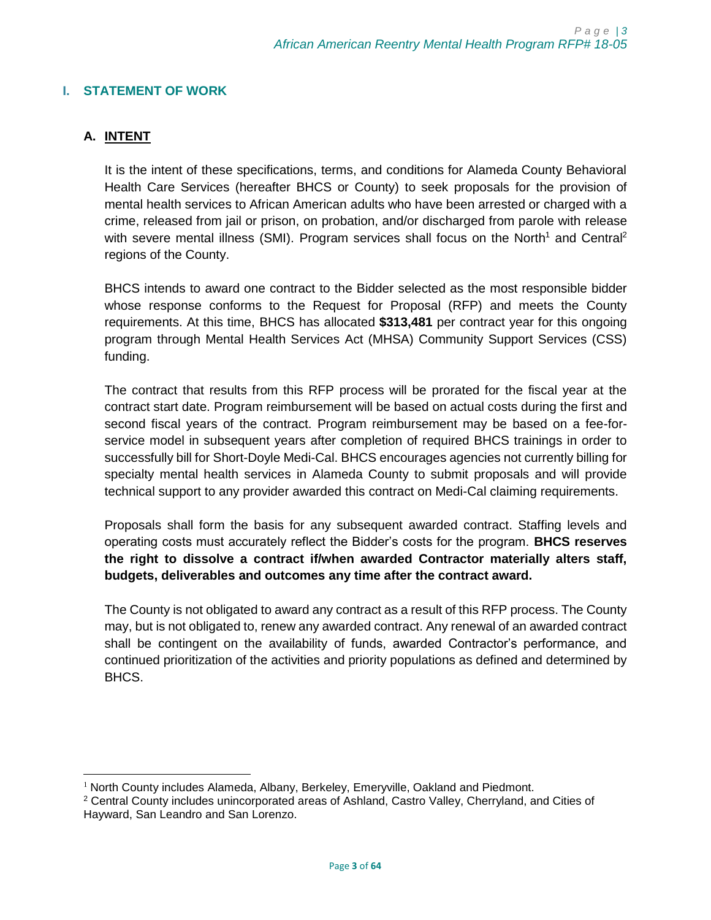## <span id="page-2-0"></span>**I. STATEMENT OF WORK**

# <span id="page-2-1"></span>**A. INTENT**

It is the intent of these specifications, terms, and conditions for Alameda County Behavioral Health Care Services (hereafter BHCS or County) to seek proposals for the provision of mental health services to African American adults who have been arrested or charged with a crime, released from jail or prison, on probation, and/or discharged from parole with release with severe mental illness (SMI). Program services shall focus on the North<sup>1</sup> and Central<sup>2</sup> regions of the County.

BHCS intends to award one contract to the Bidder selected as the most responsible bidder whose response conforms to the Request for Proposal (RFP) and meets the County requirements. At this time, BHCS has allocated **\$313,481** per contract year for this ongoing program through Mental Health Services Act (MHSA) Community Support Services (CSS) funding.

The contract that results from this RFP process will be prorated for the fiscal year at the contract start date. Program reimbursement will be based on actual costs during the first and second fiscal years of the contract. Program reimbursement may be based on a fee-forservice model in subsequent years after completion of required BHCS trainings in order to successfully bill for Short-Doyle Medi-Cal. BHCS encourages agencies not currently billing for specialty mental health services in Alameda County to submit proposals and will provide technical support to any provider awarded this contract on Medi-Cal claiming requirements.

Proposals shall form the basis for any subsequent awarded contract. Staffing levels and operating costs must accurately reflect the Bidder's costs for the program. **BHCS reserves the right to dissolve a contract if/when awarded Contractor materially alters staff, budgets, deliverables and outcomes any time after the contract award.** 

The County is not obligated to award any contract as a result of this RFP process. The County may, but is not obligated to, renew any awarded contract. Any renewal of an awarded contract shall be contingent on the availability of funds, awarded Contractor's performance, and continued prioritization of the activities and priority populations as defined and determined by BHCS.

l  $1$  North County includes Alameda, Albany, Berkeley, Emeryville, Oakland and Piedmont.

<sup>2</sup> Central County includes unincorporated areas of Ashland, Castro Valley, Cherryland, and Cities of Hayward, San Leandro and San Lorenzo.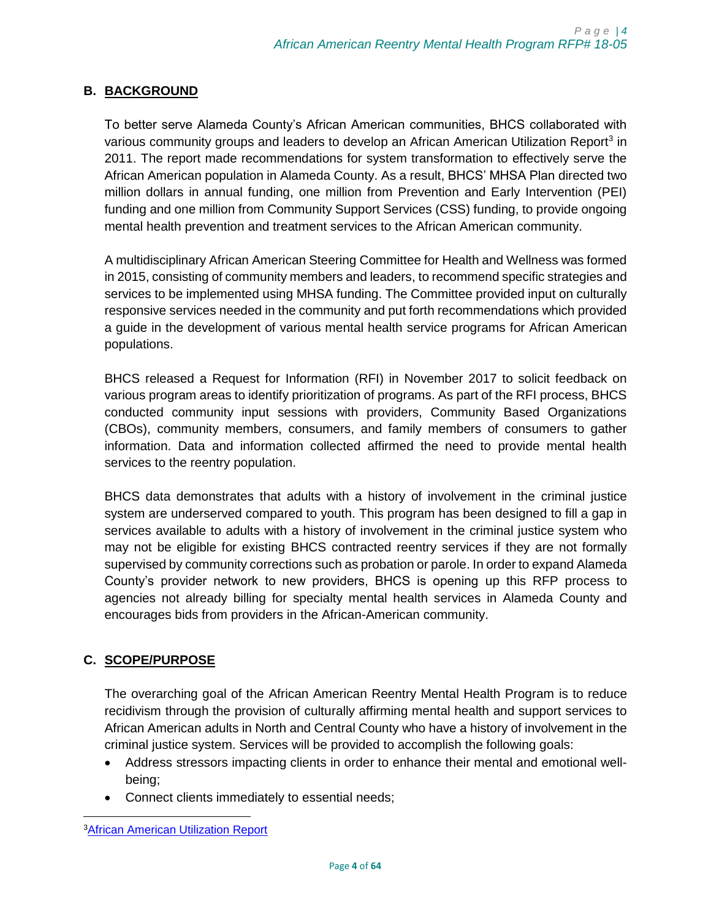# <span id="page-3-0"></span>**B. BACKGROUND**

To better serve Alameda County's African American communities, BHCS collaborated with various community groups and leaders to develop an African American Utilization Report<sup>3</sup> in 2011. The report made recommendations for system transformation to effectively serve the African American population in Alameda County. As a result, BHCS' MHSA Plan directed two million dollars in annual funding, one million from Prevention and Early Intervention (PEI) funding and one million from Community Support Services (CSS) funding, to provide ongoing mental health prevention and treatment services to the African American community.

A multidisciplinary African American Steering Committee for Health and Wellness was formed in 2015, consisting of community members and leaders, to recommend specific strategies and services to be implemented using MHSA funding. The Committee provided input on culturally responsive services needed in the community and put forth recommendations which provided a guide in the development of various mental health service programs for African American populations.

BHCS released a Request for Information (RFI) in November 2017 to solicit feedback on various program areas to identify prioritization of programs. As part of the RFI process, BHCS conducted community input sessions with providers, Community Based Organizations (CBOs), community members, consumers, and family members of consumers to gather information. Data and information collected affirmed the need to provide mental health services to the reentry population.

BHCS data demonstrates that adults with a history of involvement in the criminal justice system are underserved compared to youth. This program has been designed to fill a gap in services available to adults with a history of involvement in the criminal justice system who may not be eligible for existing BHCS contracted reentry services if they are not formally supervised by community corrections such as probation or parole. In order to expand Alameda County's provider network to new providers, BHCS is opening up this RFP process to agencies not already billing for specialty mental health services in Alameda County and encourages bids from providers in the African-American community.

# <span id="page-3-1"></span>**C. SCOPE/PURPOSE**

The overarching goal of the African American Reentry Mental Health Program is to reduce recidivism through the provision of culturally affirming mental health and support services to African American adults in North and Central County who have a history of involvement in the criminal justice system. Services will be provided to accomplish the following goals:

- Address stressors impacting clients in order to enhance their mental and emotional wellbeing;
- Connect clients immediately to essential needs;

 $\overline{\phantom{a}}$ **3[African American Utilization Report](http://www.acbhcs.org/providers/QI/docs/Alameda_African_American_Utilization_Report.pdf)**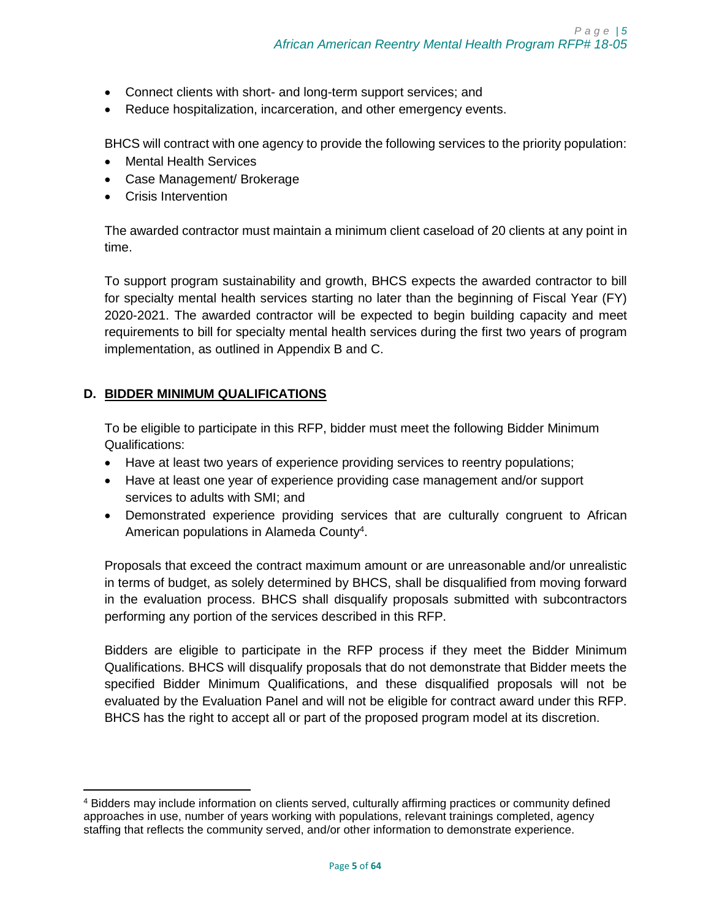- Connect clients with short- and long-term support services; and
- Reduce hospitalization, incarceration, and other emergency events.

BHCS will contract with one agency to provide the following services to the priority population:

- Mental Health Services
- Case Management/ Brokerage
- Crisis Intervention

The awarded contractor must maintain a minimum client caseload of 20 clients at any point in time.

To support program sustainability and growth, BHCS expects the awarded contractor to bill for specialty mental health services starting no later than the beginning of Fiscal Year (FY) 2020-2021. The awarded contractor will be expected to begin building capacity and meet requirements to bill for specialty mental health services during the first two years of program implementation, as outlined in Appendix B and C.

## <span id="page-4-0"></span>**D. BIDDER MINIMUM QUALIFICATIONS**

 $\overline{\phantom{a}}$ 

To be eligible to participate in this RFP, bidder must meet the following Bidder Minimum Qualifications:

- Have at least two years of experience providing services to reentry populations;
- Have at least one year of experience providing case management and/or support services to adults with SMI; and
- Demonstrated experience providing services that are culturally congruent to African American populations in Alameda County<sup>4</sup>.

Proposals that exceed the contract maximum amount or are unreasonable and/or unrealistic in terms of budget, as solely determined by BHCS, shall be disqualified from moving forward in the evaluation process. BHCS shall disqualify proposals submitted with subcontractors performing any portion of the services described in this RFP.

Bidders are eligible to participate in the RFP process if they meet the Bidder Minimum Qualifications. BHCS will disqualify proposals that do not demonstrate that Bidder meets the specified Bidder Minimum Qualifications, and these disqualified proposals will not be evaluated by the Evaluation Panel and will not be eligible for contract award under this RFP. BHCS has the right to accept all or part of the proposed program model at its discretion.

<sup>4</sup> Bidders may include information on clients served, culturally affirming practices or community defined approaches in use, number of years working with populations, relevant trainings completed, agency staffing that reflects the community served, and/or other information to demonstrate experience.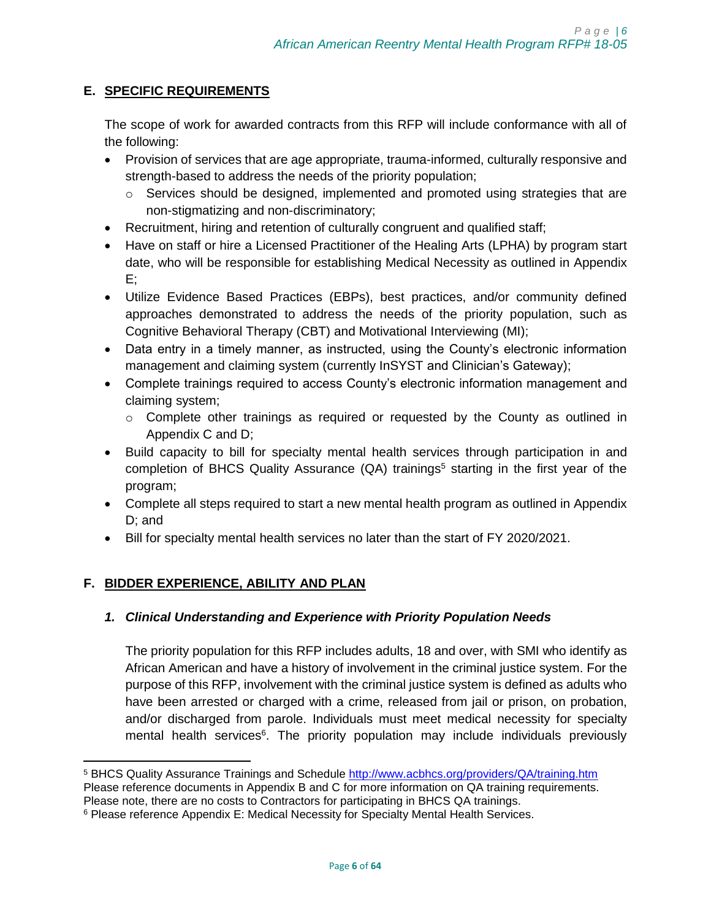# <span id="page-5-0"></span>**E. SPECIFIC REQUIREMENTS**

The scope of work for awarded contracts from this RFP will include conformance with all of the following:

- Provision of services that are age appropriate, trauma-informed, culturally responsive and strength-based to address the needs of the priority population;
	- $\circ$  Services should be designed, implemented and promoted using strategies that are non-stigmatizing and non-discriminatory;
- Recruitment, hiring and retention of culturally congruent and qualified staff;
- Have on staff or hire a Licensed Practitioner of the Healing Arts (LPHA) by program start date, who will be responsible for establishing Medical Necessity as outlined in Appendix E;
- Utilize Evidence Based Practices (EBPs), best practices, and/or community defined approaches demonstrated to address the needs of the priority population, such as Cognitive Behavioral Therapy (CBT) and Motivational Interviewing (MI);
- Data entry in a timely manner, as instructed, using the County's electronic information management and claiming system (currently InSYST and Clinician's Gateway);
- Complete trainings required to access County's electronic information management and claiming system;
	- $\circ$  Complete other trainings as required or requested by the County as outlined in Appendix C and D;
- Build capacity to bill for specialty mental health services through participation in and completion of BHCS Quality Assurance  $(QA)$  trainings<sup>5</sup> starting in the first year of the program;
- Complete all steps required to start a new mental health program as outlined in Appendix D; and
- Bill for specialty mental health services no later than the start of FY 2020/2021.

# <span id="page-5-1"></span>**F. BIDDER EXPERIENCE, ABILITY AND PLAN**

 $\overline{\phantom{a}}$ 

# *1. Clinical Understanding and Experience with Priority Population Needs*

The priority population for this RFP includes adults, 18 and over, with SMI who identify as African American and have a history of involvement in the criminal justice system. For the purpose of this RFP, involvement with the criminal justice system is defined as adults who have been arrested or charged with a crime, released from jail or prison, on probation, and/or discharged from parole. Individuals must meet medical necessity for specialty mental health services<sup>6</sup>. The priority population may include individuals previously

<sup>5</sup> BHCS Quality Assurance Trainings and Schedule<http://www.acbhcs.org/providers/QA/training.htm> Please reference documents in Appendix B and C for more information on QA training requirements.

Please note, there are no costs to Contractors for participating in BHCS QA trainings.

<sup>&</sup>lt;sup>6</sup> Please reference Appendix E: Medical Necessity for Specialty Mental Health Services.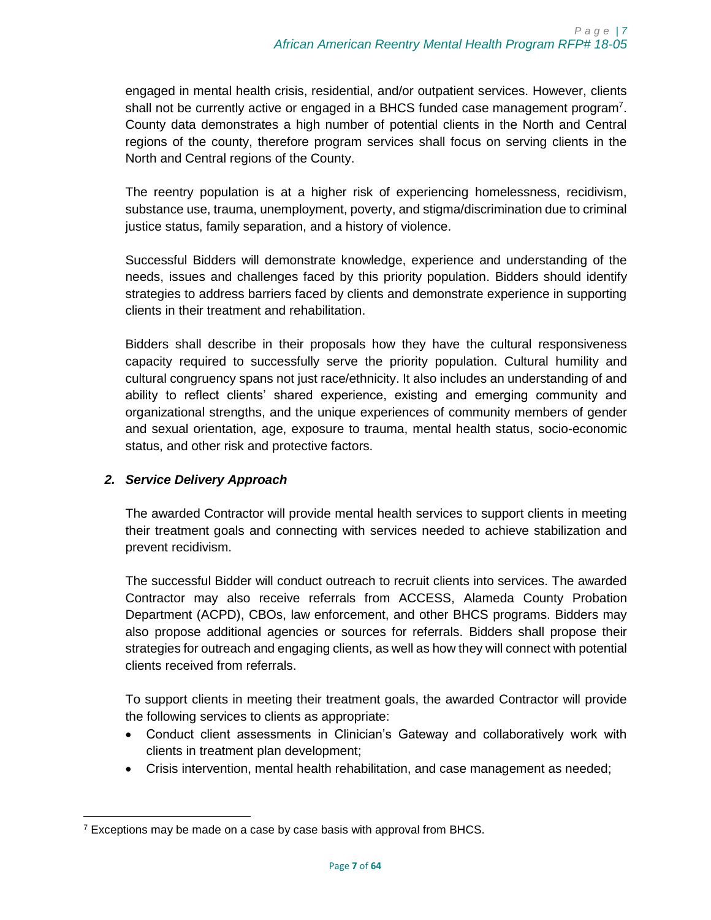engaged in mental health crisis, residential, and/or outpatient services. However, clients shall not be currently active or engaged in a BHCS funded case management program<sup>7</sup>. County data demonstrates a high number of potential clients in the North and Central regions of the county, therefore program services shall focus on serving clients in the North and Central regions of the County.

The reentry population is at a higher risk of experiencing homelessness, recidivism, substance use, trauma, unemployment, poverty, and stigma/discrimination due to criminal justice status, family separation, and a history of violence.

Successful Bidders will demonstrate knowledge, experience and understanding of the needs, issues and challenges faced by this priority population. Bidders should identify strategies to address barriers faced by clients and demonstrate experience in supporting clients in their treatment and rehabilitation.

Bidders shall describe in their proposals how they have the cultural responsiveness capacity required to successfully serve the priority population. Cultural humility and cultural congruency spans not just race/ethnicity. It also includes an understanding of and ability to reflect clients' shared experience, existing and emerging community and organizational strengths, and the unique experiences of community members of gender and sexual orientation, age, exposure to trauma, mental health status, socio-economic status, and other risk and protective factors.

## *2. Service Delivery Approach*

The awarded Contractor will provide mental health services to support clients in meeting their treatment goals and connecting with services needed to achieve stabilization and prevent recidivism.

The successful Bidder will conduct outreach to recruit clients into services. The awarded Contractor may also receive referrals from ACCESS, Alameda County Probation Department (ACPD), CBOs, law enforcement, and other BHCS programs. Bidders may also propose additional agencies or sources for referrals. Bidders shall propose their strategies for outreach and engaging clients, as well as how they will connect with potential clients received from referrals.

To support clients in meeting their treatment goals, the awarded Contractor will provide the following services to clients as appropriate:

- Conduct client assessments in Clinician's Gateway and collaboratively work with clients in treatment plan development;
- Crisis intervention, mental health rehabilitation, and case management as needed;

 $\overline{\phantom{a}}$ <sup>7</sup> Exceptions may be made on a case by case basis with approval from BHCS.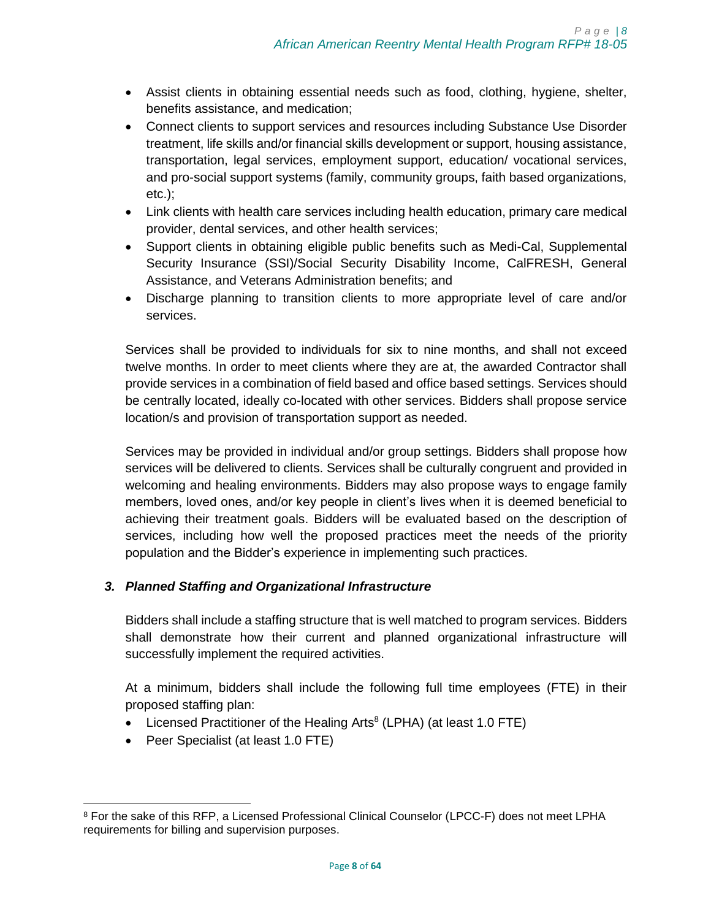- Assist clients in obtaining essential needs such as food, clothing, hygiene, shelter, benefits assistance, and medication;
- Connect clients to support services and resources including Substance Use Disorder treatment, life skills and/or financial skills development or support, housing assistance, transportation, legal services, employment support, education/ vocational services, and pro-social support systems (family, community groups, faith based organizations, etc.);
- Link clients with health care services including health education, primary care medical provider, dental services, and other health services;
- Support clients in obtaining eligible public benefits such as Medi-Cal, Supplemental Security Insurance (SSI)/Social Security Disability Income, CalFRESH, General Assistance, and Veterans Administration benefits; and
- Discharge planning to transition clients to more appropriate level of care and/or services.

Services shall be provided to individuals for six to nine months, and shall not exceed twelve months. In order to meet clients where they are at, the awarded Contractor shall provide services in a combination of field based and office based settings. Services should be centrally located, ideally co-located with other services. Bidders shall propose service location/s and provision of transportation support as needed.

Services may be provided in individual and/or group settings. Bidders shall propose how services will be delivered to clients. Services shall be culturally congruent and provided in welcoming and healing environments. Bidders may also propose ways to engage family members, loved ones, and/or key people in client's lives when it is deemed beneficial to achieving their treatment goals. Bidders will be evaluated based on the description of services, including how well the proposed practices meet the needs of the priority population and the Bidder's experience in implementing such practices.

# *3. Planned Staffing and Organizational Infrastructure*

Bidders shall include a staffing structure that is well matched to program services. Bidders shall demonstrate how their current and planned organizational infrastructure will successfully implement the required activities.

At a minimum, bidders shall include the following full time employees (FTE) in their proposed staffing plan:

- Licensed Practitioner of the Healing Arts<sup>8</sup> (LPHA) (at least 1.0 FTE)
- Peer Specialist (at least 1.0 FTE)

 $\overline{\phantom{a}}$ 

<sup>8</sup> For the sake of this RFP, a Licensed Professional Clinical Counselor (LPCC-F) does not meet LPHA requirements for billing and supervision purposes.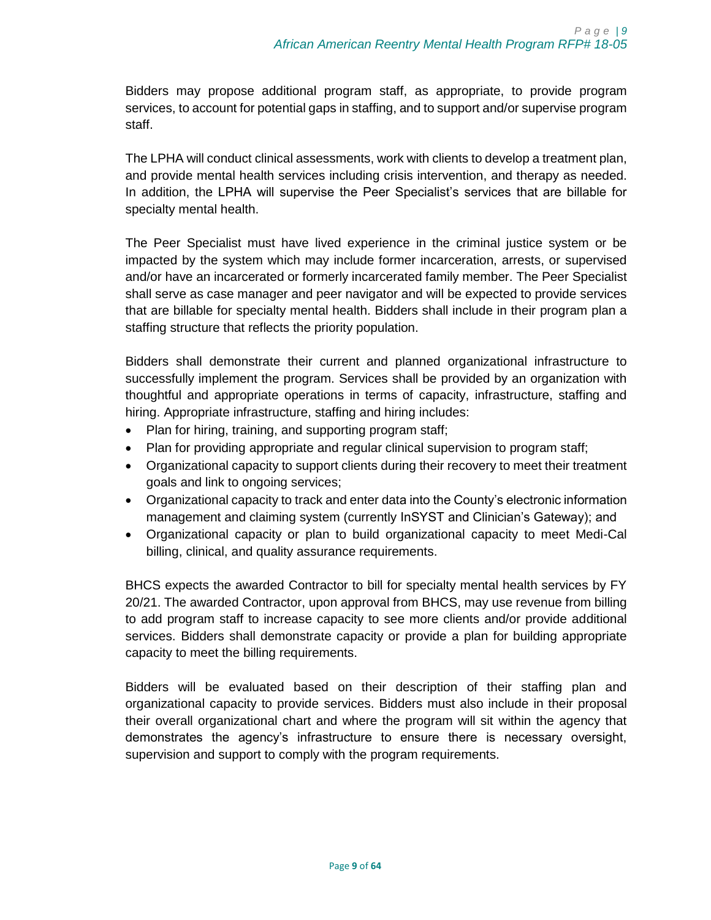Bidders may propose additional program staff, as appropriate, to provide program services, to account for potential gaps in staffing, and to support and/or supervise program staff.

The LPHA will conduct clinical assessments, work with clients to develop a treatment plan, and provide mental health services including crisis intervention, and therapy as needed. In addition, the LPHA will supervise the Peer Specialist's services that are billable for specialty mental health.

The Peer Specialist must have lived experience in the criminal justice system or be impacted by the system which may include former incarceration, arrests, or supervised and/or have an incarcerated or formerly incarcerated family member. The Peer Specialist shall serve as case manager and peer navigator and will be expected to provide services that are billable for specialty mental health. Bidders shall include in their program plan a staffing structure that reflects the priority population.

Bidders shall demonstrate their current and planned organizational infrastructure to successfully implement the program. Services shall be provided by an organization with thoughtful and appropriate operations in terms of capacity, infrastructure, staffing and hiring. Appropriate infrastructure, staffing and hiring includes:

- Plan for hiring, training, and supporting program staff;
- Plan for providing appropriate and regular clinical supervision to program staff;
- Organizational capacity to support clients during their recovery to meet their treatment goals and link to ongoing services;
- Organizational capacity to track and enter data into the County's electronic information management and claiming system (currently InSYST and Clinician's Gateway); and
- Organizational capacity or plan to build organizational capacity to meet Medi-Cal billing, clinical, and quality assurance requirements.

BHCS expects the awarded Contractor to bill for specialty mental health services by FY 20/21. The awarded Contractor, upon approval from BHCS, may use revenue from billing to add program staff to increase capacity to see more clients and/or provide additional services. Bidders shall demonstrate capacity or provide a plan for building appropriate capacity to meet the billing requirements.

Bidders will be evaluated based on their description of their staffing plan and organizational capacity to provide services. Bidders must also include in their proposal their overall organizational chart and where the program will sit within the agency that demonstrates the agency's infrastructure to ensure there is necessary oversight, supervision and support to comply with the program requirements.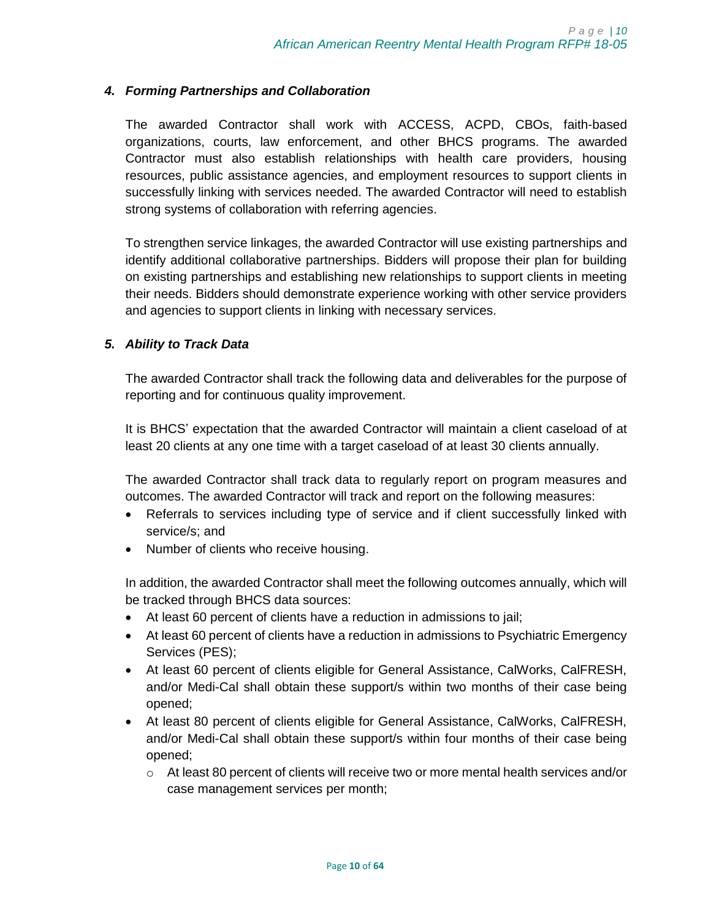## *4. Forming Partnerships and Collaboration*

The awarded Contractor shall work with ACCESS, ACPD, CBOs, faith-based organizations, courts, law enforcement, and other BHCS programs. The awarded Contractor must also establish relationships with health care providers, housing resources, public assistance agencies, and employment resources to support clients in successfully linking with services needed. The awarded Contractor will need to establish strong systems of collaboration with referring agencies.

To strengthen service linkages, the awarded Contractor will use existing partnerships and identify additional collaborative partnerships. Bidders will propose their plan for building on existing partnerships and establishing new relationships to support clients in meeting their needs. Bidders should demonstrate experience working with other service providers and agencies to support clients in linking with necessary services.

## *5. Ability to Track Data*

The awarded Contractor shall track the following data and deliverables for the purpose of reporting and for continuous quality improvement.

It is BHCS' expectation that the awarded Contractor will maintain a client caseload of at least 20 clients at any one time with a target caseload of at least 30 clients annually.

The awarded Contractor shall track data to regularly report on program measures and outcomes. The awarded Contractor will track and report on the following measures:

- Referrals to services including type of service and if client successfully linked with service/s; and
- Number of clients who receive housing.

In addition, the awarded Contractor shall meet the following outcomes annually, which will be tracked through BHCS data sources:

- At least 60 percent of clients have a reduction in admissions to jail;
- At least 60 percent of clients have a reduction in admissions to Psychiatric Emergency Services (PES);
- At least 60 percent of clients eligible for General Assistance, CalWorks, CalFRESH, and/or Medi-Cal shall obtain these support/s within two months of their case being opened;
- At least 80 percent of clients eligible for General Assistance, CalWorks, CalFRESH, and/or Medi-Cal shall obtain these support/s within four months of their case being opened;
	- $\circ$  At least 80 percent of clients will receive two or more mental health services and/or case management services per month;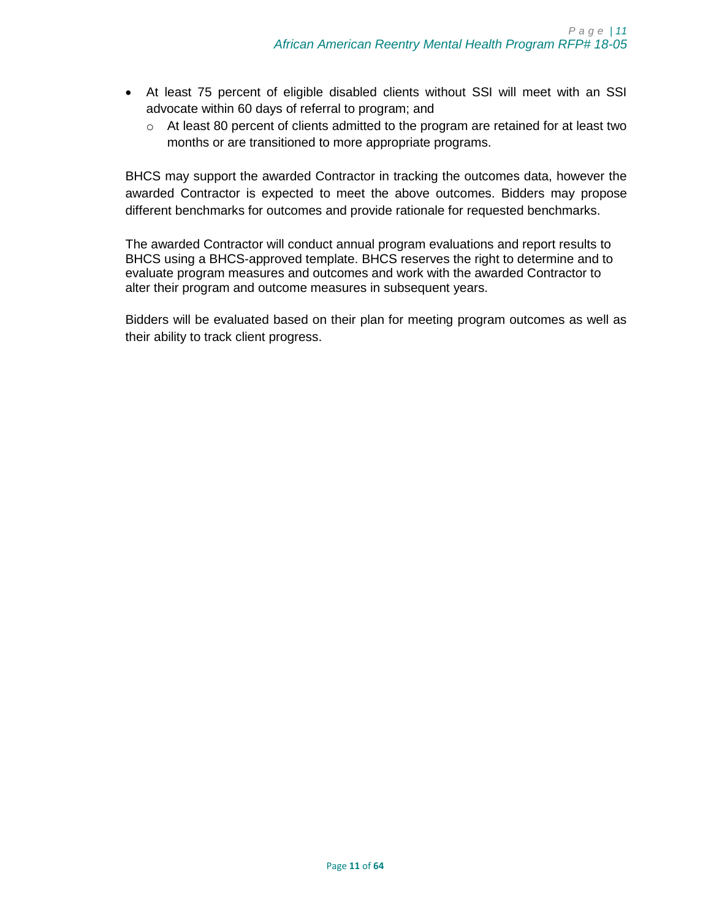- At least 75 percent of eligible disabled clients without SSI will meet with an SSI advocate within 60 days of referral to program; and
	- $\circ$  At least 80 percent of clients admitted to the program are retained for at least two months or are transitioned to more appropriate programs.

BHCS may support the awarded Contractor in tracking the outcomes data, however the awarded Contractor is expected to meet the above outcomes. Bidders may propose different benchmarks for outcomes and provide rationale for requested benchmarks.

The awarded Contractor will conduct annual program evaluations and report results to BHCS using a BHCS-approved template. BHCS reserves the right to determine and to evaluate program measures and outcomes and work with the awarded Contractor to alter their program and outcome measures in subsequent years.

Bidders will be evaluated based on their plan for meeting program outcomes as well as their ability to track client progress.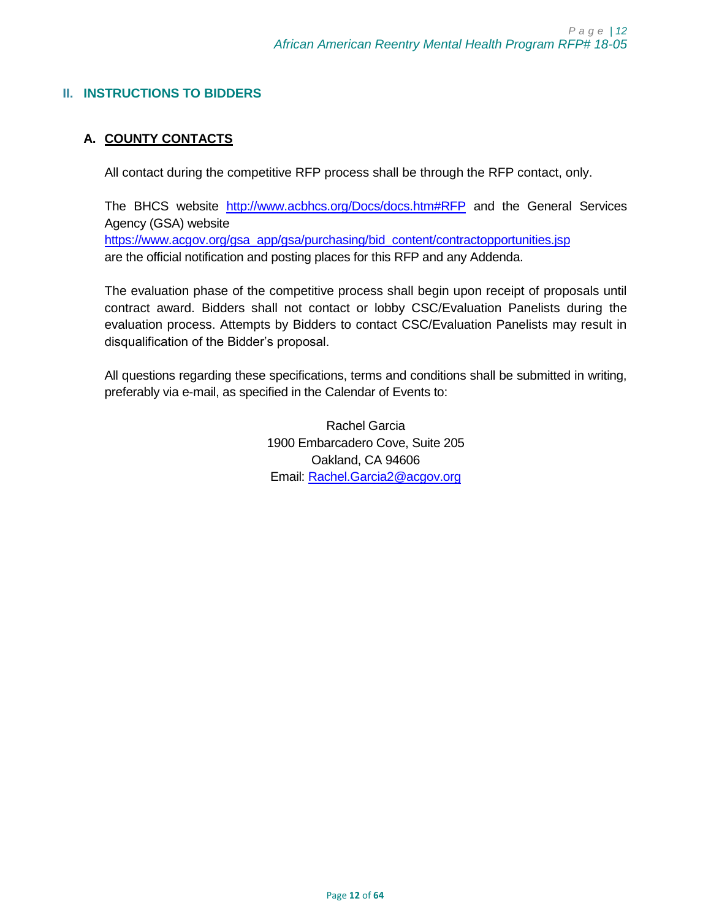## <span id="page-11-0"></span>**II. INSTRUCTIONS TO BIDDERS**

# <span id="page-11-1"></span>**A. COUNTY CONTACTS**

All contact during the competitive RFP process shall be through the RFP contact, only.

The BHCS website <http://www.acbhcs.org/Docs/docs.htm#RFP> and the General Services Agency (GSA) website [https://www.acgov.org/gsa\\_app/gsa/purchasing/bid\\_content/contractopportunities.jsp](https://www.acgov.org/gsa_app/gsa/purchasing/bid_content/contractopportunities.jsp) are the official notification and posting places for this RFP and any Addenda.

The evaluation phase of the competitive process shall begin upon receipt of proposals until contract award. Bidders shall not contact or lobby CSC/Evaluation Panelists during the evaluation process. Attempts by Bidders to contact CSC/Evaluation Panelists may result in disqualification of the Bidder's proposal.

All questions regarding these specifications, terms and conditions shall be submitted in writing, preferably via e-mail, as specified in the Calendar of Events to:

> Rachel Garcia 1900 Embarcadero Cove, Suite 205 Oakland, CA 94606 Email: [Rachel.Garcia2@acgov.org](mailto:Rachel.Garcia2@acgov.org)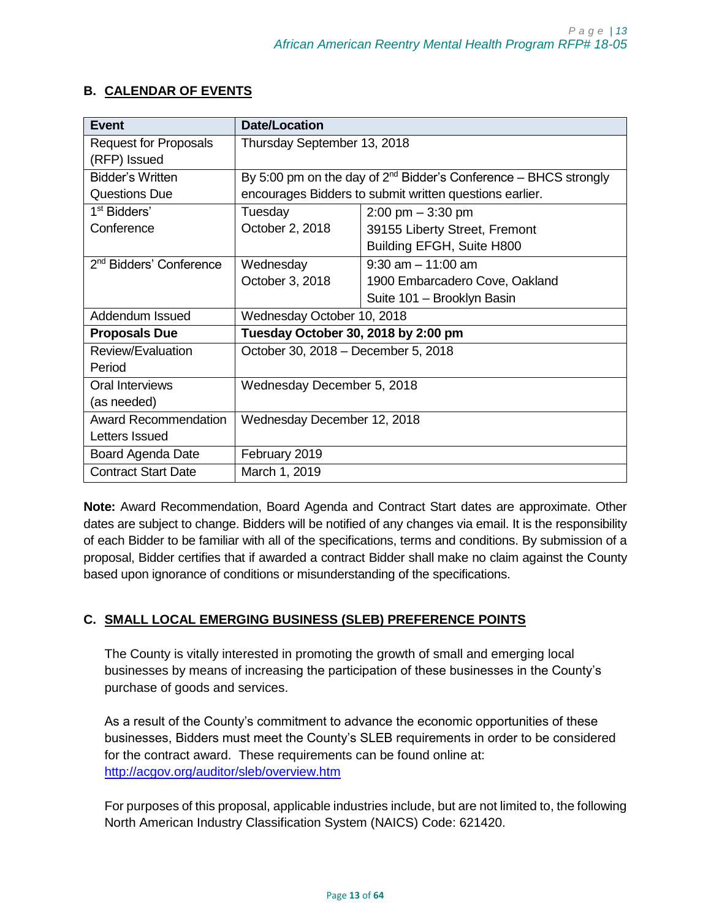# <span id="page-12-0"></span>**B. CALENDAR OF EVENTS**

| <b>Event</b>                        | <b>Date/Location</b>                |                                                                       |
|-------------------------------------|-------------------------------------|-----------------------------------------------------------------------|
| <b>Request for Proposals</b>        | Thursday September 13, 2018         |                                                                       |
| (RFP) Issued                        |                                     |                                                                       |
| Bidder's Written                    |                                     | By 5:00 pm on the day of $2^{nd}$ Bidder's Conference – BHCS strongly |
| <b>Questions Due</b>                |                                     | encourages Bidders to submit written questions earlier.               |
| 1 <sup>st</sup> Bidders'            | Tuesday                             | $2:00 \text{ pm} - 3:30 \text{ pm}$                                   |
| Conference                          | October 2, 2018                     | 39155 Liberty Street, Fremont                                         |
|                                     |                                     | Building EFGH, Suite H800                                             |
| 2 <sup>nd</sup> Bidders' Conference | Wednesday                           | $9:30$ am $-11:00$ am                                                 |
|                                     | October 3, 2018                     | 1900 Embarcadero Cove, Oakland                                        |
|                                     |                                     | Suite 101 - Brooklyn Basin                                            |
| Addendum Issued                     | Wednesday October 10, 2018          |                                                                       |
| <b>Proposals Due</b>                | Tuesday October 30, 2018 by 2:00 pm |                                                                       |
| Review/Evaluation                   | October 30, 2018 - December 5, 2018 |                                                                       |
| Period                              |                                     |                                                                       |
| Oral Interviews                     | Wednesday December 5, 2018          |                                                                       |
| (as needed)                         |                                     |                                                                       |
| <b>Award Recommendation</b>         | Wednesday December 12, 2018         |                                                                       |
| Letters Issued                      |                                     |                                                                       |
| Board Agenda Date                   | February 2019                       |                                                                       |
| <b>Contract Start Date</b>          | March 1, 2019                       |                                                                       |

**Note:** Award Recommendation, Board Agenda and Contract Start dates are approximate. Other dates are subject to change. Bidders will be notified of any changes via email. It is the responsibility of each Bidder to be familiar with all of the specifications, terms and conditions. By submission of a proposal, Bidder certifies that if awarded a contract Bidder shall make no claim against the County based upon ignorance of conditions or misunderstanding of the specifications.

# <span id="page-12-1"></span>**C. SMALL LOCAL EMERGING BUSINESS (SLEB) PREFERENCE POINTS**

The County is vitally interested in promoting the growth of small and emerging local businesses by means of increasing the participation of these businesses in the County's purchase of goods and services.

As a result of the County's commitment to advance the economic opportunities of these businesses, Bidders must meet the County's SLEB requirements in order to be considered for the contract award. These requirements can be found online at: <http://acgov.org/auditor/sleb/overview.htm>

For purposes of this proposal, applicable industries include, but are not limited to, the following North American Industry Classification System (NAICS) Code: 621420.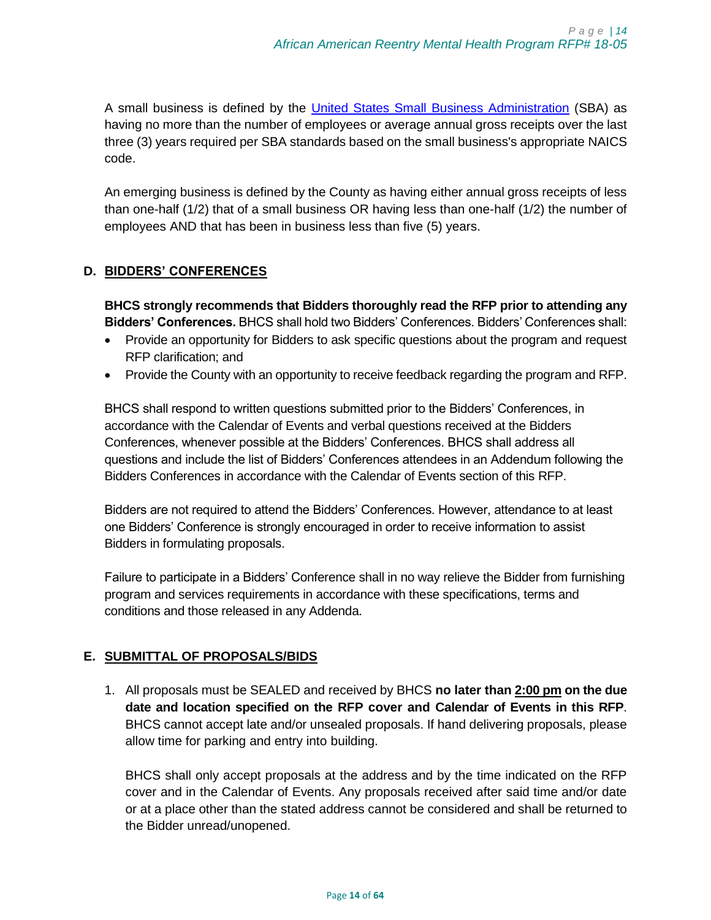A small business is defined by the [United States Small Business Administration](http://www.sba.gov/) (SBA) as having no more than the number of employees or average annual gross receipts over the last three (3) years required per SBA standards based on the small business's appropriate NAICS code.

An emerging business is defined by the County as having either annual gross receipts of less than one-half (1/2) that of a small business OR having less than one-half (1/2) the number of employees AND that has been in business less than five (5) years.

## <span id="page-13-0"></span>**D. BIDDERS' CONFERENCES**

**BHCS strongly recommends that Bidders thoroughly read the RFP prior to attending any Bidders' Conferences.** BHCS shall hold two Bidders' Conferences. Bidders' Conferences shall:

- Provide an opportunity for Bidders to ask specific questions about the program and request RFP clarification; and
- Provide the County with an opportunity to receive feedback regarding the program and RFP.

BHCS shall respond to written questions submitted prior to the Bidders' Conferences, in accordance with the Calendar of Events and verbal questions received at the Bidders Conferences, whenever possible at the Bidders' Conferences. BHCS shall address all questions and include the list of Bidders' Conferences attendees in an Addendum following the Bidders Conferences in accordance with the Calendar of Events section of this RFP.

Bidders are not required to attend the Bidders' Conferences. However, attendance to at least one Bidders' Conference is strongly encouraged in order to receive information to assist Bidders in formulating proposals.

Failure to participate in a Bidders' Conference shall in no way relieve the Bidder from furnishing program and services requirements in accordance with these specifications, terms and conditions and those released in any Addenda.

# <span id="page-13-1"></span>**E. SUBMITTAL OF PROPOSALS/BIDS**

1. All proposals must be SEALED and received by BHCS **no later than 2:00 pm on the due date and location specified on the RFP cover and Calendar of Events in this RFP**. BHCS cannot accept late and/or unsealed proposals. If hand delivering proposals, please allow time for parking and entry into building.

BHCS shall only accept proposals at the address and by the time indicated on the RFP cover and in the Calendar of Events. Any proposals received after said time and/or date or at a place other than the stated address cannot be considered and shall be returned to the Bidder unread/unopened.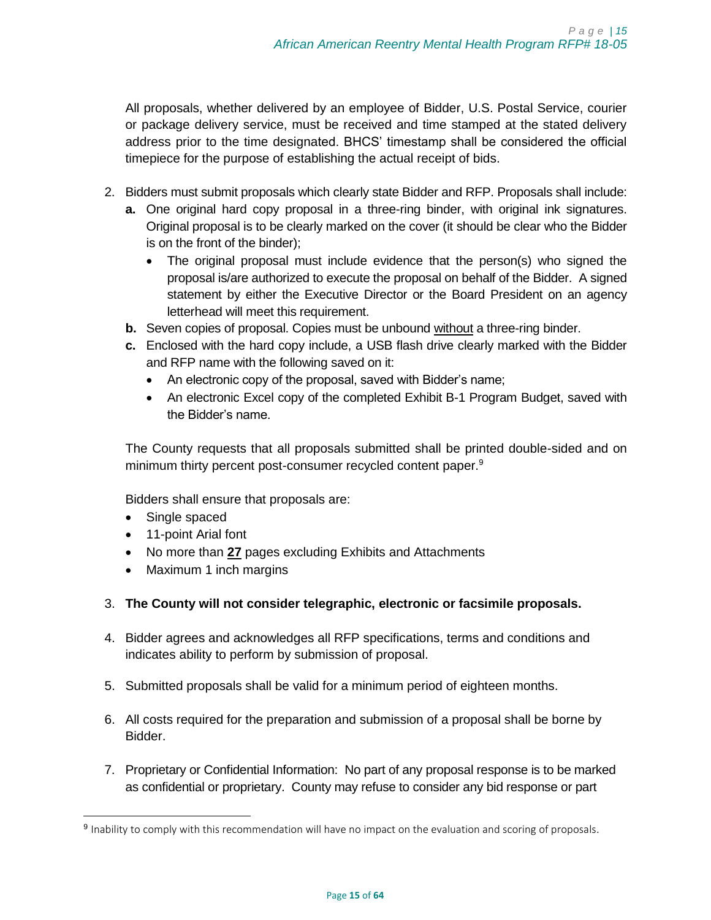All proposals, whether delivered by an employee of Bidder, U.S. Postal Service, courier or package delivery service, must be received and time stamped at the stated delivery address prior to the time designated. BHCS' timestamp shall be considered the official timepiece for the purpose of establishing the actual receipt of bids.

- 2. Bidders must submit proposals which clearly state Bidder and RFP. Proposals shall include:
	- **a.** One original hard copy proposal in a three-ring binder, with original ink signatures. Original proposal is to be clearly marked on the cover (it should be clear who the Bidder is on the front of the binder);
		- The original proposal must include evidence that the person(s) who signed the proposal is/are authorized to execute the proposal on behalf of the Bidder. A signed statement by either the Executive Director or the Board President on an agency letterhead will meet this requirement.
	- **b.** Seven copies of proposal. Copies must be unbound without a three-ring binder.
	- **c.** Enclosed with the hard copy include, a USB flash drive clearly marked with the Bidder and RFP name with the following saved on it:
		- An electronic copy of the proposal, saved with Bidder's name;
		- An electronic Excel copy of the completed Exhibit B-1 Program Budget, saved with the Bidder's name.

The County requests that all proposals submitted shall be printed double-sided and on minimum thirty percent post-consumer recycled content paper.<sup>9</sup>

Bidders shall ensure that proposals are:

• Single spaced

 $\overline{\phantom{a}}$ 

- 11-point Arial font
- No more than **27** pages excluding Exhibits and Attachments
- Maximum 1 inch margins
- 3. **The County will not consider telegraphic, electronic or facsimile proposals.**
- 4. Bidder agrees and acknowledges all RFP specifications, terms and conditions and indicates ability to perform by submission of proposal.
- 5. Submitted proposals shall be valid for a minimum period of eighteen months.
- 6. All costs required for the preparation and submission of a proposal shall be borne by Bidder.
- 7. Proprietary or Confidential Information: No part of any proposal response is to be marked as confidential or proprietary. County may refuse to consider any bid response or part

<sup>&</sup>lt;sup>9</sup> Inability to comply with this recommendation will have no impact on the evaluation and scoring of proposals.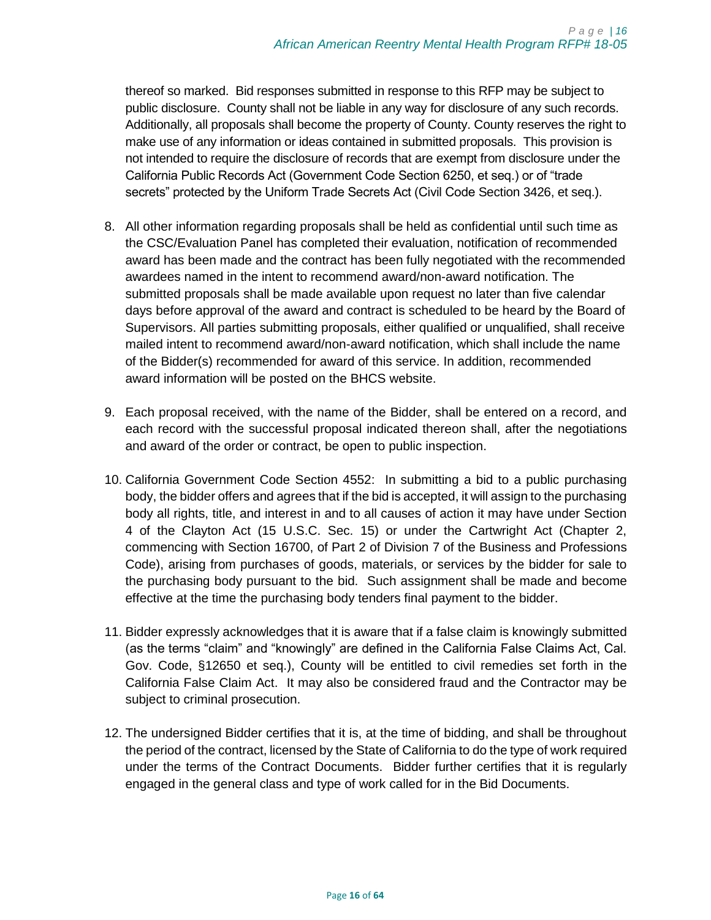thereof so marked. Bid responses submitted in response to this RFP may be subject to public disclosure. County shall not be liable in any way for disclosure of any such records. Additionally, all proposals shall become the property of County. County reserves the right to make use of any information or ideas contained in submitted proposals. This provision is not intended to require the disclosure of records that are exempt from disclosure under the California Public Records Act (Government Code Section 6250, et seq.) or of "trade secrets" protected by the Uniform Trade Secrets Act (Civil Code Section 3426, et seq.).

- 8. All other information regarding proposals shall be held as confidential until such time as the CSC/Evaluation Panel has completed their evaluation, notification of recommended award has been made and the contract has been fully negotiated with the recommended awardees named in the intent to recommend award/non-award notification. The submitted proposals shall be made available upon request no later than five calendar days before approval of the award and contract is scheduled to be heard by the Board of Supervisors. All parties submitting proposals, either qualified or unqualified, shall receive mailed intent to recommend award/non-award notification, which shall include the name of the Bidder(s) recommended for award of this service. In addition, recommended award information will be posted on the BHCS website.
- 9. Each proposal received, with the name of the Bidder, shall be entered on a record, and each record with the successful proposal indicated thereon shall, after the negotiations and award of the order or contract, be open to public inspection.
- 10. California Government Code Section 4552: In submitting a bid to a public purchasing body, the bidder offers and agrees that if the bid is accepted, it will assign to the purchasing body all rights, title, and interest in and to all causes of action it may have under Section 4 of the Clayton Act (15 U.S.C. Sec. 15) or under the Cartwright Act (Chapter 2, commencing with Section 16700, of Part 2 of Division 7 of the Business and Professions Code), arising from purchases of goods, materials, or services by the bidder for sale to the purchasing body pursuant to the bid. Such assignment shall be made and become effective at the time the purchasing body tenders final payment to the bidder.
- 11. Bidder expressly acknowledges that it is aware that if a false claim is knowingly submitted (as the terms "claim" and "knowingly" are defined in the California False Claims Act, Cal. Gov. Code, §12650 et seq.), County will be entitled to civil remedies set forth in the California False Claim Act. It may also be considered fraud and the Contractor may be subject to criminal prosecution.
- 12. The undersigned Bidder certifies that it is, at the time of bidding, and shall be throughout the period of the contract, licensed by the State of California to do the type of work required under the terms of the Contract Documents. Bidder further certifies that it is regularly engaged in the general class and type of work called for in the Bid Documents.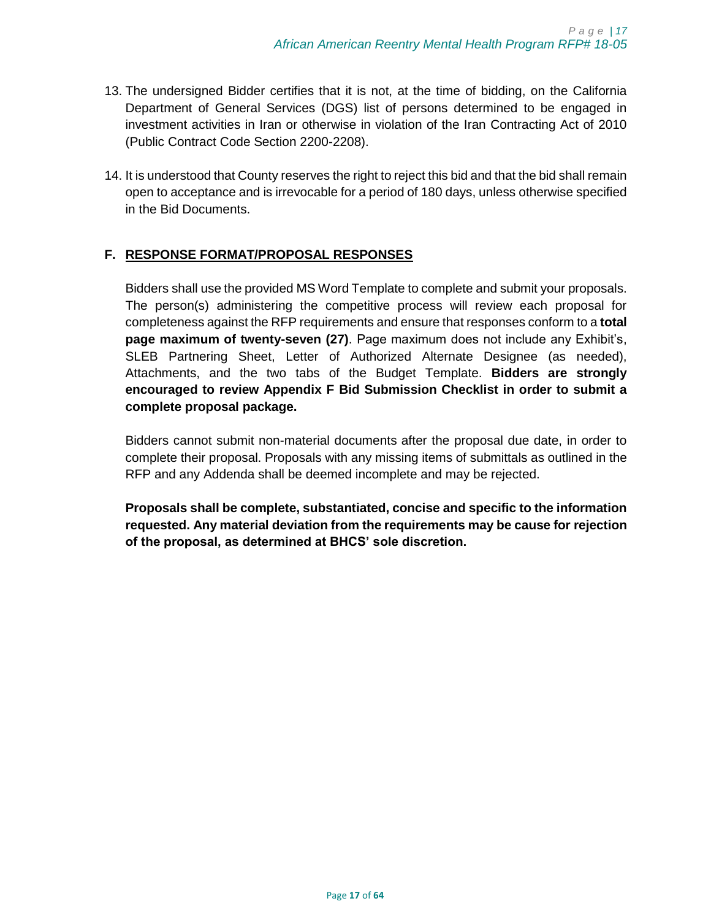- 13. The undersigned Bidder certifies that it is not, at the time of bidding, on the California Department of General Services (DGS) list of persons determined to be engaged in investment activities in Iran or otherwise in violation of the Iran Contracting Act of 2010 (Public Contract Code Section 2200-2208).
- 14. It is understood that County reserves the right to reject this bid and that the bid shall remain open to acceptance and is irrevocable for a period of 180 days, unless otherwise specified in the Bid Documents.

# <span id="page-16-0"></span>**F. RESPONSE FORMAT/PROPOSAL RESPONSES**

Bidders shall use the provided MS Word Template to complete and submit your proposals. The person(s) administering the competitive process will review each proposal for completeness against the RFP requirements and ensure that responses conform to a **total page maximum of twenty-seven (27)**. Page maximum does not include any Exhibit's, SLEB Partnering Sheet, Letter of Authorized Alternate Designee (as needed), Attachments, and the two tabs of the Budget Template. **Bidders are strongly encouraged to review Appendix F Bid Submission Checklist in order to submit a complete proposal package.** 

Bidders cannot submit non-material documents after the proposal due date, in order to complete their proposal. Proposals with any missing items of submittals as outlined in the RFP and any Addenda shall be deemed incomplete and may be rejected.

**Proposals shall be complete, substantiated, concise and specific to the information requested. Any material deviation from the requirements may be cause for rejection of the proposal, as determined at BHCS' sole discretion.**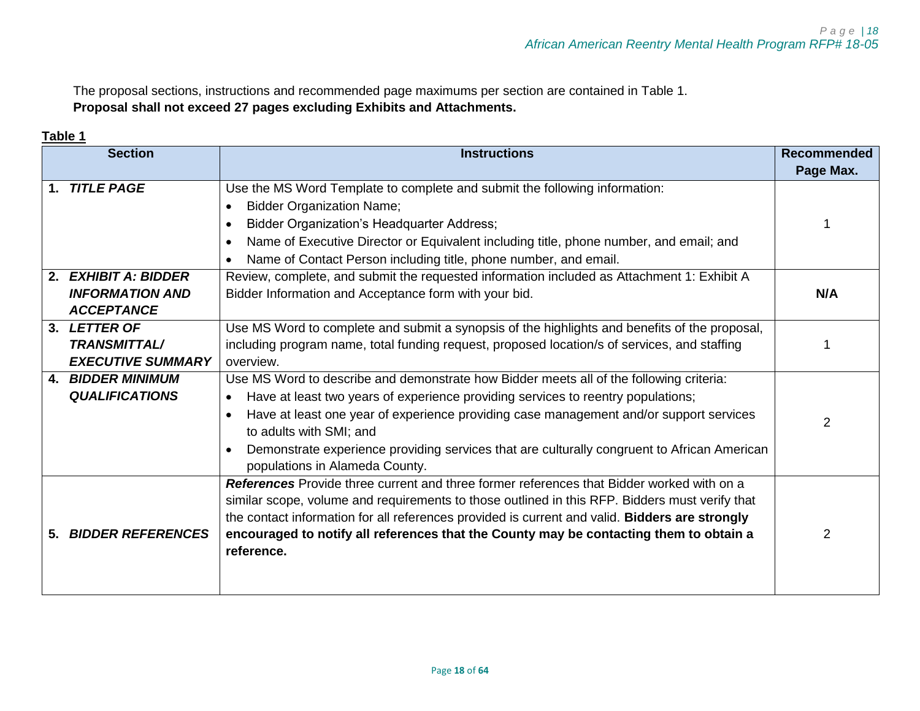The proposal sections, instructions and recommended page maximums per section are contained in Table 1. **Proposal shall not exceed 27 pages excluding Exhibits and Attachments.** 

## **Table 1**

<span id="page-17-0"></span>

| <b>Section</b> |                          | <b>Instructions</b>                                                                                      |           |
|----------------|--------------------------|----------------------------------------------------------------------------------------------------------|-----------|
|                |                          |                                                                                                          | Page Max. |
| 1.             | <b>TITLE PAGE</b>        | Use the MS Word Template to complete and submit the following information:                               |           |
|                |                          | <b>Bidder Organization Name;</b>                                                                         |           |
|                |                          | <b>Bidder Organization's Headquarter Address;</b>                                                        |           |
|                |                          | Name of Executive Director or Equivalent including title, phone number, and email; and                   |           |
|                |                          | Name of Contact Person including title, phone number, and email.                                         |           |
| 2.             | <b>EXHIBIT A: BIDDER</b> | Review, complete, and submit the requested information included as Attachment 1: Exhibit A               |           |
|                | <b>INFORMATION AND</b>   | Bidder Information and Acceptance form with your bid.                                                    | N/A       |
|                | <b>ACCEPTANCE</b>        |                                                                                                          |           |
|                | 3. LETTER OF             | Use MS Word to complete and submit a synopsis of the highlights and benefits of the proposal,            |           |
|                | <b>TRANSMITTAL/</b>      | including program name, total funding request, proposed location/s of services, and staffing             |           |
|                | <b>EXECUTIVE SUMMARY</b> | overview.                                                                                                |           |
|                | <b>4. BIDDER MINIMUM</b> | Use MS Word to describe and demonstrate how Bidder meets all of the following criteria:                  |           |
|                | <b>QUALIFICATIONS</b>    | Have at least two years of experience providing services to reentry populations;                         |           |
|                |                          | Have at least one year of experience providing case management and/or support services                   | 2         |
|                |                          | to adults with SMI; and                                                                                  |           |
|                |                          | Demonstrate experience providing services that are culturally congruent to African American<br>$\bullet$ |           |
|                |                          | populations in Alameda County.                                                                           |           |
|                |                          | References Provide three current and three former references that Bidder worked with on a                |           |
|                |                          | similar scope, volume and requirements to those outlined in this RFP. Bidders must verify that           |           |
|                |                          | the contact information for all references provided is current and valid. Bidders are strongly           |           |
|                | 5. BIDDER REFERENCES     | encouraged to notify all references that the County may be contacting them to obtain a                   | 2         |
|                |                          | reference.                                                                                               |           |
|                |                          |                                                                                                          |           |
|                |                          |                                                                                                          |           |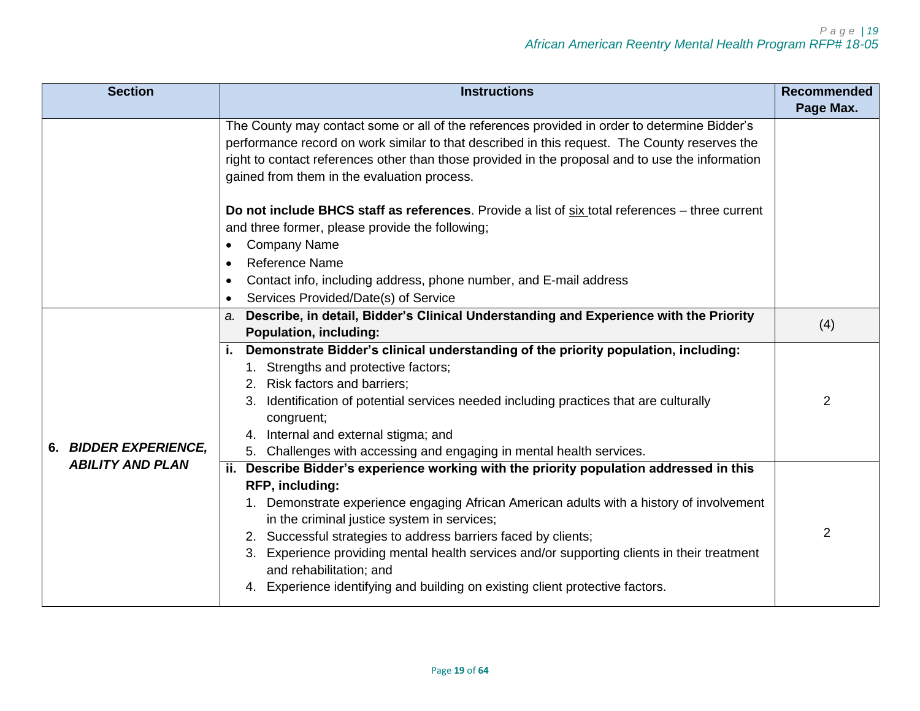| <b>Section</b>          | <b>Instructions</b>                                                                                                                                                                                                                                                                                                                                                                                                                                                                                                                | <b>Recommended</b> |
|-------------------------|------------------------------------------------------------------------------------------------------------------------------------------------------------------------------------------------------------------------------------------------------------------------------------------------------------------------------------------------------------------------------------------------------------------------------------------------------------------------------------------------------------------------------------|--------------------|
|                         |                                                                                                                                                                                                                                                                                                                                                                                                                                                                                                                                    | Page Max.          |
|                         | The County may contact some or all of the references provided in order to determine Bidder's<br>performance record on work similar to that described in this request. The County reserves the<br>right to contact references other than those provided in the proposal and to use the information<br>gained from them in the evaluation process.                                                                                                                                                                                   |                    |
|                         | Do not include BHCS staff as references. Provide a list of six total references – three current<br>and three former, please provide the following;                                                                                                                                                                                                                                                                                                                                                                                 |                    |
|                         | <b>Company Name</b>                                                                                                                                                                                                                                                                                                                                                                                                                                                                                                                |                    |
|                         | <b>Reference Name</b><br>$\bullet$<br>Contact info, including address, phone number, and E-mail address<br>$\bullet$<br>Services Provided/Date(s) of Service                                                                                                                                                                                                                                                                                                                                                                       |                    |
|                         | a. Describe, in detail, Bidder's Clinical Understanding and Experience with the Priority<br><b>Population, including:</b>                                                                                                                                                                                                                                                                                                                                                                                                          | (4)                |
| 6. BIDDER EXPERIENCE,   | Demonstrate Bidder's clinical understanding of the priority population, including:<br>Ť.<br>1. Strengths and protective factors;<br>2. Risk factors and barriers;<br>Identification of potential services needed including practices that are culturally<br>congruent;<br>Internal and external stigma; and<br>5. Challenges with accessing and engaging in mental health services.                                                                                                                                                | 2                  |
| <b>ABILITY AND PLAN</b> | ii. Describe Bidder's experience working with the priority population addressed in this<br>RFP, including:<br>1. Demonstrate experience engaging African American adults with a history of involvement<br>in the criminal justice system in services;<br>2. Successful strategies to address barriers faced by clients;<br>3. Experience providing mental health services and/or supporting clients in their treatment<br>and rehabilitation; and<br>4. Experience identifying and building on existing client protective factors. | 2                  |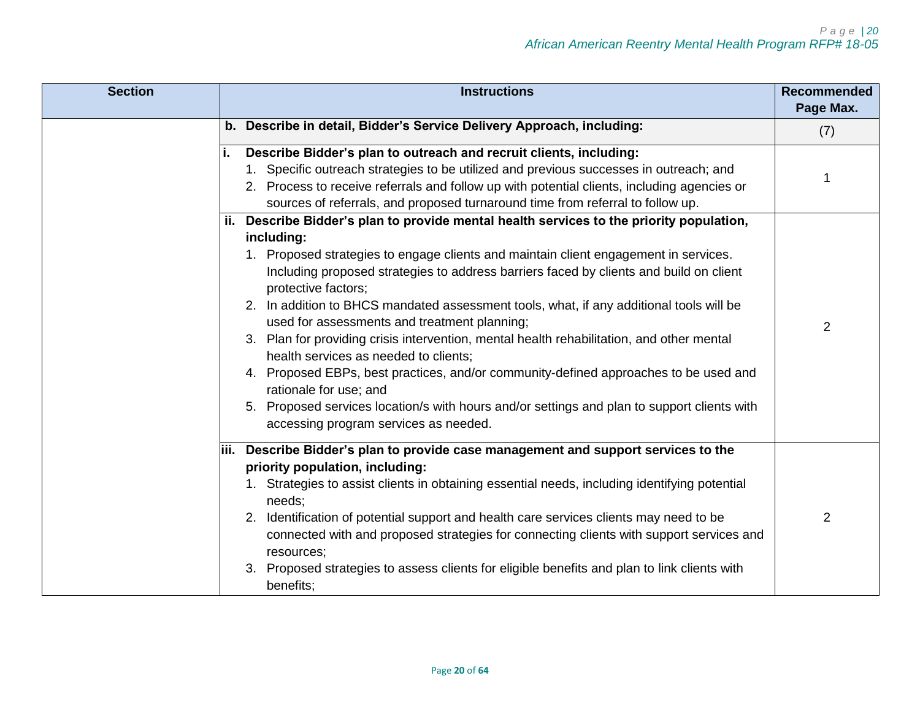| <b>Section</b> | <b>Instructions</b><br><b>Recommended</b>                                                                                            |                |
|----------------|--------------------------------------------------------------------------------------------------------------------------------------|----------------|
|                |                                                                                                                                      | Page Max.      |
|                | b. Describe in detail, Bidder's Service Delivery Approach, including:                                                                | (7)            |
|                | Describe Bidder's plan to outreach and recruit clients, including:                                                                   |                |
|                | 1. Specific outreach strategies to be utilized and previous successes in outreach; and                                               |                |
|                | 2. Process to receive referrals and follow up with potential clients, including agencies or                                          |                |
|                | sources of referrals, and proposed turnaround time from referral to follow up.                                                       |                |
|                | ii. Describe Bidder's plan to provide mental health services to the priority population,                                             |                |
|                | including:                                                                                                                           |                |
|                | 1. Proposed strategies to engage clients and maintain client engagement in services.                                                 |                |
|                | Including proposed strategies to address barriers faced by clients and build on client<br>protective factors;                        |                |
|                | 2. In addition to BHCS mandated assessment tools, what, if any additional tools will be                                              |                |
|                | used for assessments and treatment planning;                                                                                         | $\overline{2}$ |
|                | 3. Plan for providing crisis intervention, mental health rehabilitation, and other mental<br>health services as needed to clients;   |                |
|                | 4. Proposed EBPs, best practices, and/or community-defined approaches to be used and<br>rationale for use; and                       |                |
|                | 5. Proposed services location/s with hours and/or settings and plan to support clients with<br>accessing program services as needed. |                |
|                | iii. Describe Bidder's plan to provide case management and support services to the                                                   |                |
|                | priority population, including:                                                                                                      |                |
|                | 1. Strategies to assist clients in obtaining essential needs, including identifying potential                                        |                |
|                | needs:                                                                                                                               |                |
|                | 2. Identification of potential support and health care services clients may need to be                                               | $\overline{2}$ |
|                | connected with and proposed strategies for connecting clients with support services and<br>resources;                                |                |
|                | Proposed strategies to assess clients for eligible benefits and plan to link clients with<br>benefits;                               |                |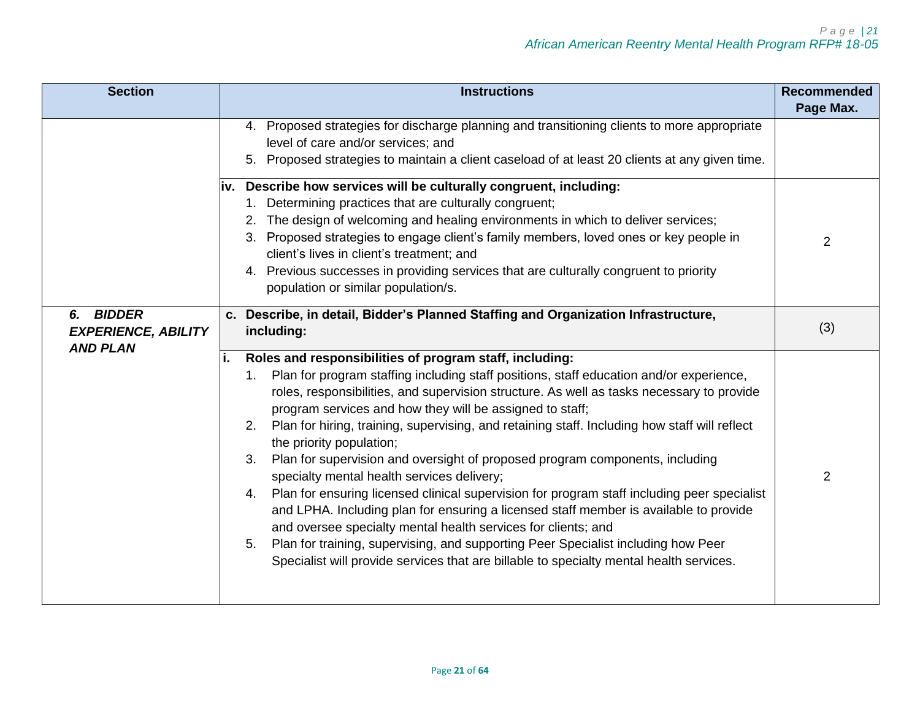| <b>Section</b>                                                       | <b>Instructions</b><br><b>Recommended</b>                                                                                                                                                                                                                                                                                                                                                                                                                                                                                                                                                                                                                                                                                                                                                                                                                                                                                                                                                                                                          |                |
|----------------------------------------------------------------------|----------------------------------------------------------------------------------------------------------------------------------------------------------------------------------------------------------------------------------------------------------------------------------------------------------------------------------------------------------------------------------------------------------------------------------------------------------------------------------------------------------------------------------------------------------------------------------------------------------------------------------------------------------------------------------------------------------------------------------------------------------------------------------------------------------------------------------------------------------------------------------------------------------------------------------------------------------------------------------------------------------------------------------------------------|----------------|
|                                                                      |                                                                                                                                                                                                                                                                                                                                                                                                                                                                                                                                                                                                                                                                                                                                                                                                                                                                                                                                                                                                                                                    | Page Max.      |
|                                                                      | 4. Proposed strategies for discharge planning and transitioning clients to more appropriate<br>level of care and/or services; and<br>5. Proposed strategies to maintain a client caseload of at least 20 clients at any given time.                                                                                                                                                                                                                                                                                                                                                                                                                                                                                                                                                                                                                                                                                                                                                                                                                |                |
|                                                                      | iv. Describe how services will be culturally congruent, including:<br>1. Determining practices that are culturally congruent;<br>2. The design of welcoming and healing environments in which to deliver services;<br>3. Proposed strategies to engage client's family members, loved ones or key people in<br>client's lives in client's treatment; and<br>4. Previous successes in providing services that are culturally congruent to priority<br>population or similar population/s.                                                                                                                                                                                                                                                                                                                                                                                                                                                                                                                                                           | $\overline{2}$ |
| <b>BIDDER</b><br>6.<br><b>EXPERIENCE, ABILITY</b><br><b>AND PLAN</b> | c. Describe, in detail, Bidder's Planned Staffing and Organization Infrastructure,<br>including:                                                                                                                                                                                                                                                                                                                                                                                                                                                                                                                                                                                                                                                                                                                                                                                                                                                                                                                                                   | (3)            |
|                                                                      | Roles and responsibilities of program staff, including:<br>Plan for program staffing including staff positions, staff education and/or experience,<br>$1_{-}$<br>roles, responsibilities, and supervision structure. As well as tasks necessary to provide<br>program services and how they will be assigned to staff;<br>Plan for hiring, training, supervising, and retaining staff. Including how staff will reflect<br>2.<br>the priority population;<br>Plan for supervision and oversight of proposed program components, including<br>3.<br>specialty mental health services delivery;<br>Plan for ensuring licensed clinical supervision for program staff including peer specialist<br>4.<br>and LPHA. Including plan for ensuring a licensed staff member is available to provide<br>and oversee specialty mental health services for clients; and<br>Plan for training, supervising, and supporting Peer Specialist including how Peer<br>5.<br>Specialist will provide services that are billable to specialty mental health services. | $\overline{2}$ |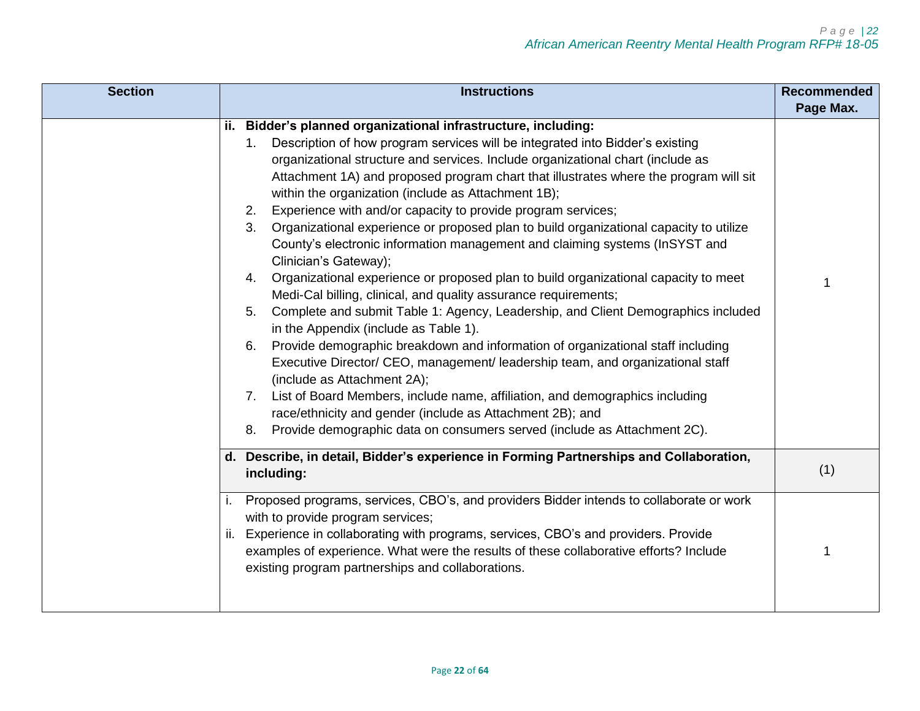| <b>Section</b>                                                                                                                                                                                                                                                                                                                                                                                                                                                                                                                                                                                                                                                                                                                                                                                                                                                                                                                                                                                                                                                                                                                                                                                                                                                                                                                                                                                                                        | <b>Instructions</b><br><b>Recommended</b>                                                                                                                                                                                                                                                                                                                              |           |
|---------------------------------------------------------------------------------------------------------------------------------------------------------------------------------------------------------------------------------------------------------------------------------------------------------------------------------------------------------------------------------------------------------------------------------------------------------------------------------------------------------------------------------------------------------------------------------------------------------------------------------------------------------------------------------------------------------------------------------------------------------------------------------------------------------------------------------------------------------------------------------------------------------------------------------------------------------------------------------------------------------------------------------------------------------------------------------------------------------------------------------------------------------------------------------------------------------------------------------------------------------------------------------------------------------------------------------------------------------------------------------------------------------------------------------------|------------------------------------------------------------------------------------------------------------------------------------------------------------------------------------------------------------------------------------------------------------------------------------------------------------------------------------------------------------------------|-----------|
|                                                                                                                                                                                                                                                                                                                                                                                                                                                                                                                                                                                                                                                                                                                                                                                                                                                                                                                                                                                                                                                                                                                                                                                                                                                                                                                                                                                                                                       |                                                                                                                                                                                                                                                                                                                                                                        | Page Max. |
| ii. Bidder's planned organizational infrastructure, including:<br>Description of how program services will be integrated into Bidder's existing<br>1 <sub>1</sub><br>organizational structure and services. Include organizational chart (include as<br>Attachment 1A) and proposed program chart that illustrates where the program will sit<br>within the organization (include as Attachment 1B);<br>Experience with and/or capacity to provide program services;<br>2.<br>Organizational experience or proposed plan to build organizational capacity to utilize<br>3.<br>County's electronic information management and claiming systems (InSYST and<br>Clinician's Gateway);<br>Organizational experience or proposed plan to build organizational capacity to meet<br>4.<br>Medi-Cal billing, clinical, and quality assurance requirements;<br>Complete and submit Table 1: Agency, Leadership, and Client Demographics included<br>5.<br>in the Appendix (include as Table 1).<br>Provide demographic breakdown and information of organizational staff including<br>6.<br>Executive Director/ CEO, management/ leadership team, and organizational staff<br>(include as Attachment 2A);<br>List of Board Members, include name, affiliation, and demographics including<br>7.<br>race/ethnicity and gender (include as Attachment 2B); and<br>Provide demographic data on consumers served (include as Attachment 2C).<br>8. |                                                                                                                                                                                                                                                                                                                                                                        |           |
|                                                                                                                                                                                                                                                                                                                                                                                                                                                                                                                                                                                                                                                                                                                                                                                                                                                                                                                                                                                                                                                                                                                                                                                                                                                                                                                                                                                                                                       | d. Describe, in detail, Bidder's experience in Forming Partnerships and Collaboration,<br>including:                                                                                                                                                                                                                                                                   | (1)       |
|                                                                                                                                                                                                                                                                                                                                                                                                                                                                                                                                                                                                                                                                                                                                                                                                                                                                                                                                                                                                                                                                                                                                                                                                                                                                                                                                                                                                                                       | Proposed programs, services, CBO's, and providers Bidder intends to collaborate or work<br>with to provide program services;<br>Experience in collaborating with programs, services, CBO's and providers. Provide<br>ii.<br>examples of experience. What were the results of these collaborative efforts? Include<br>existing program partnerships and collaborations. |           |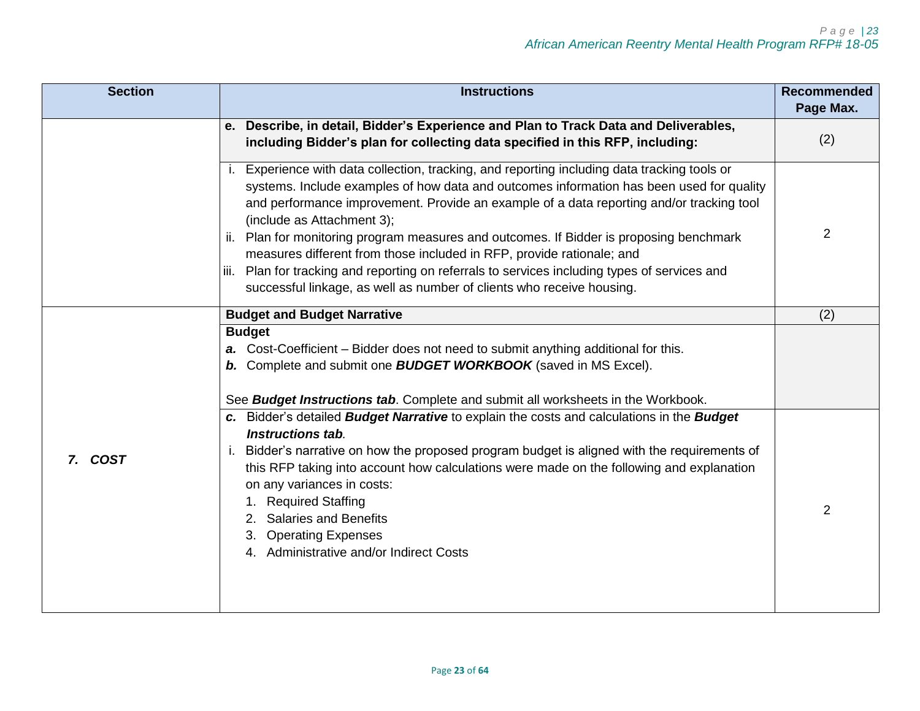| <b>Section</b> | <b>Instructions</b><br><b>Recommended</b>                                                                                                                                                                                                                                                                                                                                                                                                                                                                                                                                                                                                                            |                |
|----------------|----------------------------------------------------------------------------------------------------------------------------------------------------------------------------------------------------------------------------------------------------------------------------------------------------------------------------------------------------------------------------------------------------------------------------------------------------------------------------------------------------------------------------------------------------------------------------------------------------------------------------------------------------------------------|----------------|
|                |                                                                                                                                                                                                                                                                                                                                                                                                                                                                                                                                                                                                                                                                      | Page Max.      |
|                | e. Describe, in detail, Bidder's Experience and Plan to Track Data and Deliverables,                                                                                                                                                                                                                                                                                                                                                                                                                                                                                                                                                                                 |                |
|                | including Bidder's plan for collecting data specified in this RFP, including:                                                                                                                                                                                                                                                                                                                                                                                                                                                                                                                                                                                        | (2)            |
|                | i. Experience with data collection, tracking, and reporting including data tracking tools or<br>systems. Include examples of how data and outcomes information has been used for quality<br>and performance improvement. Provide an example of a data reporting and/or tracking tool<br>(include as Attachment 3);<br>Plan for monitoring program measures and outcomes. If Bidder is proposing benchmark<br>II.<br>measures different from those included in RFP, provide rationale; and<br>Plan for tracking and reporting on referrals to services including types of services and<br>Ш.<br>successful linkage, as well as number of clients who receive housing. | 2              |
|                | <b>Budget and Budget Narrative</b>                                                                                                                                                                                                                                                                                                                                                                                                                                                                                                                                                                                                                                   | (2)            |
|                | <b>Budget</b><br>a. Cost-Coefficient – Bidder does not need to submit anything additional for this.<br>b. Complete and submit one <b>BUDGET WORKBOOK</b> (saved in MS Excel).<br>See <b>Budget Instructions tab</b> . Complete and submit all worksheets in the Workbook.                                                                                                                                                                                                                                                                                                                                                                                            |                |
| 7. COST        | c. Bidder's detailed <b>Budget Narrative</b> to explain the costs and calculations in the <b>Budget</b><br>Instructions tab.<br>Bidder's narrative on how the proposed program budget is aligned with the requirements of<br>Τ.<br>this RFP taking into account how calculations were made on the following and explanation<br>on any variances in costs:<br><b>Required Staffing</b><br><b>Salaries and Benefits</b><br>3. Operating Expenses<br>4. Administrative and/or Indirect Costs                                                                                                                                                                            | $\overline{2}$ |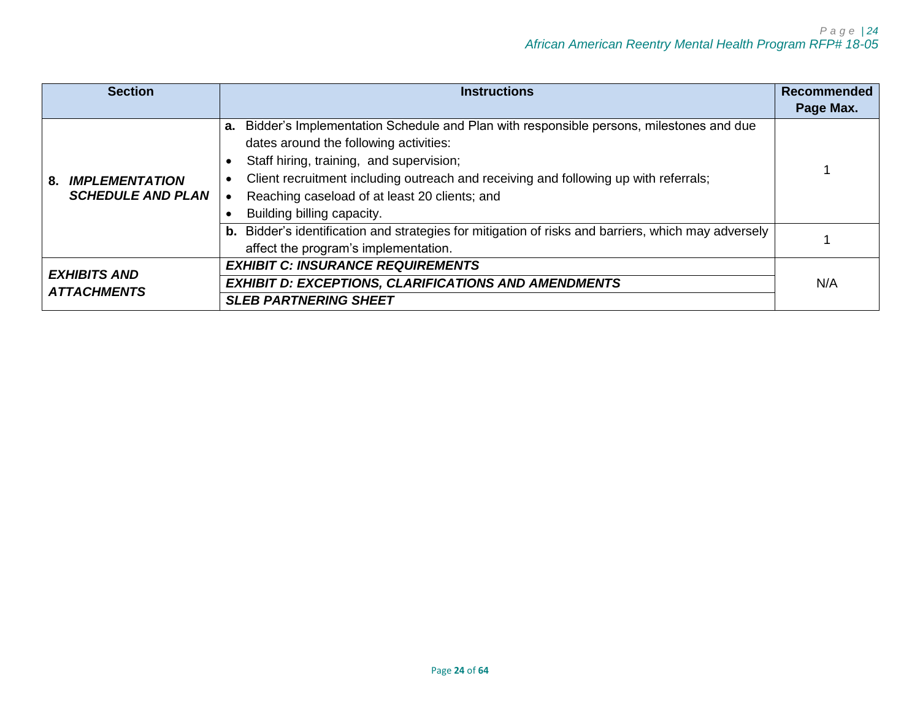| <b>Section</b>                                          | Recommended<br><b>Instructions</b>                                                                                                                                                                                                                                                                                                                        |           |
|---------------------------------------------------------|-----------------------------------------------------------------------------------------------------------------------------------------------------------------------------------------------------------------------------------------------------------------------------------------------------------------------------------------------------------|-----------|
|                                                         |                                                                                                                                                                                                                                                                                                                                                           | Page Max. |
| <b>IMPLEMENTATION</b><br>8.<br><b>SCHEDULE AND PLAN</b> | Bidder's Implementation Schedule and Plan with responsible persons, milestones and due<br>а.<br>dates around the following activities:<br>Staff hiring, training, and supervision;<br>Client recruitment including outreach and receiving and following up with referrals;<br>Reaching caseload of at least 20 clients; and<br>Building billing capacity. |           |
|                                                         | b. Bidder's identification and strategies for mitigation of risks and barriers, which may adversely<br>affect the program's implementation.                                                                                                                                                                                                               |           |
| <b>EXHIBITS AND</b>                                     | <b>EXHIBIT C: INSURANCE REQUIREMENTS</b>                                                                                                                                                                                                                                                                                                                  |           |
| <b>ATTACHMENTS</b>                                      | <b>EXHIBIT D: EXCEPTIONS, CLARIFICATIONS AND AMENDMENTS</b>                                                                                                                                                                                                                                                                                               |           |
|                                                         | <b>SLEB PARTNERING SHEET</b>                                                                                                                                                                                                                                                                                                                              |           |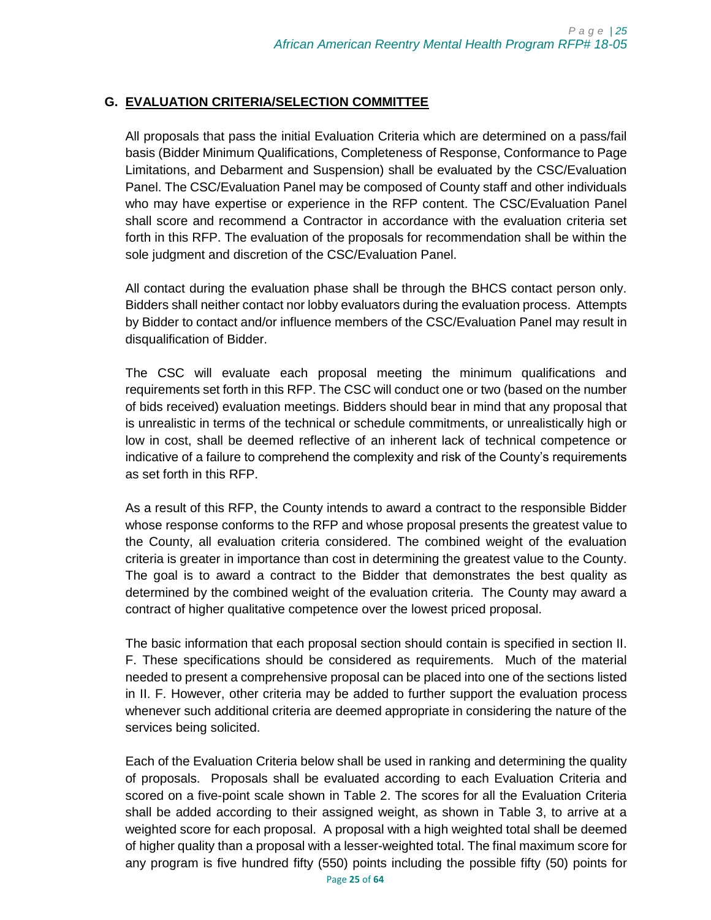## <span id="page-24-0"></span>**G. EVALUATION CRITERIA/SELECTION COMMITTEE**

All proposals that pass the initial Evaluation Criteria which are determined on a pass/fail basis (Bidder Minimum Qualifications, Completeness of Response, Conformance to Page Limitations, and Debarment and Suspension) shall be evaluated by the CSC/Evaluation Panel. The CSC/Evaluation Panel may be composed of County staff and other individuals who may have expertise or experience in the RFP content. The CSC/Evaluation Panel shall score and recommend a Contractor in accordance with the evaluation criteria set forth in this RFP. The evaluation of the proposals for recommendation shall be within the sole judgment and discretion of the CSC/Evaluation Panel.

All contact during the evaluation phase shall be through the BHCS contact person only. Bidders shall neither contact nor lobby evaluators during the evaluation process. Attempts by Bidder to contact and/or influence members of the CSC/Evaluation Panel may result in disqualification of Bidder.

The CSC will evaluate each proposal meeting the minimum qualifications and requirements set forth in this RFP. The CSC will conduct one or two (based on the number of bids received) evaluation meetings. Bidders should bear in mind that any proposal that is unrealistic in terms of the technical or schedule commitments, or unrealistically high or low in cost, shall be deemed reflective of an inherent lack of technical competence or indicative of a failure to comprehend the complexity and risk of the County's requirements as set forth in this RFP.

As a result of this RFP, the County intends to award a contract to the responsible Bidder whose response conforms to the RFP and whose proposal presents the greatest value to the County, all evaluation criteria considered. The combined weight of the evaluation criteria is greater in importance than cost in determining the greatest value to the County. The goal is to award a contract to the Bidder that demonstrates the best quality as determined by the combined weight of the evaluation criteria. The County may award a contract of higher qualitative competence over the lowest priced proposal.

The basic information that each proposal section should contain is specified in section II. F. These specifications should be considered as requirements. Much of the material needed to present a comprehensive proposal can be placed into one of the sections listed in II. F. However, other criteria may be added to further support the evaluation process whenever such additional criteria are deemed appropriate in considering the nature of the services being solicited.

Each of the Evaluation Criteria below shall be used in ranking and determining the quality of proposals. Proposals shall be evaluated according to each Evaluation Criteria and scored on a five-point scale shown in Table 2. The scores for all the Evaluation Criteria shall be added according to their assigned weight, as shown in Table 3, to arrive at a weighted score for each proposal. A proposal with a high weighted total shall be deemed of higher quality than a proposal with a lesser-weighted total. The final maximum score for any program is five hundred fifty (550) points including the possible fifty (50) points for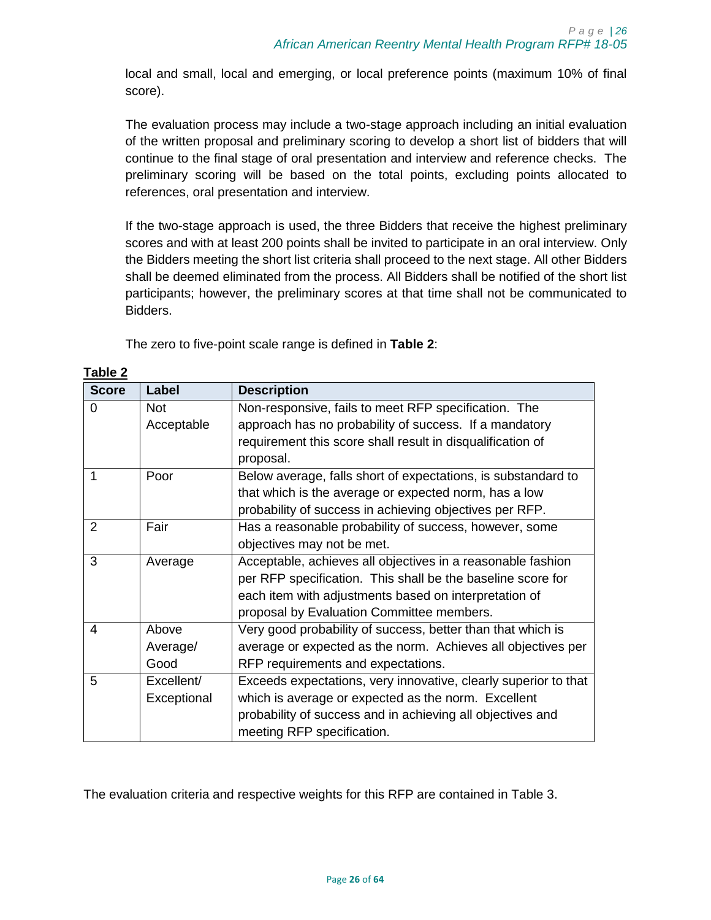local and small, local and emerging, or local preference points (maximum 10% of final score).

The evaluation process may include a two-stage approach including an initial evaluation of the written proposal and preliminary scoring to develop a short list of bidders that will continue to the final stage of oral presentation and interview and reference checks. The preliminary scoring will be based on the total points, excluding points allocated to references, oral presentation and interview.

If the two-stage approach is used, the three Bidders that receive the highest preliminary scores and with at least 200 points shall be invited to participate in an oral interview. Only the Bidders meeting the short list criteria shall proceed to the next stage. All other Bidders shall be deemed eliminated from the process. All Bidders shall be notified of the short list participants; however, the preliminary scores at that time shall not be communicated to Bidders.

The zero to five-point scale range is defined in **[Table 2](#page-25-0)**:

| <b>Score</b> | Label       | <b>Description</b>                                              |
|--------------|-------------|-----------------------------------------------------------------|
| 0            | <b>Not</b>  | Non-responsive, fails to meet RFP specification. The            |
|              | Acceptable  | approach has no probability of success. If a mandatory          |
|              |             | requirement this score shall result in disqualification of      |
|              |             | proposal.                                                       |
|              | Poor        | Below average, falls short of expectations, is substandard to   |
|              |             | that which is the average or expected norm, has a low           |
|              |             | probability of success in achieving objectives per RFP.         |
| 2            | Fair        | Has a reasonable probability of success, however, some          |
|              |             | objectives may not be met.                                      |
| 3            | Average     | Acceptable, achieves all objectives in a reasonable fashion     |
|              |             | per RFP specification. This shall be the baseline score for     |
|              |             | each item with adjustments based on interpretation of           |
|              |             | proposal by Evaluation Committee members.                       |
| 4            | Above       | Very good probability of success, better than that which is     |
|              | Average/    | average or expected as the norm. Achieves all objectives per    |
|              | Good        | RFP requirements and expectations.                              |
| 5            | Excellent/  | Exceeds expectations, very innovative, clearly superior to that |
|              | Exceptional | which is average or expected as the norm. Excellent             |
|              |             | probability of success and in achieving all objectives and      |
|              |             | meeting RFP specification.                                      |

<span id="page-25-0"></span>**Table 2**

The evaluation criteria and respective weights for this RFP are contained in Table 3.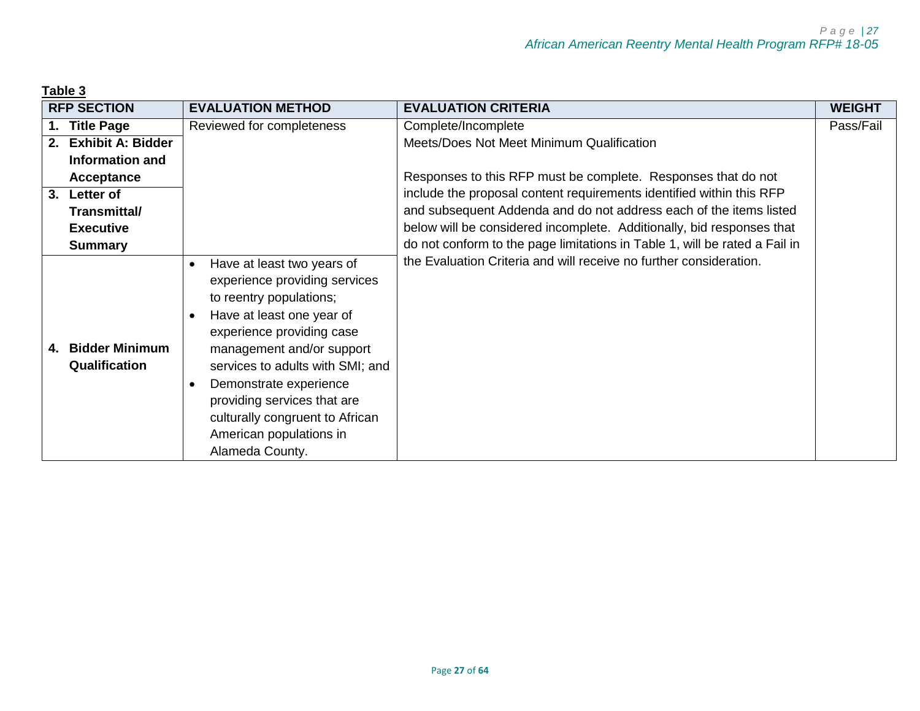<span id="page-26-0"></span>

| Table 3 |                                        |                                                                                                                                                                                                                                                                                                                                                                                                    |                                                                            |               |
|---------|----------------------------------------|----------------------------------------------------------------------------------------------------------------------------------------------------------------------------------------------------------------------------------------------------------------------------------------------------------------------------------------------------------------------------------------------------|----------------------------------------------------------------------------|---------------|
|         | <b>RFP SECTION</b>                     | <b>EVALUATION METHOD</b>                                                                                                                                                                                                                                                                                                                                                                           | <b>EVALUATION CRITERIA</b>                                                 | <b>WEIGHT</b> |
| 1.      | <b>Title Page</b>                      | Reviewed for completeness                                                                                                                                                                                                                                                                                                                                                                          | Complete/Incomplete                                                        | Pass/Fail     |
| 2.      | <b>Exhibit A: Bidder</b>               |                                                                                                                                                                                                                                                                                                                                                                                                    | Meets/Does Not Meet Minimum Qualification                                  |               |
|         | Information and                        |                                                                                                                                                                                                                                                                                                                                                                                                    |                                                                            |               |
|         | <b>Acceptance</b>                      |                                                                                                                                                                                                                                                                                                                                                                                                    | Responses to this RFP must be complete. Responses that do not              |               |
| 3.      | Letter of                              |                                                                                                                                                                                                                                                                                                                                                                                                    | include the proposal content requirements identified within this RFP       |               |
|         | Transmittal/                           |                                                                                                                                                                                                                                                                                                                                                                                                    | and subsequent Addenda and do not address each of the items listed         |               |
|         | <b>Executive</b>                       |                                                                                                                                                                                                                                                                                                                                                                                                    | below will be considered incomplete. Additionally, bid responses that      |               |
|         | <b>Summary</b>                         |                                                                                                                                                                                                                                                                                                                                                                                                    | do not conform to the page limitations in Table 1, will be rated a Fail in |               |
| 4.      | <b>Bidder Minimum</b><br>Qualification | Have at least two years of<br>$\bullet$<br>experience providing services<br>to reentry populations;<br>Have at least one year of<br>$\bullet$<br>experience providing case<br>management and/or support<br>services to adults with SMI; and<br>Demonstrate experience<br>$\bullet$<br>providing services that are<br>culturally congruent to African<br>American populations in<br>Alameda County. | the Evaluation Criteria and will receive no further consideration.         |               |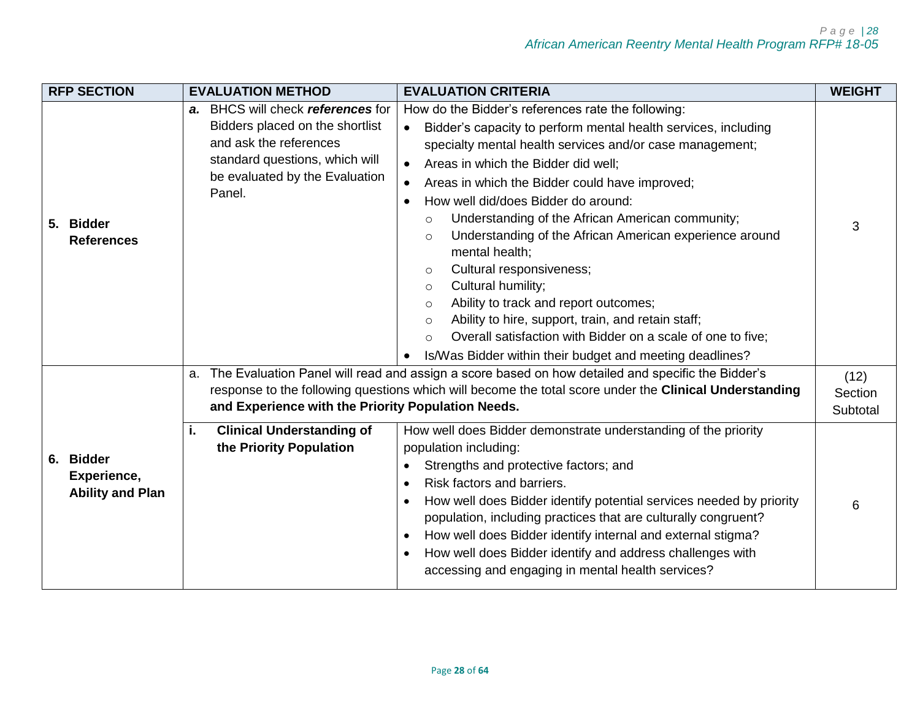| <b>RFP SECTION</b>             | <b>EVALUATION METHOD</b>                                                                                                                                                     | <b>EVALUATION CRITERIA</b>                                                                                                                                                                                                                                                                                                                                                                                                                                                                                                                                                                                                                                                                                                                                                                                                           | <b>WEIGHT</b>               |
|--------------------------------|------------------------------------------------------------------------------------------------------------------------------------------------------------------------------|--------------------------------------------------------------------------------------------------------------------------------------------------------------------------------------------------------------------------------------------------------------------------------------------------------------------------------------------------------------------------------------------------------------------------------------------------------------------------------------------------------------------------------------------------------------------------------------------------------------------------------------------------------------------------------------------------------------------------------------------------------------------------------------------------------------------------------------|-----------------------------|
| 5. Bidder<br><b>References</b> | a. BHCS will check references for<br>Bidders placed on the shortlist<br>and ask the references<br>standard questions, which will<br>be evaluated by the Evaluation<br>Panel. | How do the Bidder's references rate the following:<br>Bidder's capacity to perform mental health services, including<br>$\bullet$<br>specialty mental health services and/or case management;<br>Areas in which the Bidder did well;<br>Areas in which the Bidder could have improved;<br>How well did/does Bidder do around:<br>$\bullet$<br>Understanding of the African American community;<br>$\circ$<br>Understanding of the African American experience around<br>$\circ$<br>mental health;<br>Cultural responsiveness;<br>$\circ$<br>Cultural humility;<br>$\circ$<br>Ability to track and report outcomes;<br>$\circ$<br>Ability to hire, support, train, and retain staff;<br>$\circ$<br>Overall satisfaction with Bidder on a scale of one to five;<br>$\circ$<br>Is/Was Bidder within their budget and meeting deadlines? | 3                           |
| 6. Bidder<br>Experience,       | a.<br>and Experience with the Priority Population Needs.<br><b>Clinical Understanding of</b><br>i.<br>the Priority Population                                                | The Evaluation Panel will read and assign a score based on how detailed and specific the Bidder's<br>response to the following questions which will become the total score under the Clinical Understanding<br>How well does Bidder demonstrate understanding of the priority<br>population including:<br>Strengths and protective factors; and<br>$\bullet$<br>Risk factors and barriers.                                                                                                                                                                                                                                                                                                                                                                                                                                           | (12)<br>Section<br>Subtotal |
| <b>Ability and Plan</b>        |                                                                                                                                                                              | How well does Bidder identify potential services needed by priority<br>population, including practices that are culturally congruent?<br>How well does Bidder identify internal and external stigma?<br>How well does Bidder identify and address challenges with<br>accessing and engaging in mental health services?                                                                                                                                                                                                                                                                                                                                                                                                                                                                                                               | 6                           |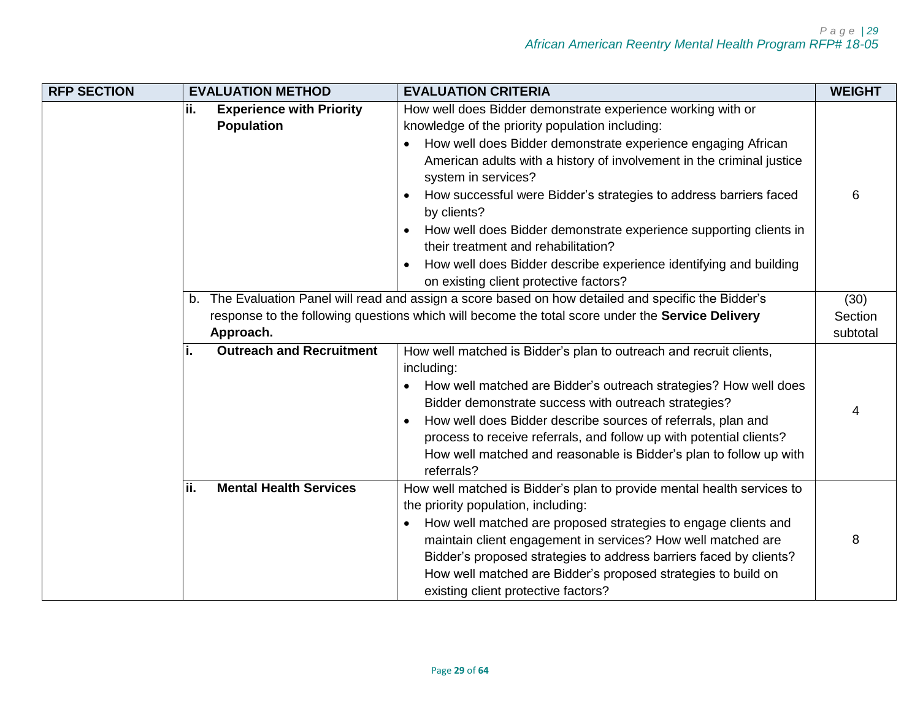| <b>RFP SECTION</b> | <b>EVALUATION METHOD</b>                                    | <b>EVALUATION CRITERIA</b>                                                                                                                                                                                                                                                                                                                                                                                                                                                                                                                          | <b>WEIGHT</b>               |
|--------------------|-------------------------------------------------------------|-----------------------------------------------------------------------------------------------------------------------------------------------------------------------------------------------------------------------------------------------------------------------------------------------------------------------------------------------------------------------------------------------------------------------------------------------------------------------------------------------------------------------------------------------------|-----------------------------|
|                    | ii.<br><b>Experience with Priority</b><br><b>Population</b> | How well does Bidder demonstrate experience working with or<br>knowledge of the priority population including:<br>How well does Bidder demonstrate experience engaging African<br>American adults with a history of involvement in the criminal justice<br>system in services?<br>How successful were Bidder's strategies to address barriers faced<br>by clients?<br>How well does Bidder demonstrate experience supporting clients in<br>their treatment and rehabilitation?<br>How well does Bidder describe experience identifying and building | 6                           |
|                    | b.<br>Approach.                                             | on existing client protective factors?<br>The Evaluation Panel will read and assign a score based on how detailed and specific the Bidder's<br>response to the following questions which will become the total score under the Service Delivery                                                                                                                                                                                                                                                                                                     | (30)<br>Section<br>subtotal |
|                    | <b>Outreach and Recruitment</b>                             | How well matched is Bidder's plan to outreach and recruit clients,<br>including:<br>• How well matched are Bidder's outreach strategies? How well does<br>Bidder demonstrate success with outreach strategies?<br>How well does Bidder describe sources of referrals, plan and<br>process to receive referrals, and follow up with potential clients?<br>How well matched and reasonable is Bidder's plan to follow up with<br>referrals?                                                                                                           | 4                           |
|                    | ii.<br><b>Mental Health Services</b>                        | How well matched is Bidder's plan to provide mental health services to<br>the priority population, including:<br>How well matched are proposed strategies to engage clients and<br>maintain client engagement in services? How well matched are<br>Bidder's proposed strategies to address barriers faced by clients?<br>How well matched are Bidder's proposed strategies to build on<br>existing client protective factors?                                                                                                                       | 8                           |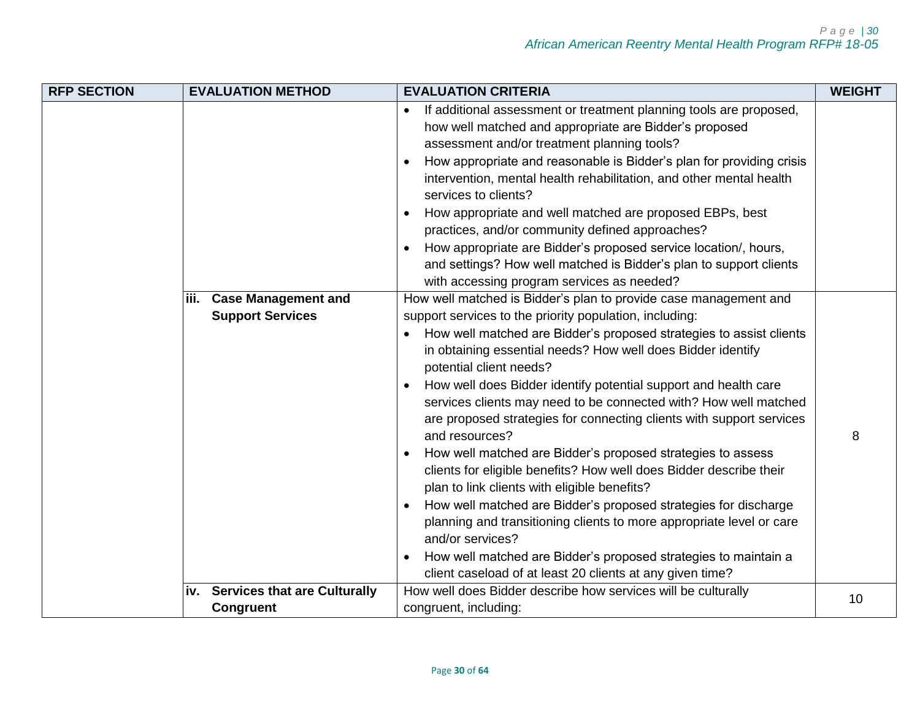| <b>RFP SECTION</b> |      | <b>EVALUATION METHOD</b>            | <b>EVALUATION CRITERIA</b>                                                                                                                                                                                                                          | <b>WEIGHT</b> |
|--------------------|------|-------------------------------------|-----------------------------------------------------------------------------------------------------------------------------------------------------------------------------------------------------------------------------------------------------|---------------|
|                    |      |                                     | If additional assessment or treatment planning tools are proposed,<br>how well matched and appropriate are Bidder's proposed<br>assessment and/or treatment planning tools?<br>How appropriate and reasonable is Bidder's plan for providing crisis |               |
|                    |      |                                     | intervention, mental health rehabilitation, and other mental health<br>services to clients?                                                                                                                                                         |               |
|                    |      |                                     | How appropriate and well matched are proposed EBPs, best<br>practices, and/or community defined approaches?                                                                                                                                         |               |
|                    |      |                                     | How appropriate are Bidder's proposed service location/, hours,                                                                                                                                                                                     |               |
|                    |      |                                     | and settings? How well matched is Bidder's plan to support clients<br>with accessing program services as needed?                                                                                                                                    |               |
|                    | iii. | <b>Case Management and</b>          | How well matched is Bidder's plan to provide case management and                                                                                                                                                                                    |               |
|                    |      | <b>Support Services</b>             | support services to the priority population, including:<br>How well matched are Bidder's proposed strategies to assist clients<br>in obtaining essential needs? How well does Bidder identify<br>potential client needs?                            |               |
|                    |      |                                     | How well does Bidder identify potential support and health care<br>services clients may need to be connected with? How well matched<br>are proposed strategies for connecting clients with support services<br>and resources?                       | 8             |
|                    |      |                                     | How well matched are Bidder's proposed strategies to assess<br>clients for eligible benefits? How well does Bidder describe their<br>plan to link clients with eligible benefits?                                                                   |               |
|                    |      |                                     | How well matched are Bidder's proposed strategies for discharge<br>planning and transitioning clients to more appropriate level or care<br>and/or services?                                                                                         |               |
|                    |      |                                     | How well matched are Bidder's proposed strategies to maintain a<br>client caseload of at least 20 clients at any given time?                                                                                                                        |               |
|                    | iv.  | <b>Services that are Culturally</b> | How well does Bidder describe how services will be culturally                                                                                                                                                                                       | 10            |
|                    |      | <b>Congruent</b>                    | congruent, including:                                                                                                                                                                                                                               |               |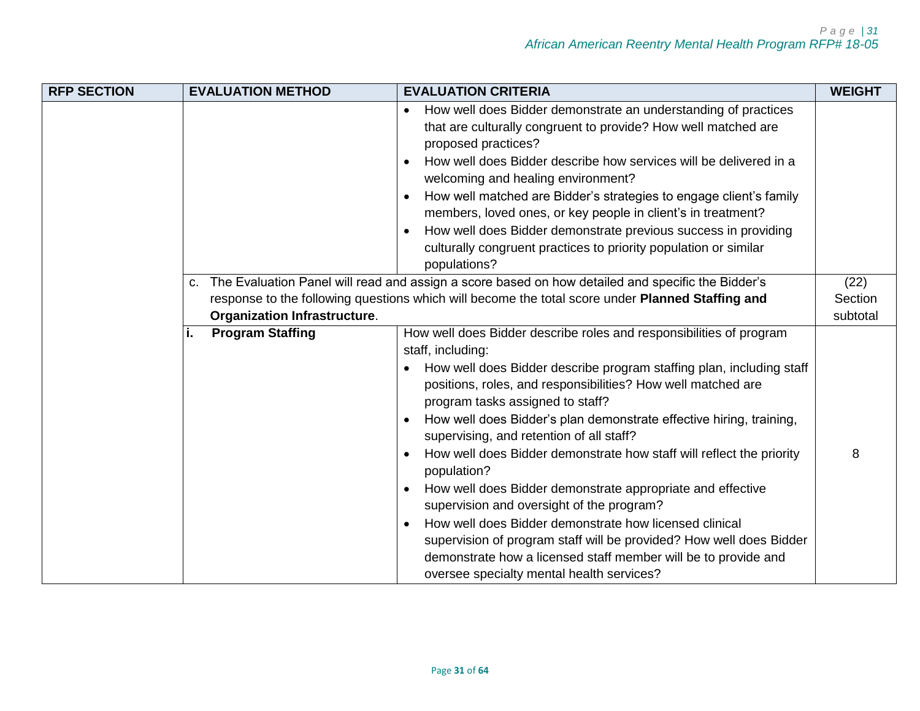| <b>RFP SECTION</b> | <b>EVALUATION METHOD</b>                  | <b>EVALUATION CRITERIA</b>                                                                                                                                                                                                                                                                                                                                                                                                                                                                                                                                                                                                                                                                                                                                                                                                                             | <b>WEIGHT</b>               |
|--------------------|-------------------------------------------|--------------------------------------------------------------------------------------------------------------------------------------------------------------------------------------------------------------------------------------------------------------------------------------------------------------------------------------------------------------------------------------------------------------------------------------------------------------------------------------------------------------------------------------------------------------------------------------------------------------------------------------------------------------------------------------------------------------------------------------------------------------------------------------------------------------------------------------------------------|-----------------------------|
|                    |                                           | How well does Bidder demonstrate an understanding of practices<br>that are culturally congruent to provide? How well matched are<br>proposed practices?<br>How well does Bidder describe how services will be delivered in a<br>welcoming and healing environment?<br>How well matched are Bidder's strategies to engage client's family<br>members, loved ones, or key people in client's in treatment?<br>How well does Bidder demonstrate previous success in providing<br>culturally congruent practices to priority population or similar<br>populations?                                                                                                                                                                                                                                                                                         |                             |
|                    | C.<br><b>Organization Infrastructure.</b> | The Evaluation Panel will read and assign a score based on how detailed and specific the Bidder's<br>response to the following questions which will become the total score under Planned Staffing and                                                                                                                                                                                                                                                                                                                                                                                                                                                                                                                                                                                                                                                  | (22)<br>Section<br>subtotal |
|                    | <b>Program Staffing</b>                   | How well does Bidder describe roles and responsibilities of program<br>staff, including:<br>How well does Bidder describe program staffing plan, including staff<br>positions, roles, and responsibilities? How well matched are<br>program tasks assigned to staff?<br>How well does Bidder's plan demonstrate effective hiring, training,<br>supervising, and retention of all staff?<br>How well does Bidder demonstrate how staff will reflect the priority<br>population?<br>How well does Bidder demonstrate appropriate and effective<br>supervision and oversight of the program?<br>How well does Bidder demonstrate how licensed clinical<br>$\bullet$<br>supervision of program staff will be provided? How well does Bidder<br>demonstrate how a licensed staff member will be to provide and<br>oversee specialty mental health services? | 8                           |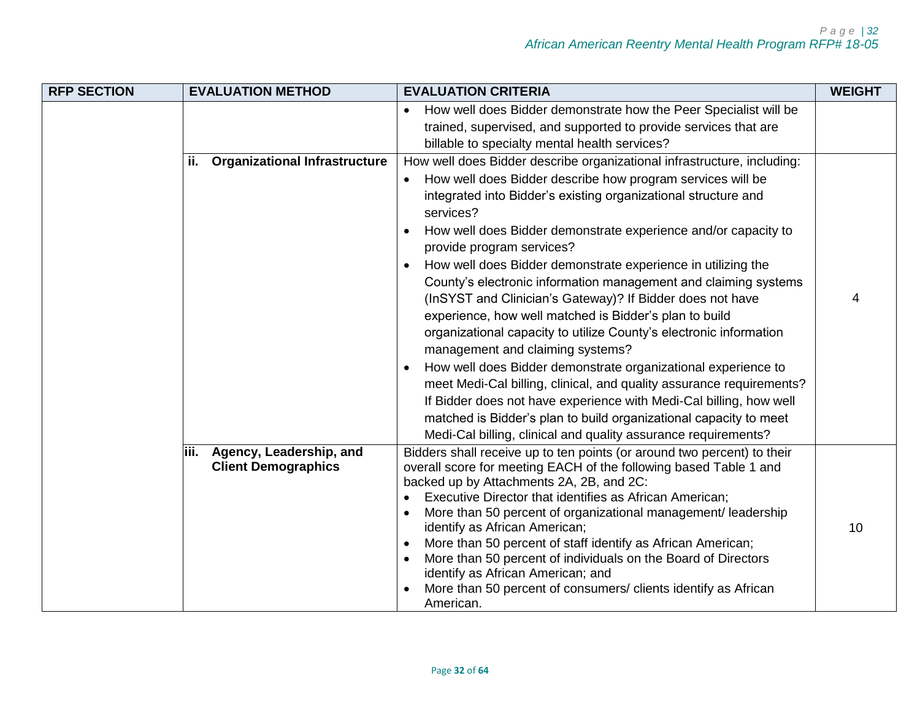| <b>RFP SECTION</b> | <b>EVALUATION METHOD</b>                                       | <b>EVALUATION CRITERIA</b>                                                                                                                                                                                                                                                                                                                                                                                                                                                                                                                                                                                                                                                                                                                                                                                                                                                                                                                                                                                                                                 | <b>WEIGHT</b> |
|--------------------|----------------------------------------------------------------|------------------------------------------------------------------------------------------------------------------------------------------------------------------------------------------------------------------------------------------------------------------------------------------------------------------------------------------------------------------------------------------------------------------------------------------------------------------------------------------------------------------------------------------------------------------------------------------------------------------------------------------------------------------------------------------------------------------------------------------------------------------------------------------------------------------------------------------------------------------------------------------------------------------------------------------------------------------------------------------------------------------------------------------------------------|---------------|
|                    |                                                                | How well does Bidder demonstrate how the Peer Specialist will be<br>trained, supervised, and supported to provide services that are<br>billable to specialty mental health services?                                                                                                                                                                                                                                                                                                                                                                                                                                                                                                                                                                                                                                                                                                                                                                                                                                                                       |               |
|                    | <b>Organizational Infrastructure</b><br>ii.                    | How well does Bidder describe organizational infrastructure, including:<br>How well does Bidder describe how program services will be<br>$\bullet$<br>integrated into Bidder's existing organizational structure and<br>services?<br>How well does Bidder demonstrate experience and/or capacity to<br>provide program services?<br>How well does Bidder demonstrate experience in utilizing the<br>County's electronic information management and claiming systems<br>(InSYST and Clinician's Gateway)? If Bidder does not have<br>experience, how well matched is Bidder's plan to build<br>organizational capacity to utilize County's electronic information<br>management and claiming systems?<br>How well does Bidder demonstrate organizational experience to<br>meet Medi-Cal billing, clinical, and quality assurance requirements?<br>If Bidder does not have experience with Medi-Cal billing, how well<br>matched is Bidder's plan to build organizational capacity to meet<br>Medi-Cal billing, clinical and quality assurance requirements? | 4             |
|                    | Agency, Leadership, and<br>liii.<br><b>Client Demographics</b> | Bidders shall receive up to ten points (or around two percent) to their<br>overall score for meeting EACH of the following based Table 1 and<br>backed up by Attachments 2A, 2B, and 2C:<br>Executive Director that identifies as African American;<br>More than 50 percent of organizational management/ leadership<br>identify as African American;<br>More than 50 percent of staff identify as African American;<br>More than 50 percent of individuals on the Board of Directors<br>identify as African American; and<br>More than 50 percent of consumers/ clients identify as African<br>American.                                                                                                                                                                                                                                                                                                                                                                                                                                                  | 10            |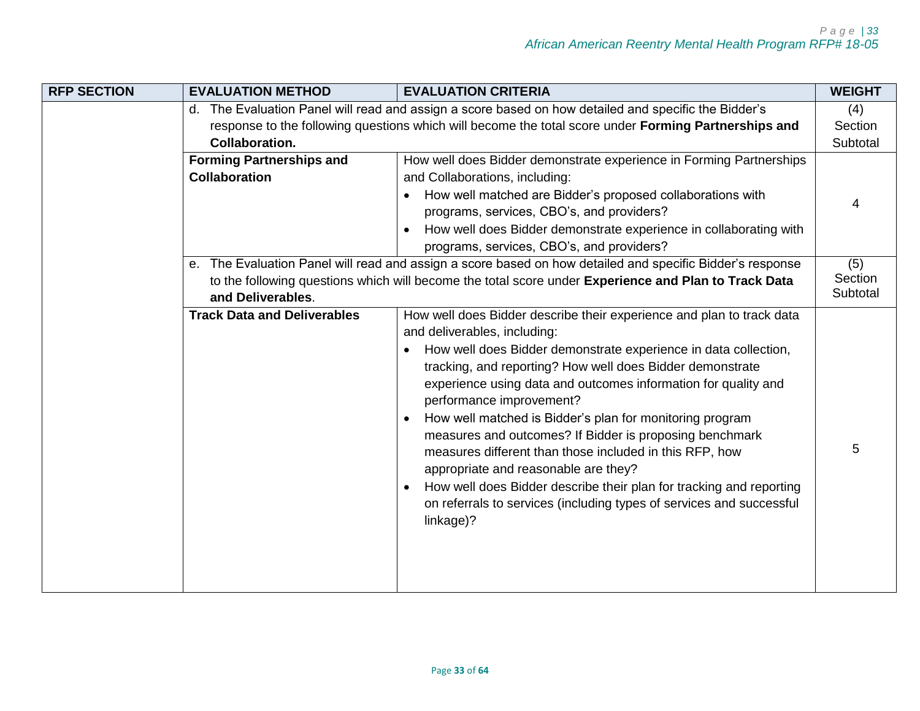| <b>RFP SECTION</b> | <b>EVALUATION METHOD</b>           | <b>EVALUATION CRITERIA</b>                                                                             | <b>WEIGHT</b>       |
|--------------------|------------------------------------|--------------------------------------------------------------------------------------------------------|---------------------|
|                    |                                    | d. The Evaluation Panel will read and assign a score based on how detailed and specific the Bidder's   | (4)                 |
|                    |                                    | response to the following questions which will become the total score under Forming Partnerships and   | Section             |
|                    | <b>Collaboration.</b>              |                                                                                                        | Subtotal            |
|                    | <b>Forming Partnerships and</b>    | How well does Bidder demonstrate experience in Forming Partnerships                                    |                     |
|                    | <b>Collaboration</b>               | and Collaborations, including:                                                                         |                     |
|                    |                                    | How well matched are Bidder's proposed collaborations with<br>$\bullet$                                | 4                   |
|                    |                                    | programs, services, CBO's, and providers?                                                              |                     |
|                    |                                    | How well does Bidder demonstrate experience in collaborating with<br>$\bullet$                         |                     |
|                    |                                    | programs, services, CBO's, and providers?                                                              |                     |
|                    | е.                                 | The Evaluation Panel will read and assign a score based on how detailed and specific Bidder's response | (5)                 |
|                    | and Deliverables.                  | to the following questions which will become the total score under Experience and Plan to Track Data   | Section<br>Subtotal |
|                    | <b>Track Data and Deliverables</b> | How well does Bidder describe their experience and plan to track data                                  |                     |
|                    |                                    | and deliverables, including:                                                                           |                     |
|                    |                                    | How well does Bidder demonstrate experience in data collection,                                        |                     |
|                    |                                    | tracking, and reporting? How well does Bidder demonstrate                                              |                     |
|                    |                                    | experience using data and outcomes information for quality and<br>performance improvement?             |                     |
|                    |                                    | How well matched is Bidder's plan for monitoring program                                               |                     |
|                    |                                    | measures and outcomes? If Bidder is proposing benchmark                                                |                     |
|                    |                                    | measures different than those included in this RFP, how                                                | 5                   |
|                    |                                    | appropriate and reasonable are they?                                                                   |                     |
|                    |                                    | How well does Bidder describe their plan for tracking and reporting                                    |                     |
|                    |                                    | on referrals to services (including types of services and successful                                   |                     |
|                    |                                    | linkage)?                                                                                              |                     |
|                    |                                    |                                                                                                        |                     |
|                    |                                    |                                                                                                        |                     |
|                    |                                    |                                                                                                        |                     |
|                    |                                    |                                                                                                        |                     |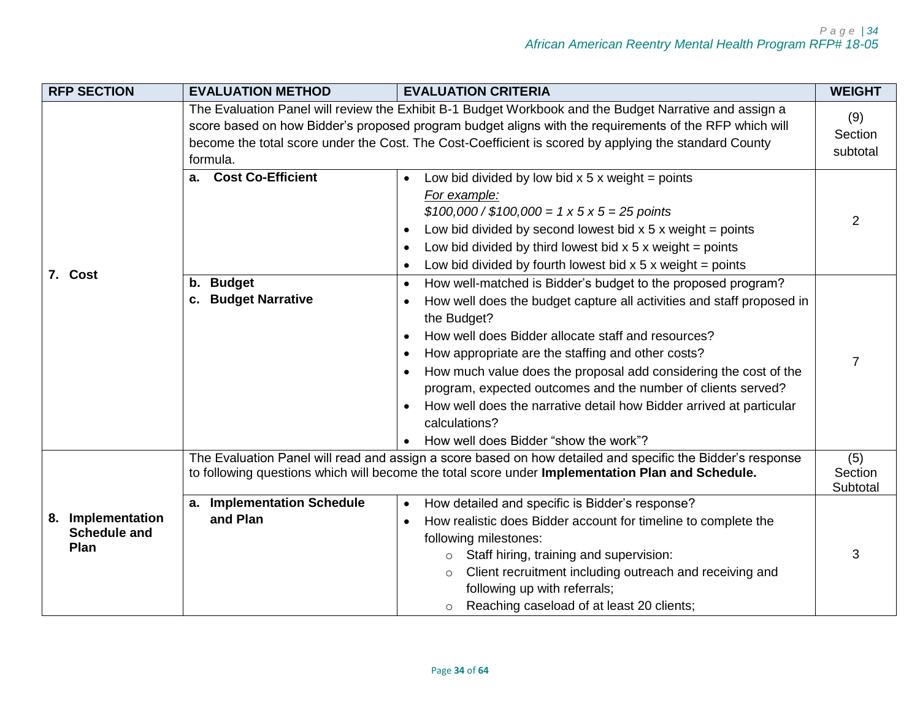|  | <b>RFP SECTION</b>                               | <b>EVALUATION METHOD</b>                         | <b>EVALUATION CRITERIA</b>                                                                                                                                                                                                                                                                                                                                                                                                                                                                                                                        | <b>WEIGHT</b>              |
|--|--------------------------------------------------|--------------------------------------------------|---------------------------------------------------------------------------------------------------------------------------------------------------------------------------------------------------------------------------------------------------------------------------------------------------------------------------------------------------------------------------------------------------------------------------------------------------------------------------------------------------------------------------------------------------|----------------------------|
|  |                                                  | formula.                                         | The Evaluation Panel will review the Exhibit B-1 Budget Workbook and the Budget Narrative and assign a<br>score based on how Bidder's proposed program budget aligns with the requirements of the RFP which will<br>become the total score under the Cost. The Cost-Coefficient is scored by applying the standard County                                                                                                                                                                                                                         | (9)<br>Section<br>subtotal |
|  |                                                  | a. Cost Co-Efficient                             | Low bid divided by low bid $x 5 x$ weight = points<br>For example:<br>$$100,000 / $100,000 = 1 \times 5 \times 5 = 25$ points<br>Low bid divided by second lowest bid $x$ 5 x weight = points<br>Low bid divided by third lowest bid $x 5 x$ weight = points<br>Low bid divided by fourth lowest bid $x$ 5 x weight = points                                                                                                                                                                                                                      | $\overline{2}$             |
|  | 7. Cost                                          | <b>Budget</b><br>b.<br>c. Budget Narrative       | How well-matched is Bidder's budget to the proposed program?<br>How well does the budget capture all activities and staff proposed in<br>the Budget?<br>How well does Bidder allocate staff and resources?<br>How appropriate are the staffing and other costs?<br>How much value does the proposal add considering the cost of the<br>program, expected outcomes and the number of clients served?<br>How well does the narrative detail how Bidder arrived at particular<br>calculations?<br>How well does Bidder "show the work"?<br>$\bullet$ |                            |
|  |                                                  |                                                  | The Evaluation Panel will read and assign a score based on how detailed and specific the Bidder's response<br>to following questions which will become the total score under Implementation Plan and Schedule.                                                                                                                                                                                                                                                                                                                                    | (5)<br>Section<br>Subtotal |
|  | 8. Implementation<br><b>Schedule and</b><br>Plan | <b>Implementation Schedule</b><br>a.<br>and Plan | How detailed and specific is Bidder's response?<br>How realistic does Bidder account for timeline to complete the<br>following milestones:<br>Staff hiring, training and supervision:<br>$\circ$<br>Client recruitment including outreach and receiving and<br>$\circ$<br>following up with referrals;<br>Reaching caseload of at least 20 clients;<br>$\circ$                                                                                                                                                                                    | 3                          |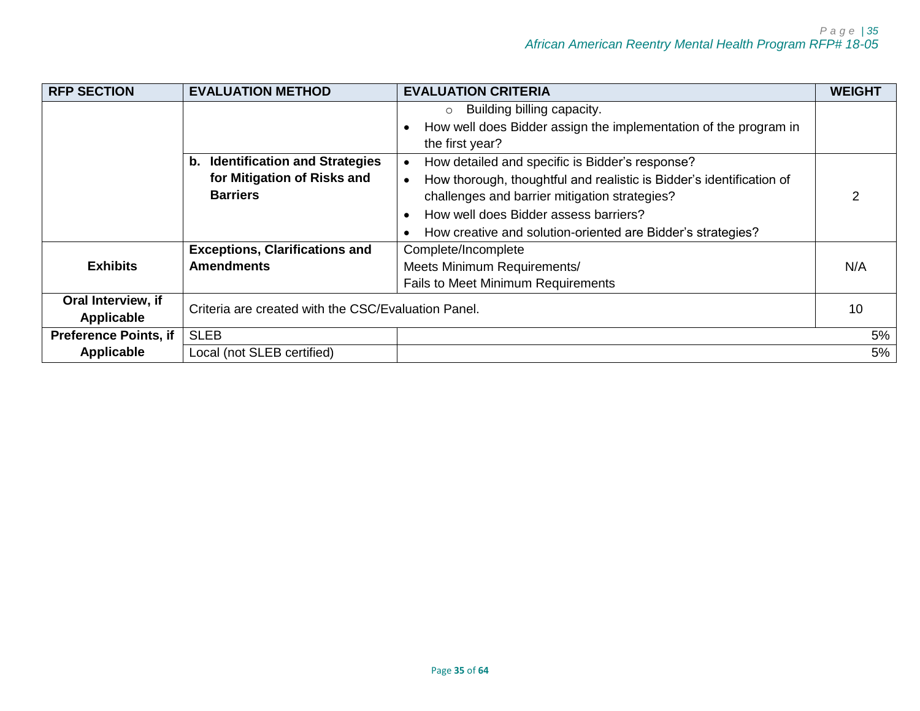| <b>RFP SECTION</b>               | <b>EVALUATION METHOD</b>                                                           | <b>EVALUATION CRITERIA</b>                                                                                                                                                                                                                                                                    | <b>WEIGHT</b> |
|----------------------------------|------------------------------------------------------------------------------------|-----------------------------------------------------------------------------------------------------------------------------------------------------------------------------------------------------------------------------------------------------------------------------------------------|---------------|
|                                  |                                                                                    | $\circ$ Building billing capacity.<br>How well does Bidder assign the implementation of the program in<br>the first year?                                                                                                                                                                     |               |
|                                  | b. Identification and Strategies<br>for Mitigation of Risks and<br><b>Barriers</b> | How detailed and specific is Bidder's response?<br>How thorough, thoughtful and realistic is Bidder's identification of<br>$\bullet$<br>challenges and barrier mitigation strategies?<br>How well does Bidder assess barriers?<br>How creative and solution-oriented are Bidder's strategies? |               |
| <b>Exhibits</b>                  | <b>Exceptions, Clarifications and</b><br><b>Amendments</b>                         | Complete/Incomplete<br>Meets Minimum Requirements/<br>Fails to Meet Minimum Requirements                                                                                                                                                                                                      | N/A           |
| Oral Interview, if<br>Applicable | Criteria are created with the CSC/Evaluation Panel.                                |                                                                                                                                                                                                                                                                                               | 10            |
| <b>Preference Points, if</b>     | <b>SLEB</b>                                                                        |                                                                                                                                                                                                                                                                                               | 5%            |
| <b>Applicable</b>                | Local (not SLEB certified)                                                         |                                                                                                                                                                                                                                                                                               | 5%            |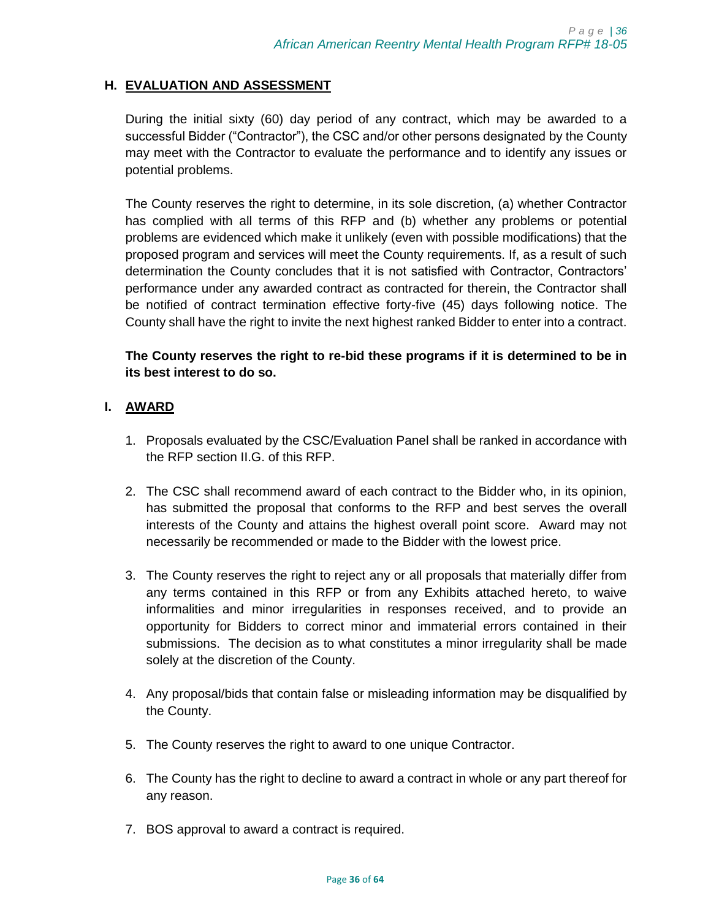# <span id="page-35-0"></span>**H. EVALUATION AND ASSESSMENT**

During the initial sixty (60) day period of any contract, which may be awarded to a successful Bidder ("Contractor"), the CSC and/or other persons designated by the County may meet with the Contractor to evaluate the performance and to identify any issues or potential problems.

The County reserves the right to determine, in its sole discretion, (a) whether Contractor has complied with all terms of this RFP and (b) whether any problems or potential problems are evidenced which make it unlikely (even with possible modifications) that the proposed program and services will meet the County requirements. If, as a result of such determination the County concludes that it is not satisfied with Contractor, Contractors' performance under any awarded contract as contracted for therein, the Contractor shall be notified of contract termination effective forty-five (45) days following notice. The County shall have the right to invite the next highest ranked Bidder to enter into a contract.

## **The County reserves the right to re-bid these programs if it is determined to be in its best interest to do so.**

## <span id="page-35-1"></span>**I. AWARD**

- 1. Proposals evaluated by the CSC/Evaluation Panel shall be ranked in accordance with the RFP section II.G. of this RFP.
- 2. The CSC shall recommend award of each contract to the Bidder who, in its opinion, has submitted the proposal that conforms to the RFP and best serves the overall interests of the County and attains the highest overall point score. Award may not necessarily be recommended or made to the Bidder with the lowest price.
- 3. The County reserves the right to reject any or all proposals that materially differ from any terms contained in this RFP or from any Exhibits attached hereto, to waive informalities and minor irregularities in responses received, and to provide an opportunity for Bidders to correct minor and immaterial errors contained in their submissions. The decision as to what constitutes a minor irregularity shall be made solely at the discretion of the County.
- 4. Any proposal/bids that contain false or misleading information may be disqualified by the County.
- 5. The County reserves the right to award to one unique Contractor.
- 6. The County has the right to decline to award a contract in whole or any part thereof for any reason.
- 7. BOS approval to award a contract is required.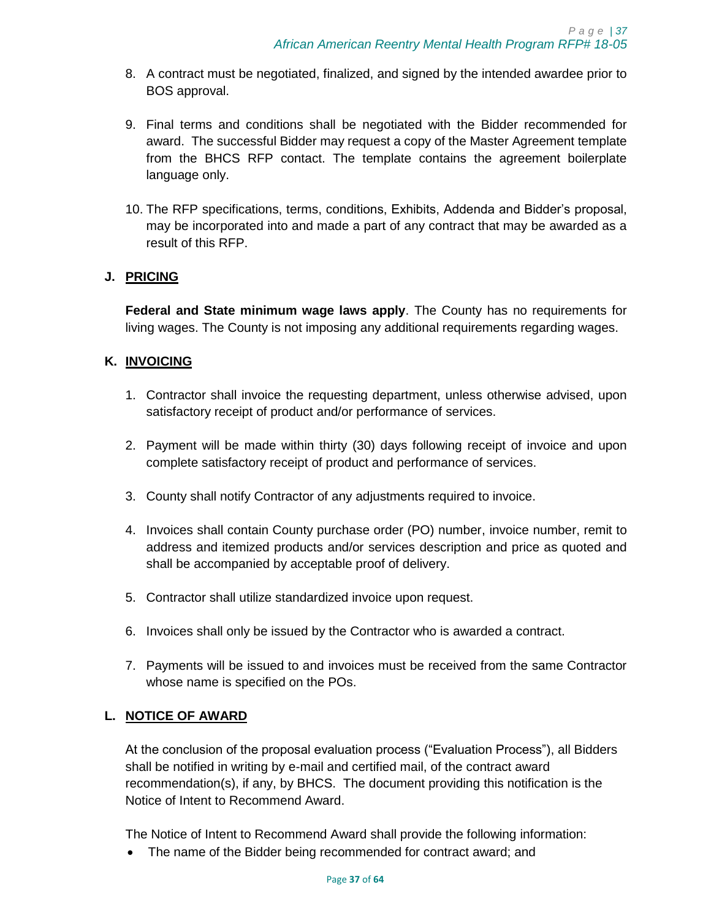- 8. A contract must be negotiated, finalized, and signed by the intended awardee prior to BOS approval.
- 9. Final terms and conditions shall be negotiated with the Bidder recommended for award. The successful Bidder may request a copy of the Master Agreement template from the BHCS RFP contact. The template contains the agreement boilerplate language only.
- 10. The RFP specifications, terms, conditions, Exhibits, Addenda and Bidder's proposal, may be incorporated into and made a part of any contract that may be awarded as a result of this RFP.

# <span id="page-36-0"></span>**J. PRICING**

**Federal and State minimum wage laws apply**. The County has no requirements for living wages. The County is not imposing any additional requirements regarding wages.

## <span id="page-36-1"></span>**K. INVOICING**

- 1. Contractor shall invoice the requesting department, unless otherwise advised, upon satisfactory receipt of product and/or performance of services.
- 2. Payment will be made within thirty (30) days following receipt of invoice and upon complete satisfactory receipt of product and performance of services.
- 3. County shall notify Contractor of any adjustments required to invoice.
- 4. Invoices shall contain County purchase order (PO) number, invoice number, remit to address and itemized products and/or services description and price as quoted and shall be accompanied by acceptable proof of delivery.
- 5. Contractor shall utilize standardized invoice upon request.
- 6. Invoices shall only be issued by the Contractor who is awarded a contract.
- 7. Payments will be issued to and invoices must be received from the same Contractor whose name is specified on the POs.

# <span id="page-36-2"></span>**L. NOTICE OF AWARD**

At the conclusion of the proposal evaluation process ("Evaluation Process"), all Bidders shall be notified in writing by e-mail and certified mail, of the contract award recommendation(s), if any, by BHCS. The document providing this notification is the Notice of Intent to Recommend Award.

The Notice of Intent to Recommend Award shall provide the following information:

• The name of the Bidder being recommended for contract award; and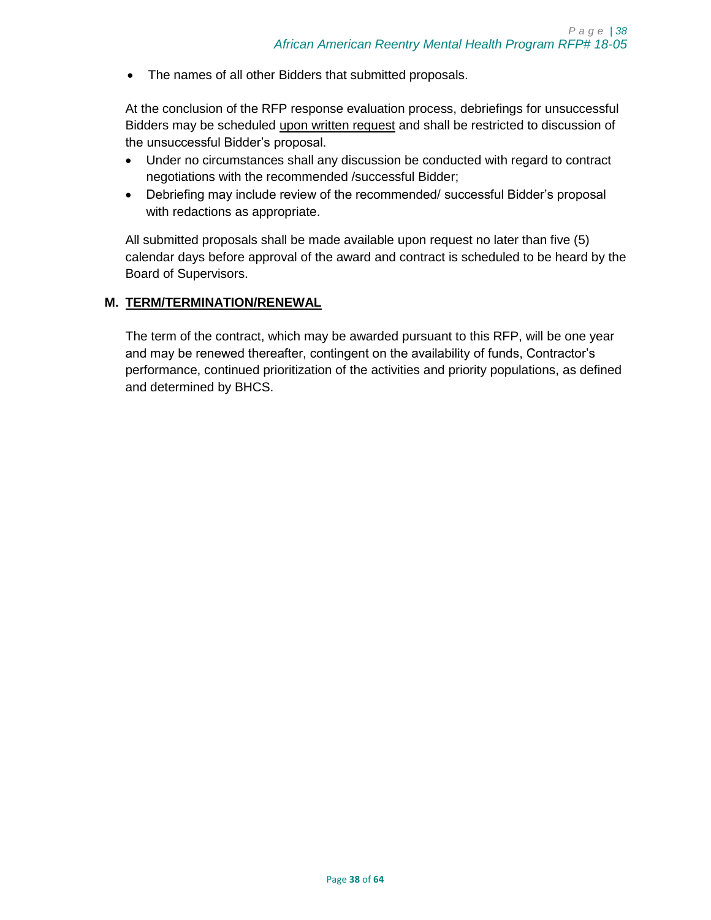• The names of all other Bidders that submitted proposals.

At the conclusion of the RFP response evaluation process, debriefings for unsuccessful Bidders may be scheduled upon written request and shall be restricted to discussion of the unsuccessful Bidder's proposal.

- Under no circumstances shall any discussion be conducted with regard to contract negotiations with the recommended /successful Bidder;
- Debriefing may include review of the recommended/ successful Bidder's proposal with redactions as appropriate.

All submitted proposals shall be made available upon request no later than five (5) calendar days before approval of the award and contract is scheduled to be heard by the Board of Supervisors.

## <span id="page-37-0"></span>**M. TERM/TERMINATION/RENEWAL**

The term of the contract, which may be awarded pursuant to this RFP, will be one year and may be renewed thereafter, contingent on the availability of funds, Contractor's performance, continued prioritization of the activities and priority populations, as defined and determined by BHCS.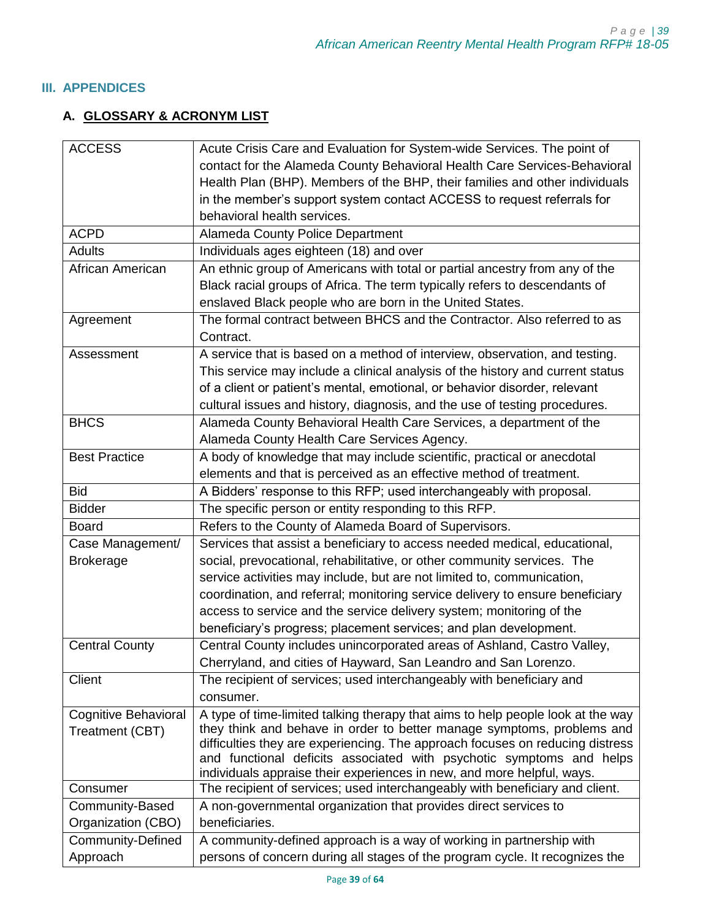## <span id="page-38-1"></span><span id="page-38-0"></span>**III. APPENDICES**

# **A. GLOSSARY & ACRONYM LIST**

| <b>ACCESS</b>            | Acute Crisis Care and Evaluation for System-wide Services. The point of                                                                                   |
|--------------------------|-----------------------------------------------------------------------------------------------------------------------------------------------------------|
|                          | contact for the Alameda County Behavioral Health Care Services-Behavioral                                                                                 |
|                          | Health Plan (BHP). Members of the BHP, their families and other individuals                                                                               |
|                          | in the member's support system contact ACCESS to request referrals for                                                                                    |
|                          | behavioral health services.                                                                                                                               |
| <b>ACPD</b>              | <b>Alameda County Police Department</b>                                                                                                                   |
| <b>Adults</b>            | Individuals ages eighteen (18) and over                                                                                                                   |
| African American         | An ethnic group of Americans with total or partial ancestry from any of the                                                                               |
|                          | Black racial groups of Africa. The term typically refers to descendants of                                                                                |
|                          | enslaved Black people who are born in the United States.                                                                                                  |
| Agreement                | The formal contract between BHCS and the Contractor. Also referred to as                                                                                  |
|                          | Contract.                                                                                                                                                 |
| Assessment               | A service that is based on a method of interview, observation, and testing.                                                                               |
|                          | This service may include a clinical analysis of the history and current status                                                                            |
|                          | of a client or patient's mental, emotional, or behavior disorder, relevant                                                                                |
|                          | cultural issues and history, diagnosis, and the use of testing procedures.                                                                                |
| <b>BHCS</b>              | Alameda County Behavioral Health Care Services, a department of the                                                                                       |
|                          | Alameda County Health Care Services Agency.                                                                                                               |
| <b>Best Practice</b>     | A body of knowledge that may include scientific, practical or anecdotal                                                                                   |
|                          | elements and that is perceived as an effective method of treatment.                                                                                       |
| <b>Bid</b>               | A Bidders' response to this RFP; used interchangeably with proposal.                                                                                      |
| <b>Bidder</b>            | The specific person or entity responding to this RFP.                                                                                                     |
| <b>Board</b>             | Refers to the County of Alameda Board of Supervisors.                                                                                                     |
| Case Management/         | Services that assist a beneficiary to access needed medical, educational,                                                                                 |
| <b>Brokerage</b>         | social, prevocational, rehabilitative, or other community services. The                                                                                   |
|                          | service activities may include, but are not limited to, communication,                                                                                    |
|                          | coordination, and referral; monitoring service delivery to ensure beneficiary                                                                             |
|                          |                                                                                                                                                           |
|                          | access to service and the service delivery system; monitoring of the<br>beneficiary's progress; placement services; and plan development.                 |
|                          |                                                                                                                                                           |
| <b>Central County</b>    | Central County includes unincorporated areas of Ashland, Castro Valley,                                                                                   |
|                          | Cherryland, and cities of Hayward, San Leandro and San Lorenzo.                                                                                           |
| Client                   | The recipient of services; used interchangeably with beneficiary and                                                                                      |
|                          | consumer.                                                                                                                                                 |
| Cognitive Behavioral     | A type of time-limited talking therapy that aims to help people look at the way<br>they think and behave in order to better manage symptoms, problems and |
| Treatment (CBT)          | difficulties they are experiencing. The approach focuses on reducing distress                                                                             |
|                          | and functional deficits associated with psychotic symptoms and helps                                                                                      |
|                          | individuals appraise their experiences in new, and more helpful, ways.                                                                                    |
| Consumer                 | The recipient of services; used interchangeably with beneficiary and client.                                                                              |
| Community-Based          | A non-governmental organization that provides direct services to                                                                                          |
| Organization (CBO)       | beneficiaries.                                                                                                                                            |
| <b>Community-Defined</b> | A community-defined approach is a way of working in partnership with                                                                                      |
| Approach                 | persons of concern during all stages of the program cycle. It recognizes the                                                                              |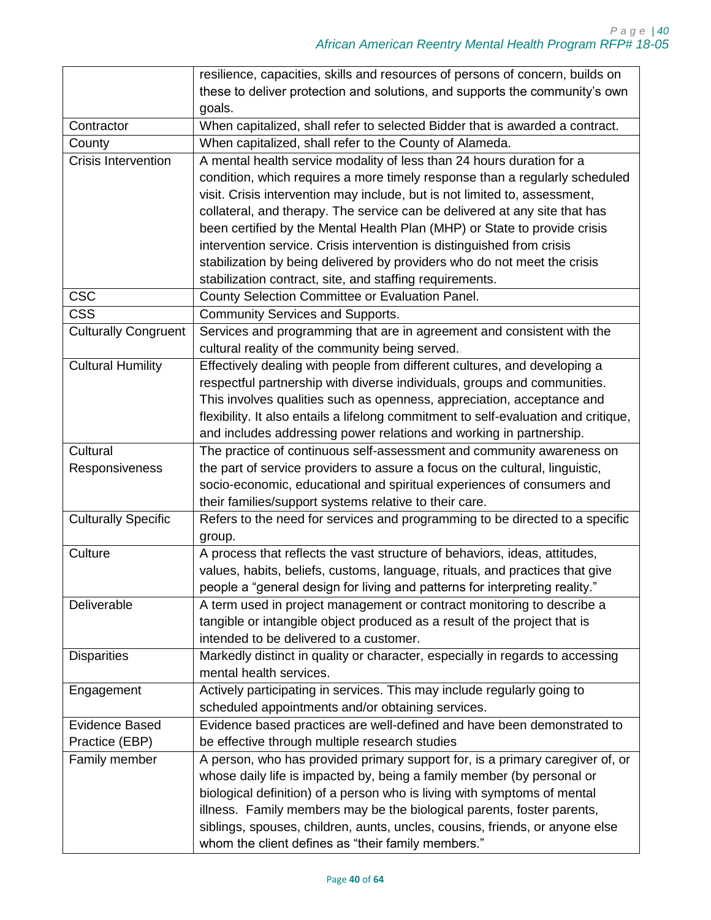|                             | resilience, capacities, skills and resources of persons of concern, builds on       |
|-----------------------------|-------------------------------------------------------------------------------------|
|                             | these to deliver protection and solutions, and supports the community's own         |
|                             | goals.                                                                              |
| Contractor                  | When capitalized, shall refer to selected Bidder that is awarded a contract.        |
| County                      | When capitalized, shall refer to the County of Alameda.                             |
| <b>Crisis Intervention</b>  | A mental health service modality of less than 24 hours duration for a               |
|                             | condition, which requires a more timely response than a regularly scheduled         |
|                             | visit. Crisis intervention may include, but is not limited to, assessment,          |
|                             | collateral, and therapy. The service can be delivered at any site that has          |
|                             | been certified by the Mental Health Plan (MHP) or State to provide crisis           |
|                             | intervention service. Crisis intervention is distinguished from crisis              |
|                             | stabilization by being delivered by providers who do not meet the crisis            |
|                             | stabilization contract, site, and staffing requirements.                            |
| <b>CSC</b>                  | County Selection Committee or Evaluation Panel.                                     |
| <b>CSS</b>                  | Community Services and Supports.                                                    |
| <b>Culturally Congruent</b> | Services and programming that are in agreement and consistent with the              |
|                             | cultural reality of the community being served.                                     |
| <b>Cultural Humility</b>    | Effectively dealing with people from different cultures, and developing a           |
|                             | respectful partnership with diverse individuals, groups and communities.            |
|                             | This involves qualities such as openness, appreciation, acceptance and              |
|                             | flexibility. It also entails a lifelong commitment to self-evaluation and critique, |
|                             | and includes addressing power relations and working in partnership.                 |
| Cultural                    | The practice of continuous self-assessment and community awareness on               |
| Responsiveness              | the part of service providers to assure a focus on the cultural, linguistic,        |
|                             | socio-economic, educational and spiritual experiences of consumers and              |
|                             | their families/support systems relative to their care.                              |
| <b>Culturally Specific</b>  | Refers to the need for services and programming to be directed to a specific        |
|                             | group.                                                                              |
| Culture                     | A process that reflects the vast structure of behaviors, ideas, attitudes,          |
|                             | values, habits, beliefs, customs, language, rituals, and practices that give        |
|                             | people a "general design for living and patterns for interpreting reality."         |
| Deliverable                 | A term used in project management or contract monitoring to describe a              |
|                             | tangible or intangible object produced as a result of the project that is           |
|                             | intended to be delivered to a customer.                                             |
| <b>Disparities</b>          | Markedly distinct in quality or character, especially in regards to accessing       |
|                             | mental health services.                                                             |
| Engagement                  | Actively participating in services. This may include regularly going to             |
|                             | scheduled appointments and/or obtaining services.                                   |
| <b>Evidence Based</b>       | Evidence based practices are well-defined and have been demonstrated to             |
| Practice (EBP)              | be effective through multiple research studies                                      |
| Family member               | A person, who has provided primary support for, is a primary caregiver of, or       |
|                             | whose daily life is impacted by, being a family member (by personal or              |
|                             | biological definition) of a person who is living with symptoms of mental            |
|                             | illness. Family members may be the biological parents, foster parents,              |
|                             | siblings, spouses, children, aunts, uncles, cousins, friends, or anyone else        |
|                             | whom the client defines as "their family members."                                  |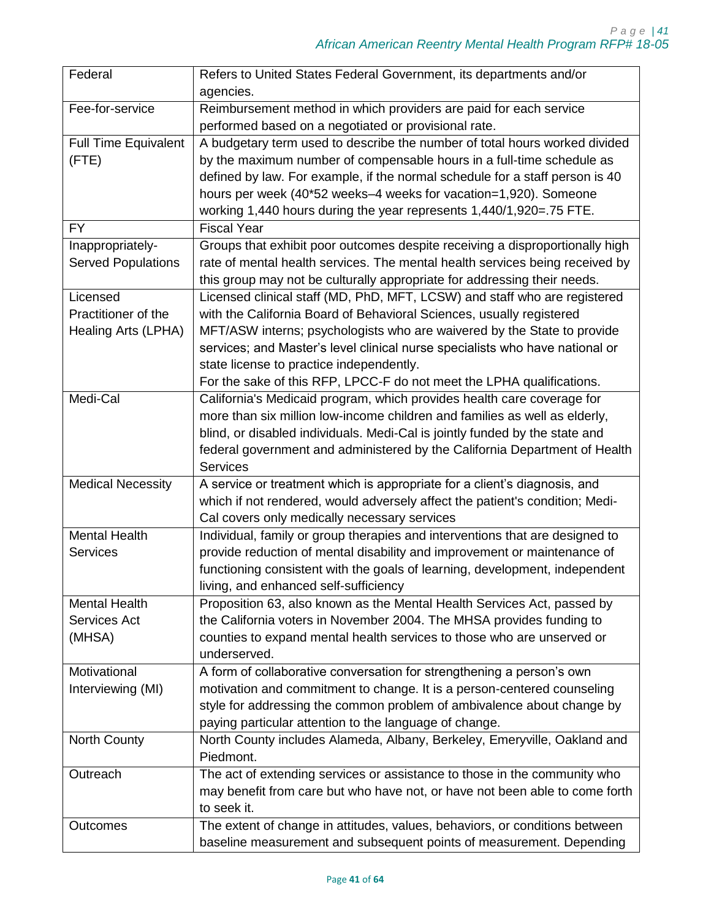| Federal                     | Refers to United States Federal Government, its departments and/or           |
|-----------------------------|------------------------------------------------------------------------------|
|                             | agencies.                                                                    |
| Fee-for-service             | Reimbursement method in which providers are paid for each service            |
|                             | performed based on a negotiated or provisional rate.                         |
| <b>Full Time Equivalent</b> | A budgetary term used to describe the number of total hours worked divided   |
| (FTE)                       | by the maximum number of compensable hours in a full-time schedule as        |
|                             | defined by law. For example, if the normal schedule for a staff person is 40 |
|                             | hours per week (40*52 weeks-4 weeks for vacation=1,920). Someone             |
|                             | working 1,440 hours during the year represents 1,440/1,920=.75 FTE.          |
| <b>FY</b>                   | <b>Fiscal Year</b>                                                           |
| Inappropriately-            | Groups that exhibit poor outcomes despite receiving a disproportionally high |
| <b>Served Populations</b>   | rate of mental health services. The mental health services being received by |
|                             | this group may not be culturally appropriate for addressing their needs.     |
| Licensed                    | Licensed clinical staff (MD, PhD, MFT, LCSW) and staff who are registered    |
| Practitioner of the         | with the California Board of Behavioral Sciences, usually registered         |
| Healing Arts (LPHA)         | MFT/ASW interns; psychologists who are waivered by the State to provide      |
|                             | services; and Master's level clinical nurse specialists who have national or |
|                             | state license to practice independently.                                     |
|                             | For the sake of this RFP, LPCC-F do not meet the LPHA qualifications.        |
| Medi-Cal                    | California's Medicaid program, which provides health care coverage for       |
|                             | more than six million low-income children and families as well as elderly,   |
|                             | blind, or disabled individuals. Medi-Cal is jointly funded by the state and  |
|                             | federal government and administered by the California Department of Health   |
|                             | <b>Services</b>                                                              |
|                             |                                                                              |
| <b>Medical Necessity</b>    | A service or treatment which is appropriate for a client's diagnosis, and    |
|                             | which if not rendered, would adversely affect the patient's condition; Medi- |
|                             | Cal covers only medically necessary services                                 |
| <b>Mental Health</b>        | Individual, family or group therapies and interventions that are designed to |
| <b>Services</b>             | provide reduction of mental disability and improvement or maintenance of     |
|                             | functioning consistent with the goals of learning, development, independent  |
|                             | living, and enhanced self-sufficiency                                        |
| <b>Mental Health</b>        | Proposition 63, also known as the Mental Health Services Act, passed by      |
| Services Act                | the California voters in November 2004. The MHSA provides funding to         |
| (MHSA)                      | counties to expand mental health services to those who are unserved or       |
|                             | underserved.                                                                 |
| Motivational                | A form of collaborative conversation for strengthening a person's own        |
| Interviewing (MI)           | motivation and commitment to change. It is a person-centered counseling      |
|                             | style for addressing the common problem of ambivalence about change by       |
|                             | paying particular attention to the language of change.                       |
| <b>North County</b>         | North County includes Alameda, Albany, Berkeley, Emeryville, Oakland and     |
|                             | Piedmont.                                                                    |
| Outreach                    | The act of extending services or assistance to those in the community who    |
|                             | may benefit from care but who have not, or have not been able to come forth  |
|                             | to seek it.                                                                  |
| <b>Outcomes</b>             | The extent of change in attitudes, values, behaviors, or conditions between  |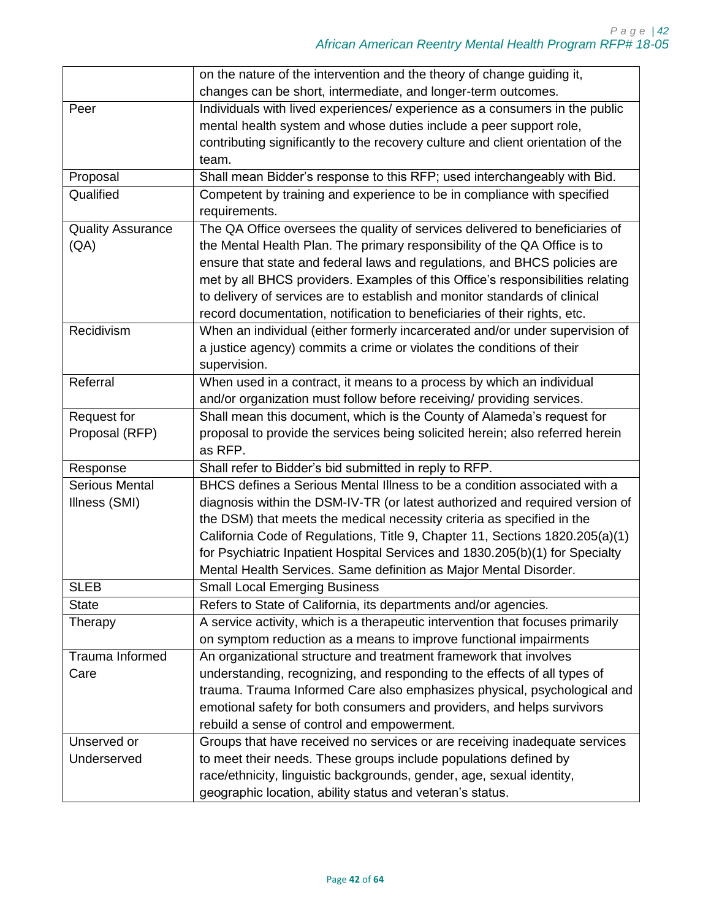|                          | on the nature of the intervention and the theory of change guiding it,           |
|--------------------------|----------------------------------------------------------------------------------|
|                          | changes can be short, intermediate, and longer-term outcomes.                    |
| Peer                     | Individuals with lived experiences/ experience as a consumers in the public      |
|                          | mental health system and whose duties include a peer support role,               |
|                          | contributing significantly to the recovery culture and client orientation of the |
|                          | team.                                                                            |
| Proposal                 | Shall mean Bidder's response to this RFP; used interchangeably with Bid.         |
| Qualified                | Competent by training and experience to be in compliance with specified          |
|                          | requirements.                                                                    |
| <b>Quality Assurance</b> | The QA Office oversees the quality of services delivered to beneficiaries of     |
| (AA)                     | the Mental Health Plan. The primary responsibility of the QA Office is to        |
|                          | ensure that state and federal laws and regulations, and BHCS policies are        |
|                          | met by all BHCS providers. Examples of this Office's responsibilities relating   |
|                          | to delivery of services are to establish and monitor standards of clinical       |
|                          | record documentation, notification to beneficiaries of their rights, etc.        |
| Recidivism               | When an individual (either formerly incarcerated and/or under supervision of     |
|                          | a justice agency) commits a crime or violates the conditions of their            |
|                          | supervision.                                                                     |
| Referral                 | When used in a contract, it means to a process by which an individual            |
|                          | and/or organization must follow before receiving/ providing services.            |
| Request for              | Shall mean this document, which is the County of Alameda's request for           |
| Proposal (RFP)           | proposal to provide the services being solicited herein; also referred herein    |
|                          | as RFP.                                                                          |
| Response                 | Shall refer to Bidder's bid submitted in reply to RFP.                           |
| <b>Serious Mental</b>    | BHCS defines a Serious Mental Illness to be a condition associated with a        |
| Illness (SMI)            | diagnosis within the DSM-IV-TR (or latest authorized and required version of     |
|                          | the DSM) that meets the medical necessity criteria as specified in the           |
|                          | California Code of Regulations, Title 9, Chapter 11, Sections 1820.205(a)(1)     |
|                          | for Psychiatric Inpatient Hospital Services and 1830.205(b)(1) for Specialty     |
|                          | Mental Health Services. Same definition as Major Mental Disorder.                |
| <b>SLEB</b>              | <b>Small Local Emerging Business</b>                                             |
| <b>State</b>             | Refers to State of California, its departments and/or agencies.                  |
| Therapy                  | A service activity, which is a therapeutic intervention that focuses primarily   |
|                          | on symptom reduction as a means to improve functional impairments                |
| Trauma Informed          | An organizational structure and treatment framework that involves                |
| Care                     | understanding, recognizing, and responding to the effects of all types of        |
|                          | trauma. Trauma Informed Care also emphasizes physical, psychological and         |
|                          | emotional safety for both consumers and providers, and helps survivors           |
|                          | rebuild a sense of control and empowerment.                                      |
| Unserved or              | Groups that have received no services or are receiving inadequate services       |
| Underserved              | to meet their needs. These groups include populations defined by                 |
|                          | race/ethnicity, linguistic backgrounds, gender, age, sexual identity,            |
|                          | geographic location, ability status and veteran's status.                        |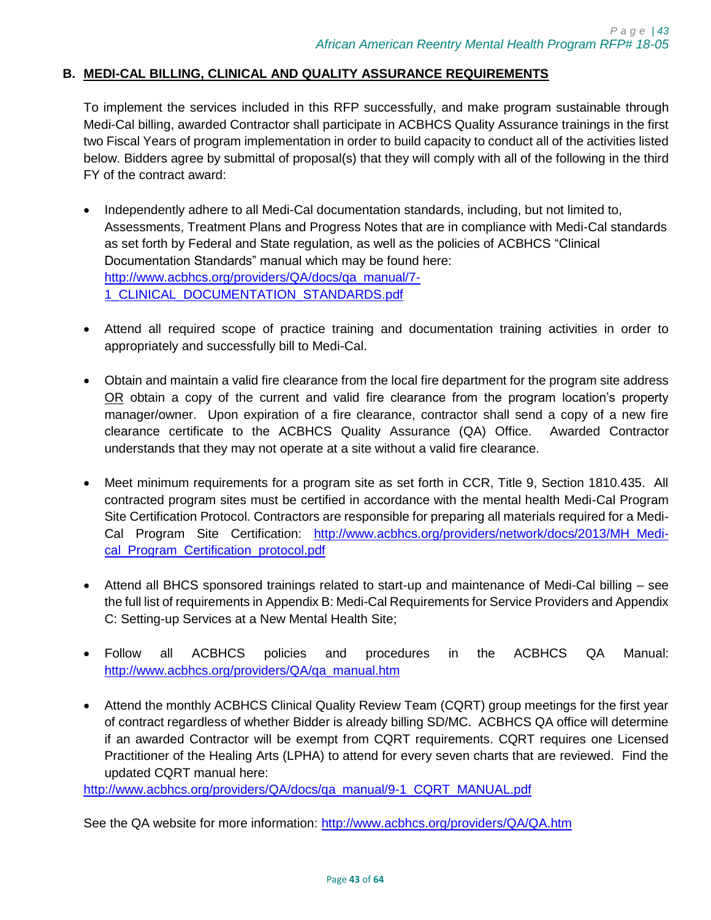## <span id="page-42-0"></span>**B. MEDI-CAL BILLING, CLINICAL AND QUALITY ASSURANCE REQUIREMENTS**

To implement the services included in this RFP successfully, and make program sustainable through Medi-Cal billing, awarded Contractor shall participate in ACBHCS Quality Assurance trainings in the first two Fiscal Years of program implementation in order to build capacity to conduct all of the activities listed below. Bidders agree by submittal of proposal(s) that they will comply with all of the following in the third FY of the contract award:

- Independently adhere to all Medi-Cal documentation standards, including, but not limited to, Assessments, Treatment Plans and Progress Notes that are in compliance with Medi-Cal standards as set forth by Federal and State regulation, as well as the policies of ACBHCS "Clinical Documentation Standards" manual which may be found here: [http://www.acbhcs.org/providers/QA/docs/qa\\_manual/7-](http://www.acbhcs.org/providers/QA/docs/qa_manual/7-1_CLINICAL_DOCUMENTATION_STANDARDS.pdf) 1 CLINICAL DOCUMENTATION STANDARDS.pdf
- Attend all required scope of practice training and documentation training activities in order to appropriately and successfully bill to Medi-Cal.
- Obtain and maintain a valid fire clearance from the local fire department for the program site address OR obtain a copy of the current and valid fire clearance from the program location's property manager/owner. Upon expiration of a fire clearance, contractor shall send a copy of a new fire clearance certificate to the ACBHCS Quality Assurance (QA) Office. Awarded Contractor understands that they may not operate at a site without a valid fire clearance.
- Meet minimum requirements for a program site as set forth in CCR, Title 9, Section 1810.435. All contracted program sites must be certified in accordance with the mental health Medi-Cal Program Site Certification Protocol. Contractors are responsible for preparing all materials required for a Medi-Cal Program Site Certification: http://www.acbhcs.org/providers/network/docs/2013/MH Medi[cal\\_Program\\_Certification\\_protocol.pdf](http://www.acbhcs.org/providers/network/docs/2013/MH_Medi-cal_Program_Certification_protocol.pdf)
- Attend all BHCS sponsored trainings related to start-up and maintenance of Medi-Cal billing see the full list of requirements in Appendix B: Medi-Cal Requirements for Service Providers and Appendix C: Setting-up Services at a New Mental Health Site;
- Follow all ACBHCS policies and procedures in the ACBHCS QA Manual: [http://www.acbhcs.org/providers/QA/qa\\_manual.htm](http://www.acbhcs.org/providers/QA/qa_manual.htm)
- Attend the monthly ACBHCS Clinical Quality Review Team (CQRT) group meetings for the first year of contract regardless of whether Bidder is already billing SD/MC. ACBHCS QA office will determine if an awarded Contractor will be exempt from CQRT requirements. CQRT requires one Licensed Practitioner of the Healing Arts (LPHA) to attend for every seven charts that are reviewed. Find the updated CQRT manual here:

[http://www.acbhcs.org/providers/QA/docs/qa\\_manual/9-1\\_CQRT\\_MANUAL.pdf](http://www.acbhcs.org/providers/QA/docs/qa_manual/9-1_CQRT_MANUAL.pdf)

See the QA website for more information:<http://www.acbhcs.org/providers/QA/QA.htm>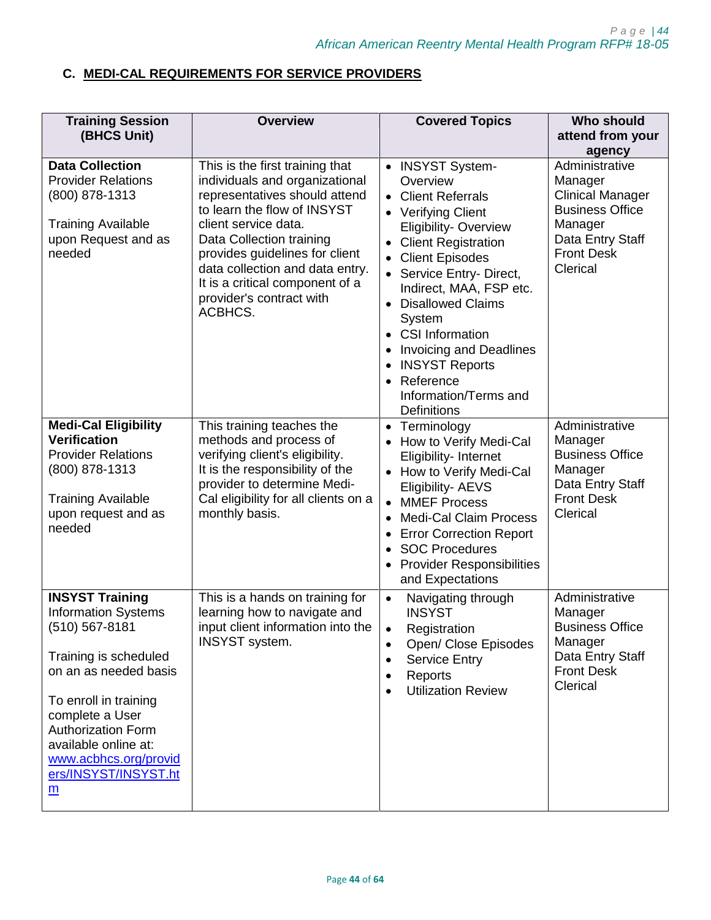# <span id="page-43-0"></span>**C. MEDI-CAL REQUIREMENTS FOR SERVICE PROVIDERS**

| <b>Training Session</b>                                                                                                                                                                                                                                                                                | <b>Overview</b>                                                                                                                                                                                                                                                                                                                      | <b>Covered Topics</b>                                                                                                                                                                                                                                                                                                                                                                                                                                                           | <b>Who should</b>                                                                                                                                        |
|--------------------------------------------------------------------------------------------------------------------------------------------------------------------------------------------------------------------------------------------------------------------------------------------------------|--------------------------------------------------------------------------------------------------------------------------------------------------------------------------------------------------------------------------------------------------------------------------------------------------------------------------------------|---------------------------------------------------------------------------------------------------------------------------------------------------------------------------------------------------------------------------------------------------------------------------------------------------------------------------------------------------------------------------------------------------------------------------------------------------------------------------------|----------------------------------------------------------------------------------------------------------------------------------------------------------|
| (BHCS Unit)                                                                                                                                                                                                                                                                                            |                                                                                                                                                                                                                                                                                                                                      |                                                                                                                                                                                                                                                                                                                                                                                                                                                                                 | attend from your                                                                                                                                         |
| <b>Data Collection</b><br><b>Provider Relations</b><br>(800) 878-1313<br><b>Training Available</b><br>upon Request and as<br>needed                                                                                                                                                                    | This is the first training that<br>individuals and organizational<br>representatives should attend<br>to learn the flow of INSYST<br>client service data.<br>Data Collection training<br>provides guidelines for client<br>data collection and data entry.<br>It is a critical component of a<br>provider's contract with<br>ACBHCS. | <b>INSYST System-</b><br>$\bullet$<br>Overview<br><b>Client Referrals</b><br>$\bullet$<br>• Verifying Client<br>Eligibility-Overview<br><b>Client Registration</b><br><b>Client Episodes</b><br>$\bullet$<br>Service Entry- Direct,<br>Indirect, MAA, FSP etc.<br><b>Disallowed Claims</b><br>System<br><b>CSI Information</b><br>$\bullet$<br><b>Invoicing and Deadlines</b><br>$\bullet$<br><b>INSYST Reports</b><br>Reference<br>Information/Terms and<br><b>Definitions</b> | agency<br>Administrative<br>Manager<br><b>Clinical Manager</b><br><b>Business Office</b><br>Manager<br>Data Entry Staff<br><b>Front Desk</b><br>Clerical |
| <b>Medi-Cal Eligibility</b><br><b>Verification</b><br><b>Provider Relations</b><br>(800) 878-1313<br><b>Training Available</b><br>upon request and as<br>needed                                                                                                                                        | This training teaches the<br>methods and process of<br>verifying client's eligibility.<br>It is the responsibility of the<br>provider to determine Medi-<br>Cal eligibility for all clients on a<br>monthly basis.                                                                                                                   | • Terminology<br>How to Verify Medi-Cal<br>Eligibility- Internet<br>• How to Verify Medi-Cal<br>Eligibility- AEVS<br><b>MMEF Process</b><br>$\bullet$<br><b>Medi-Cal Claim Process</b><br><b>Error Correction Report</b><br><b>SOC Procedures</b><br><b>Provider Responsibilities</b><br>and Expectations                                                                                                                                                                       | Administrative<br>Manager<br><b>Business Office</b><br>Manager<br>Data Entry Staff<br><b>Front Desk</b><br>Clerical                                      |
| <b>INSYST Training</b><br><b>Information Systems</b><br>(510) 567-8181<br>Training is scheduled<br>on an as needed basis<br>To enroll in training<br>complete a User<br><b>Authorization Form</b><br>available online at:<br>www.acbhcs.org/provid<br>ers/INSYST/INSYST.ht<br>$\underline{\mathsf{m}}$ | This is a hands on training for<br>learning how to navigate and<br>input client information into the<br><b>INSYST</b> system.                                                                                                                                                                                                        | Navigating through<br>$\bullet$<br><b>INSYST</b><br>Registration<br>Open/ Close Episodes<br>$\bullet$<br><b>Service Entry</b><br>$\bullet$<br>Reports<br>$\bullet$<br><b>Utilization Review</b>                                                                                                                                                                                                                                                                                 | Administrative<br>Manager<br><b>Business Office</b><br>Manager<br>Data Entry Staff<br><b>Front Desk</b><br>Clerical                                      |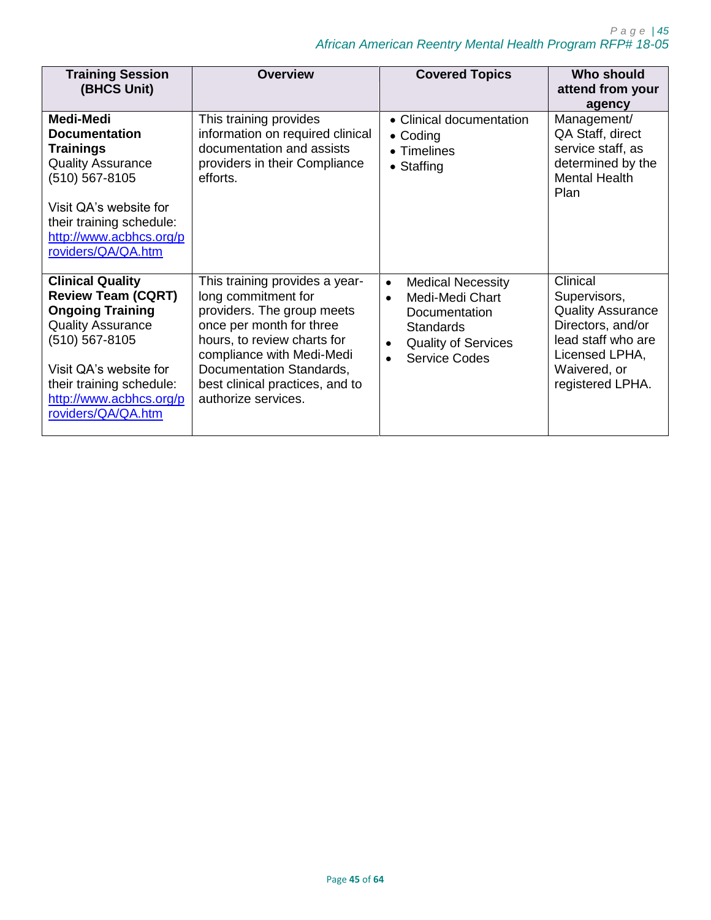| <b>Training Session</b><br>(BHCS Unit)                                                                                                                                                                                               | <b>Overview</b>                                                                                                                                                                                                                                                   | <b>Covered Topics</b>                                                                                                                                                                      | Who should<br>attend from your<br>agency                                                                                                              |
|--------------------------------------------------------------------------------------------------------------------------------------------------------------------------------------------------------------------------------------|-------------------------------------------------------------------------------------------------------------------------------------------------------------------------------------------------------------------------------------------------------------------|--------------------------------------------------------------------------------------------------------------------------------------------------------------------------------------------|-------------------------------------------------------------------------------------------------------------------------------------------------------|
| Medi-Medi<br><b>Documentation</b><br><b>Trainings</b><br><b>Quality Assurance</b><br>(510) 567-8105<br>Visit QA's website for<br>their training schedule:<br>http://www.acbhcs.org/p<br>roviders/QA/QA.htm                           | This training provides<br>information on required clinical<br>documentation and assists<br>providers in their Compliance<br>efforts.                                                                                                                              | • Clinical documentation<br>$\bullet$ Coding<br>$\bullet$ Timelines<br>$\bullet$ Staffing                                                                                                  | Management/<br>QA Staff, direct<br>service staff, as<br>determined by the<br><b>Mental Health</b><br>Plan                                             |
| <b>Clinical Quality</b><br><b>Review Team (CQRT)</b><br><b>Ongoing Training</b><br><b>Quality Assurance</b><br>(510) 567-8105<br>Visit QA's website for<br>their training schedule:<br>http://www.acbhcs.org/p<br>roviders/QA/QA.htm | This training provides a year-<br>long commitment for<br>providers. The group meets<br>once per month for three<br>hours, to review charts for<br>compliance with Medi-Medi<br>Documentation Standards,<br>best clinical practices, and to<br>authorize services. | <b>Medical Necessity</b><br>$\bullet$<br>Medi-Medi Chart<br>$\bullet$<br>Documentation<br><b>Standards</b><br><b>Quality of Services</b><br>$\bullet$<br><b>Service Codes</b><br>$\bullet$ | Clinical<br>Supervisors,<br><b>Quality Assurance</b><br>Directors, and/or<br>lead staff who are<br>Licensed LPHA,<br>Waivered, or<br>registered LPHA. |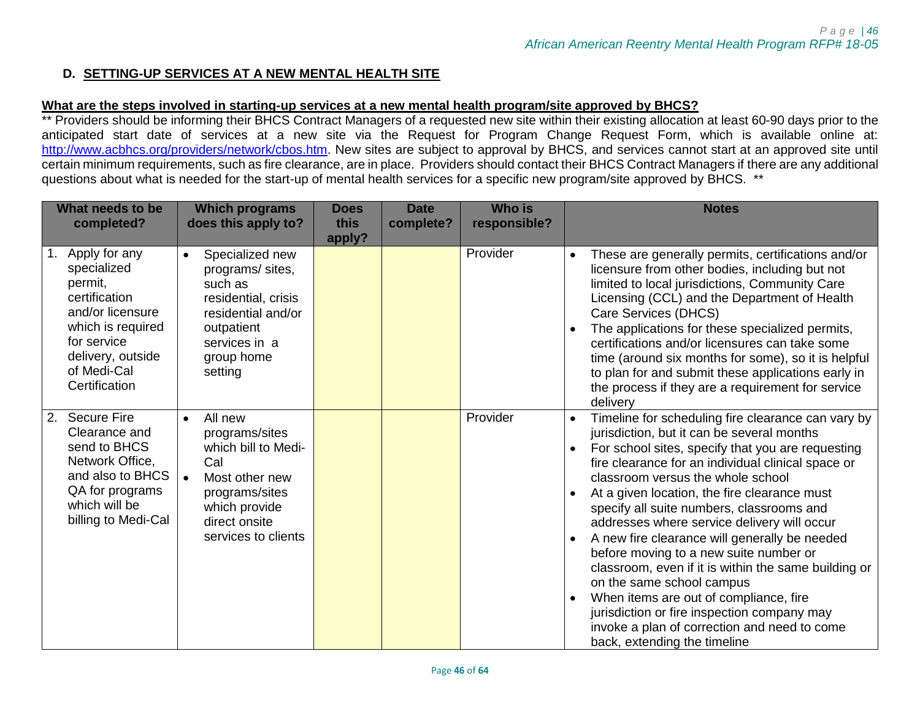## **D. SETTING-UP SERVICES AT A NEW MENTAL HEALTH SITE**

## **What are the steps involved in starting-up services at a new mental health program/site approved by BHCS?**

\*\* Providers should be informing their BHCS Contract Managers of a requested new site within their existing allocation at least 60-90 days prior to the anticipated start date of services at a new site via the Request for Program Change Request Form, which is available online at: [http://www.acbhcs.org/providers/network/cbos.htm.](http://www.acbhcs.org/providers/network/cbos.htm) New sites are subject to approval by BHCS, and services cannot start at an approved site until certain minimum requirements, such as fire clearance, are in place. Providers should contact their BHCS Contract Managers if there are any additional questions about what is needed for the start-up of mental health services for a specific new program/site approved by BHCS. \*\*

<span id="page-45-0"></span>

| What needs to be<br>completed?                                                                                                                                        | <b>Which programs</b><br>does this apply to?                                                                                                                                   | <b>Does</b><br>this<br>apply? | <b>Date</b><br>complete? | <b>Who is</b><br>responsible? | <b>Notes</b>                                                                                                                                                                                                                                                                                                                                                                                                                                                                                                                                                                                                                                                                                                                                                                                              |
|-----------------------------------------------------------------------------------------------------------------------------------------------------------------------|--------------------------------------------------------------------------------------------------------------------------------------------------------------------------------|-------------------------------|--------------------------|-------------------------------|-----------------------------------------------------------------------------------------------------------------------------------------------------------------------------------------------------------------------------------------------------------------------------------------------------------------------------------------------------------------------------------------------------------------------------------------------------------------------------------------------------------------------------------------------------------------------------------------------------------------------------------------------------------------------------------------------------------------------------------------------------------------------------------------------------------|
| Apply for any<br>specialized<br>permit,<br>certification<br>and/or licensure<br>which is required<br>for service<br>delivery, outside<br>of Medi-Cal<br>Certification | Specialized new<br>$\bullet$<br>programs/sites,<br>such as<br>residential, crisis<br>residential and/or<br>outpatient<br>services in a<br>group home<br>setting                |                               |                          | Provider                      | These are generally permits, certifications and/or<br>licensure from other bodies, including but not<br>limited to local jurisdictions, Community Care<br>Licensing (CCL) and the Department of Health<br>Care Services (DHCS)<br>The applications for these specialized permits,<br>$\bullet$<br>certifications and/or licensures can take some<br>time (around six months for some), so it is helpful<br>to plan for and submit these applications early in<br>the process if they are a requirement for service<br>delivery                                                                                                                                                                                                                                                                            |
| <b>Secure Fire</b><br>2.<br>Clearance and<br>send to BHCS<br>Network Office,<br>and also to BHCS<br>QA for programs<br>which will be<br>billing to Medi-Cal           | All new<br>$\bullet$<br>programs/sites<br>which bill to Medi-<br>Cal<br>Most other new<br>$\bullet$<br>programs/sites<br>which provide<br>direct onsite<br>services to clients |                               |                          | Provider                      | Timeline for scheduling fire clearance can vary by<br>$\bullet$<br>jurisdiction, but it can be several months<br>For school sites, specify that you are requesting<br>$\bullet$<br>fire clearance for an individual clinical space or<br>classroom versus the whole school<br>At a given location, the fire clearance must<br>specify all suite numbers, classrooms and<br>addresses where service delivery will occur<br>A new fire clearance will generally be needed<br>$\bullet$<br>before moving to a new suite number or<br>classroom, even if it is within the same building or<br>on the same school campus<br>When items are out of compliance, fire<br>$\bullet$<br>jurisdiction or fire inspection company may<br>invoke a plan of correction and need to come<br>back, extending the timeline |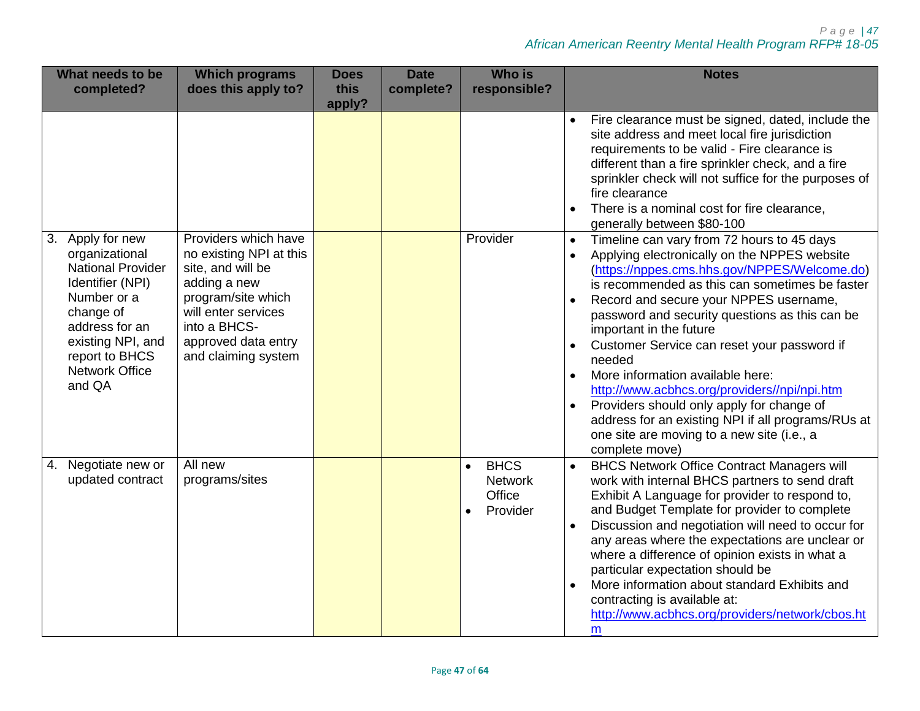## *P a g e | 47 African American Reentry Mental Health Program RFP# 18-05*

| What needs to be<br>completed?                                                                                                                                                                                | <b>Which programs</b><br>does this apply to?                                                                                                                                                    | <b>Does</b><br>this<br>apply? | <b>Date</b><br>complete? | <b>Who is</b><br>responsible?                                    | <b>Notes</b>                                                                                                                                                                                                                                                                                                                                                                                                                                                                                                                                                                                                                                     |
|---------------------------------------------------------------------------------------------------------------------------------------------------------------------------------------------------------------|-------------------------------------------------------------------------------------------------------------------------------------------------------------------------------------------------|-------------------------------|--------------------------|------------------------------------------------------------------|--------------------------------------------------------------------------------------------------------------------------------------------------------------------------------------------------------------------------------------------------------------------------------------------------------------------------------------------------------------------------------------------------------------------------------------------------------------------------------------------------------------------------------------------------------------------------------------------------------------------------------------------------|
|                                                                                                                                                                                                               |                                                                                                                                                                                                 |                               |                          |                                                                  | Fire clearance must be signed, dated, include the<br>site address and meet local fire jurisdiction<br>requirements to be valid - Fire clearance is<br>different than a fire sprinkler check, and a fire<br>sprinkler check will not suffice for the purposes of<br>fire clearance<br>There is a nominal cost for fire clearance,<br>generally between \$80-100                                                                                                                                                                                                                                                                                   |
| 3.<br>Apply for new<br>organizational<br><b>National Provider</b><br>Identifier (NPI)<br>Number or a<br>change of<br>address for an<br>existing NPI, and<br>report to BHCS<br><b>Network Office</b><br>and QA | Providers which have<br>no existing NPI at this<br>site, and will be<br>adding a new<br>program/site which<br>will enter services<br>into a BHCS-<br>approved data entry<br>and claiming system |                               |                          | Provider                                                         | Timeline can vary from 72 hours to 45 days<br>$\bullet$<br>Applying electronically on the NPPES website<br>(https://nppes.cms.hhs.gov/NPPES/Welcome.do)<br>is recommended as this can sometimes be faster<br>Record and secure your NPPES username,<br>password and security questions as this can be<br>important in the future<br>Customer Service can reset your password if<br>needed<br>More information available here:<br>http://www.acbhcs.org/providers//npi/npi.htm<br>Providers should only apply for change of<br>address for an existing NPI if all programs/RUs at<br>one site are moving to a new site (i.e., a<br>complete move) |
| Negotiate new or<br>4.<br>updated contract                                                                                                                                                                    | All new<br>programs/sites                                                                                                                                                                       |                               |                          | <b>BHCS</b><br>$\bullet$<br><b>Network</b><br>Office<br>Provider | <b>BHCS Network Office Contract Managers will</b><br>$\bullet$<br>work with internal BHCS partners to send draft<br>Exhibit A Language for provider to respond to,<br>and Budget Template for provider to complete<br>Discussion and negotiation will need to occur for<br>$\bullet$<br>any areas where the expectations are unclear or<br>where a difference of opinion exists in what a<br>particular expectation should be<br>More information about standard Exhibits and<br>$\bullet$<br>contracting is available at:<br>http://www.acbhcs.org/providers/network/cbos.ht<br>m                                                               |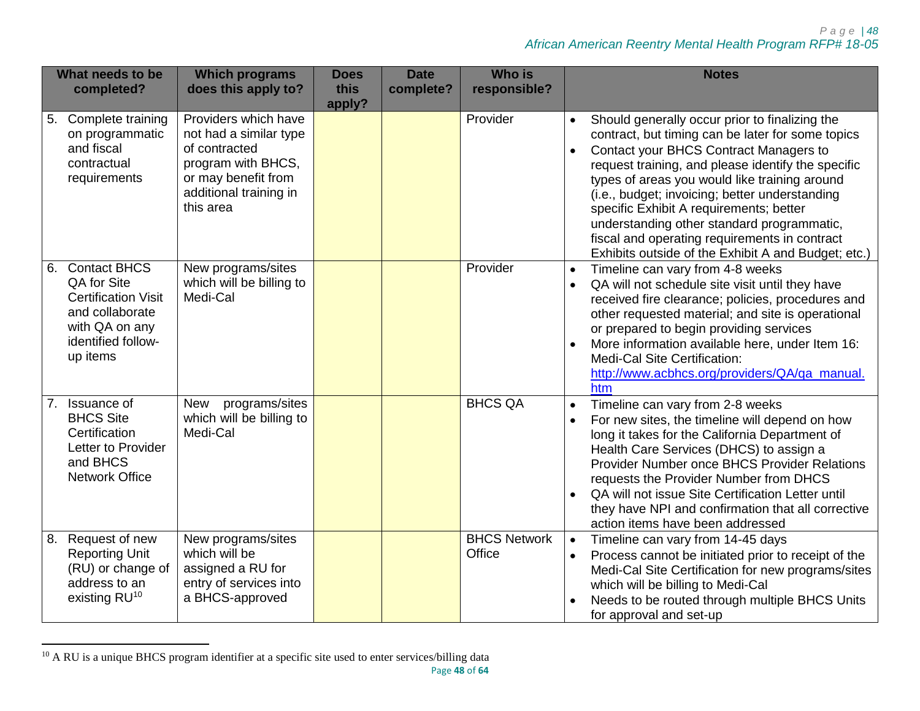| What needs to be<br>completed?                                                                                                      | <b>Which programs</b><br>does this apply to?                                                                                                        | <b>Does</b><br>this<br>apply? | <b>Date</b><br>complete? | <b>Who is</b><br>responsible? | <b>Notes</b>                                                                                                                                                                                                                                                                                                                                                                                                                                                                                                                      |
|-------------------------------------------------------------------------------------------------------------------------------------|-----------------------------------------------------------------------------------------------------------------------------------------------------|-------------------------------|--------------------------|-------------------------------|-----------------------------------------------------------------------------------------------------------------------------------------------------------------------------------------------------------------------------------------------------------------------------------------------------------------------------------------------------------------------------------------------------------------------------------------------------------------------------------------------------------------------------------|
| 5. Complete training<br>on programmatic<br>and fiscal<br>contractual<br>requirements                                                | Providers which have<br>not had a similar type<br>of contracted<br>program with BHCS,<br>or may benefit from<br>additional training in<br>this area |                               |                          | Provider                      | Should generally occur prior to finalizing the<br>$\bullet$<br>contract, but timing can be later for some topics<br>Contact your BHCS Contract Managers to<br>$\bullet$<br>request training, and please identify the specific<br>types of areas you would like training around<br>(i.e., budget; invoicing; better understanding<br>specific Exhibit A requirements; better<br>understanding other standard programmatic,<br>fiscal and operating requirements in contract<br>Exhibits outside of the Exhibit A and Budget; etc.) |
| 6. Contact BHCS<br>QA for Site<br><b>Certification Visit</b><br>and collaborate<br>with QA on any<br>identified follow-<br>up items | New programs/sites<br>which will be billing to<br>Medi-Cal                                                                                          |                               |                          | Provider                      | Timeline can vary from 4-8 weeks<br>$\bullet$<br>QA will not schedule site visit until they have<br>$\bullet$<br>received fire clearance; policies, procedures and<br>other requested material; and site is operational<br>or prepared to begin providing services<br>More information available here, under Item 16:<br>Medi-Cal Site Certification:<br>http://www.acbhcs.org/providers/QA/qa_manual.<br>htm                                                                                                                     |
| 7. Issuance of<br><b>BHCS Site</b><br>Certification<br>Letter to Provider<br>and BHCS<br><b>Network Office</b>                      | programs/sites<br><b>New</b><br>which will be billing to<br>Medi-Cal                                                                                |                               |                          | <b>BHCS QA</b>                | Timeline can vary from 2-8 weeks<br>$\bullet$<br>For new sites, the timeline will depend on how<br>$\bullet$<br>long it takes for the California Department of<br>Health Care Services (DHCS) to assign a<br>Provider Number once BHCS Provider Relations<br>requests the Provider Number from DHCS<br>QA will not issue Site Certification Letter until<br>$\bullet$<br>they have NPI and confirmation that all corrective<br>action items have been addressed                                                                   |
| 8. Request of new<br><b>Reporting Unit</b><br>(RU) or change of<br>address to an<br>existing RU <sup>10</sup>                       | New programs/sites<br>which will be<br>assigned a RU for<br>entry of services into<br>a BHCS-approved                                               |                               |                          | <b>BHCS Network</b><br>Office | Timeline can vary from 14-45 days<br>$\bullet$<br>Process cannot be initiated prior to receipt of the<br>$\bullet$<br>Medi-Cal Site Certification for new programs/sites<br>which will be billing to Medi-Cal<br>Needs to be routed through multiple BHCS Units<br>for approval and set-up                                                                                                                                                                                                                                        |

l  $10$  A RU is a unique BHCS program identifier at a specific site used to enter services/billing data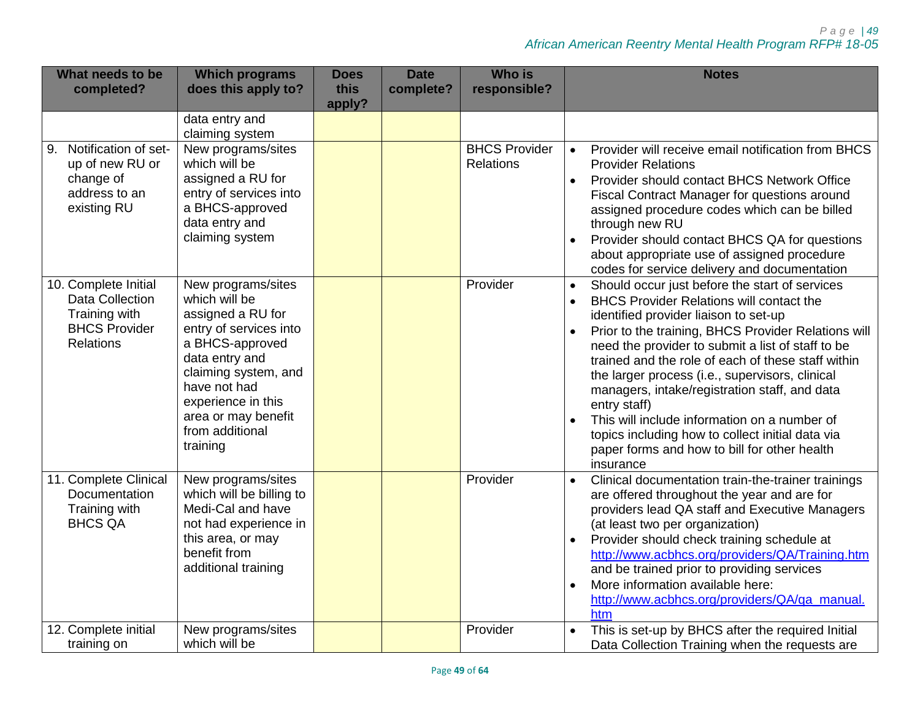| What needs to be<br>completed?                                                                | <b>Which programs</b><br>does this apply to?                                                                                                                                                                                                | <b>Does</b><br>this<br>apply? | <b>Date</b><br>complete? | <b>Who is</b><br>responsible?            | <b>Notes</b>                                                                                                                                                                                                                                                                                                                                                                                                                                                                                                                                                                                                                |
|-----------------------------------------------------------------------------------------------|---------------------------------------------------------------------------------------------------------------------------------------------------------------------------------------------------------------------------------------------|-------------------------------|--------------------------|------------------------------------------|-----------------------------------------------------------------------------------------------------------------------------------------------------------------------------------------------------------------------------------------------------------------------------------------------------------------------------------------------------------------------------------------------------------------------------------------------------------------------------------------------------------------------------------------------------------------------------------------------------------------------------|
|                                                                                               | data entry and<br>claiming system                                                                                                                                                                                                           |                               |                          |                                          |                                                                                                                                                                                                                                                                                                                                                                                                                                                                                                                                                                                                                             |
| 9. Notification of set-<br>up of new RU or<br>change of<br>address to an<br>existing RU       | New programs/sites<br>which will be<br>assigned a RU for<br>entry of services into<br>a BHCS-approved<br>data entry and<br>claiming system                                                                                                  |                               |                          | <b>BHCS Provider</b><br><b>Relations</b> | Provider will receive email notification from BHCS<br>$\bullet$<br><b>Provider Relations</b><br>Provider should contact BHCS Network Office<br>Fiscal Contract Manager for questions around<br>assigned procedure codes which can be billed<br>through new RU<br>Provider should contact BHCS QA for questions<br>$\bullet$<br>about appropriate use of assigned procedure<br>codes for service delivery and documentation                                                                                                                                                                                                  |
| 10. Complete Initial<br>Data Collection<br>Training with<br><b>BHCS Provider</b><br>Relations | New programs/sites<br>which will be<br>assigned a RU for<br>entry of services into<br>a BHCS-approved<br>data entry and<br>claiming system, and<br>have not had<br>experience in this<br>area or may benefit<br>from additional<br>training |                               |                          | Provider                                 | Should occur just before the start of services<br>$\bullet$<br><b>BHCS Provider Relations will contact the</b><br>$\bullet$<br>identified provider liaison to set-up<br>Prior to the training, BHCS Provider Relations will<br>need the provider to submit a list of staff to be<br>trained and the role of each of these staff within<br>the larger process (i.e., supervisors, clinical<br>managers, intake/registration staff, and data<br>entry staff)<br>This will include information on a number of<br>topics including how to collect initial data via<br>paper forms and how to bill for other health<br>insurance |
| 11. Complete Clinical<br>Documentation<br>Training with<br><b>BHCS QA</b>                     | New programs/sites<br>which will be billing to<br>Medi-Cal and have<br>not had experience in<br>this area, or may<br>benefit from<br>additional training                                                                                    |                               |                          | Provider                                 | Clinical documentation train-the-trainer trainings<br>$\bullet$<br>are offered throughout the year and are for<br>providers lead QA staff and Executive Managers<br>(at least two per organization)<br>Provider should check training schedule at<br>http://www.acbhcs.org/providers/QA/Training.htm<br>and be trained prior to providing services<br>More information available here:<br>$\bullet$<br>http://www.acbhcs.org/providers/QA/qa manual.<br>htm                                                                                                                                                                 |
| 12. Complete initial<br>training on                                                           | New programs/sites<br>which will be                                                                                                                                                                                                         |                               |                          | Provider                                 | This is set-up by BHCS after the required Initial<br>Data Collection Training when the requests are                                                                                                                                                                                                                                                                                                                                                                                                                                                                                                                         |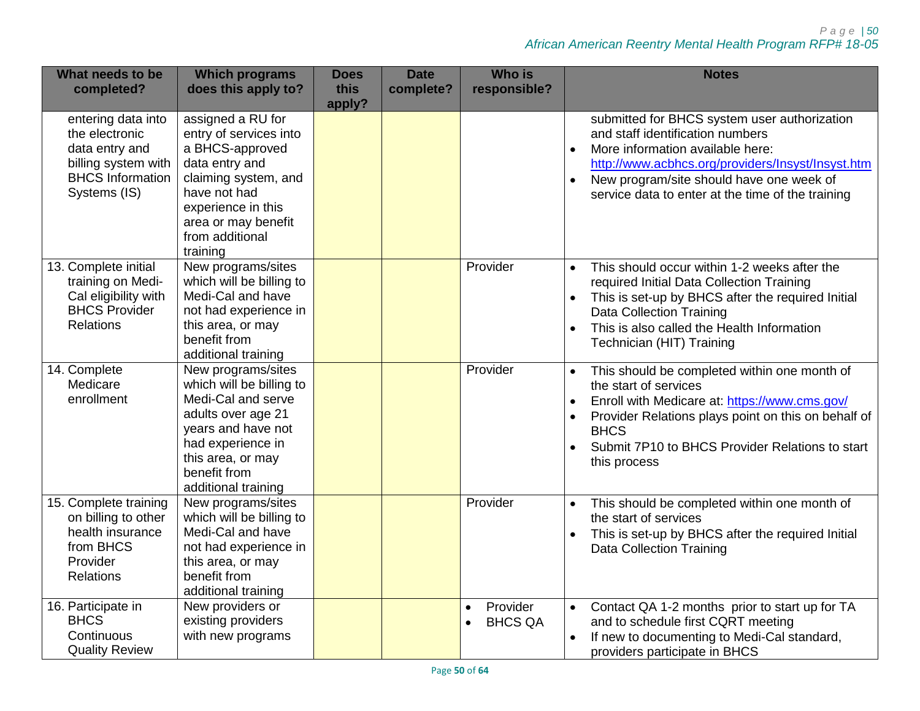*P a g e | 50 African American Reentry Mental Health Program RFP# 18-05*

| What needs to be<br>completed?                                                                                           | <b>Which programs</b><br>does this apply to?                                                                                                                                                         | <b>Does</b><br>this<br>apply? | <b>Date</b><br>complete? | <b>Who is</b><br>responsible?           | <b>Notes</b>                                                                                                                                                                                                                                                                 |
|--------------------------------------------------------------------------------------------------------------------------|------------------------------------------------------------------------------------------------------------------------------------------------------------------------------------------------------|-------------------------------|--------------------------|-----------------------------------------|------------------------------------------------------------------------------------------------------------------------------------------------------------------------------------------------------------------------------------------------------------------------------|
| entering data into<br>the electronic<br>data entry and<br>billing system with<br><b>BHCS Information</b><br>Systems (IS) | assigned a RU for<br>entry of services into<br>a BHCS-approved<br>data entry and<br>claiming system, and<br>have not had<br>experience in this<br>area or may benefit<br>from additional<br>training |                               |                          |                                         | submitted for BHCS system user authorization<br>and staff identification numbers<br>More information available here:<br>http://www.acbhcs.org/providers/Insyst/Insyst.htm<br>New program/site should have one week of<br>service data to enter at the time of the training   |
| 13. Complete initial<br>training on Medi-<br>Cal eligibility with<br><b>BHCS Provider</b><br><b>Relations</b>            | New programs/sites<br>which will be billing to<br>Medi-Cal and have<br>not had experience in<br>this area, or may<br>benefit from<br>additional training                                             |                               |                          | Provider                                | This should occur within 1-2 weeks after the<br>$\bullet$<br>required Initial Data Collection Training<br>This is set-up by BHCS after the required Initial<br><b>Data Collection Training</b><br>This is also called the Health Information<br>Technician (HIT) Training    |
| 14. Complete<br>Medicare<br>enrollment                                                                                   | New programs/sites<br>which will be billing to<br>Medi-Cal and serve<br>adults over age 21<br>years and have not<br>had experience in<br>this area, or may<br>benefit from<br>additional training    |                               |                          | Provider                                | This should be completed within one month of<br>the start of services<br>Enroll with Medicare at: https://www.cms.gov/<br>Provider Relations plays point on this on behalf of<br><b>BHCS</b><br>Submit 7P10 to BHCS Provider Relations to start<br>$\bullet$<br>this process |
| 15. Complete training<br>on billing to other<br>health insurance<br>from BHCS<br>Provider<br><b>Relations</b>            | New programs/sites<br>which will be billing to<br>Medi-Cal and have<br>not had experience in<br>this area, or may<br>benefit from<br>additional training                                             |                               |                          | Provider                                | This should be completed within one month of<br>the start of services<br>This is set-up by BHCS after the required Initial<br>Data Collection Training                                                                                                                       |
| 16. Participate in<br><b>BHCS</b><br>Continuous<br><b>Quality Review</b>                                                 | New providers or<br>existing providers<br>with new programs                                                                                                                                          |                               |                          | Provider<br>$\bullet$<br><b>BHCS QA</b> | Contact QA 1-2 months prior to start up for TA<br>$\bullet$<br>and to schedule first CQRT meeting<br>If new to documenting to Medi-Cal standard,<br>providers participate in BHCS                                                                                            |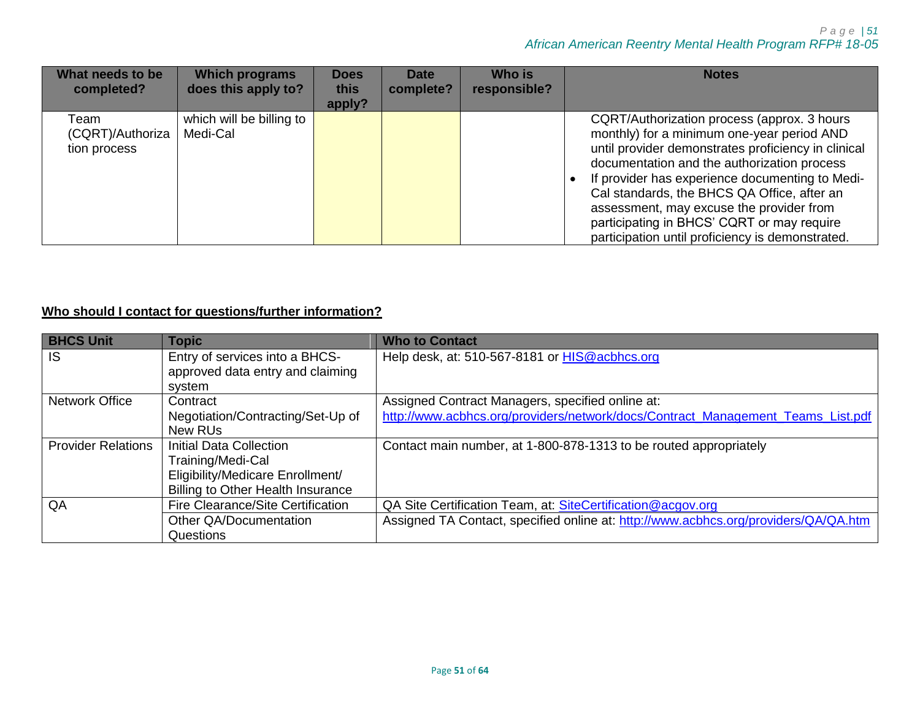| What needs to be<br>completed?           | <b>Which programs</b><br>does this apply to? | <b>Does</b><br>this<br>apply? | Date<br>complete? | Who is<br>responsible? | <b>Notes</b>                                                                                                                                                                                                                                                                                                                                                                                                                                    |
|------------------------------------------|----------------------------------------------|-------------------------------|-------------------|------------------------|-------------------------------------------------------------------------------------------------------------------------------------------------------------------------------------------------------------------------------------------------------------------------------------------------------------------------------------------------------------------------------------------------------------------------------------------------|
| Team<br>(CQRT)/Authoriza<br>tion process | which will be billing to<br>Medi-Cal         |                               |                   |                        | CQRT/Authorization process (approx. 3 hours<br>monthly) for a minimum one-year period AND<br>until provider demonstrates proficiency in clinical<br>documentation and the authorization process<br>If provider has experience documenting to Medi-<br>Cal standards, the BHCS QA Office, after an<br>assessment, may excuse the provider from<br>participating in BHCS' CQRT or may require<br>participation until proficiency is demonstrated. |

# **Who should I contact for questions/further information?**

| <b>BHCS Unit</b>          | <b>Topic</b>                             | <b>Who to Contact</b>                                                               |
|---------------------------|------------------------------------------|-------------------------------------------------------------------------------------|
| <b>IS</b>                 | Entry of services into a BHCS-           | Help desk, at: 510-567-8181 or HIS@acbhcs.org                                       |
|                           | approved data entry and claiming         |                                                                                     |
|                           | system                                   |                                                                                     |
| <b>Network Office</b>     | Contract                                 | Assigned Contract Managers, specified online at:                                    |
|                           | Negotiation/Contracting/Set-Up of        | http://www.acbhcs.org/providers/network/docs/Contract_Management_Teams_List.pdf     |
|                           | New RUs                                  |                                                                                     |
| <b>Provider Relations</b> | <b>Initial Data Collection</b>           | Contact main number, at 1-800-878-1313 to be routed appropriately                   |
|                           | Training/Medi-Cal                        |                                                                                     |
|                           | Eligibility/Medicare Enrollment/         |                                                                                     |
|                           | <b>Billing to Other Health Insurance</b> |                                                                                     |
| QA                        | Fire Clearance/Site Certification        | QA Site Certification Team, at: SiteCertification@acgov.org                         |
|                           | Other QA/Documentation                   | Assigned TA Contact, specified online at: http://www.acbhcs.org/providers/QA/QA.htm |
|                           | Questions                                |                                                                                     |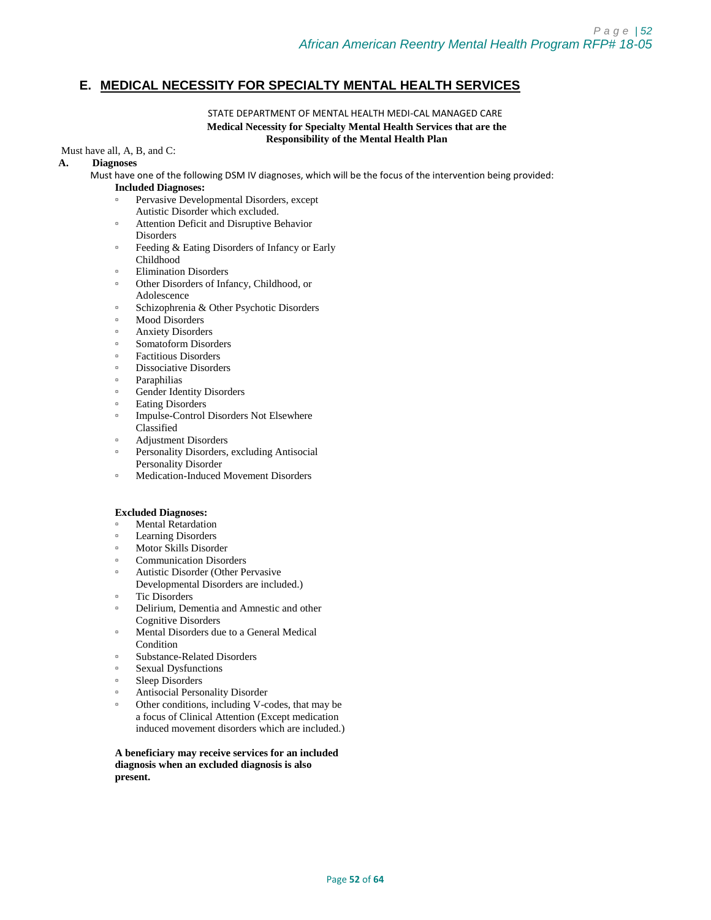## <span id="page-51-0"></span>**E. MEDICAL NECESSITY FOR SPECIALTY MENTAL HEALTH SERVICES**

### STATE DEPARTMENT OF MENTAL HEALTH MEDI-CAL MANAGED CARE **Medical Necessity for Specialty Mental Health Services that are the Responsibility of the Mental Health Plan**

### Must have all, A, B, and C:

### **A. Diagnoses**

Must have one of the following DSM IV diagnoses, which will be the focus of the intervention being provided:

### **Included Diagnoses:**

- Pervasive Developmental Disorders, except Autistic Disorder which excluded.
- Attention Deficit and Disruptive Behavior
- **Disorders**
- Feeding & Eating Disorders of Infancy or Early Childhood
- **Elimination Disorders**
- Other Disorders of Infancy, Childhood, or Adolescence
- Schizophrenia & Other Psychotic Disorders
- Mood Disorders
- Anxiety Disorders
- Somatoform Disorders
- Factitious Disorders
- Dissociative Disorders
- **Paraphilias**
- Gender Identity Disorders
- Eating Disorders
- Impulse-Control Disorders Not Elsewhere Classified
- Adjustment Disorders
- Personality Disorders, excluding Antisocial
- Personality Disorder
- Medication-Induced Movement Disorders

### **Excluded Diagnoses:**

- **Mental Retardation**
- Learning Disorders
- Motor Skills Disorder
- Communication Disorders
- Autistic Disorder (Other Pervasive
- Developmental Disorders are included.)
- Tic Disorders
- Delirium, Dementia and Amnestic and other Cognitive Disorders
- Mental Disorders due to a General Medical Condition
- Substance-Related Disorders
- Sexual Dysfunctions
- Sleep Disorders
- Antisocial Personality Disorder
- Other conditions, including V-codes, that may be a focus of Clinical Attention (Except medication induced movement disorders which are included.)

**A beneficiary may receive services for an included diagnosis when an excluded diagnosis is also present.**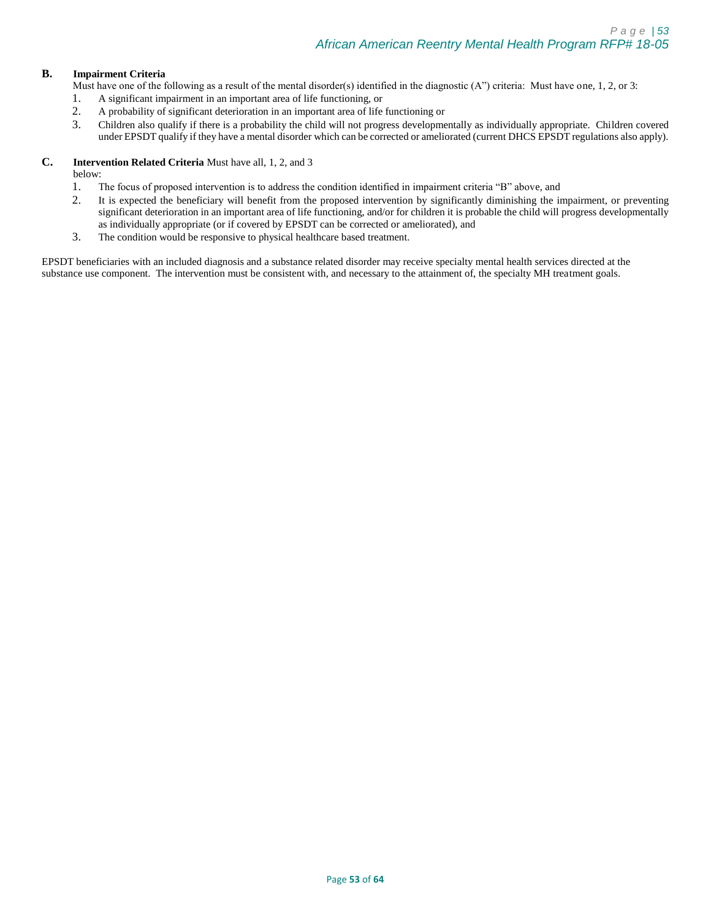### **B. Impairment Criteria**

Must have one of the following as a result of the mental disorder(s) identified in the diagnostic  $(A'')$  criteria: Must have one, 1, 2, or 3:

- 1. A significant impairment in an important area of life functioning, or
- 2. A probability of significant deterioration in an important area of life functioning or
- 3. Children also qualify if there is a probability the child will not progress developmentally as individually appropriate. Children covered under EPSDT qualify if they have a mental disorder which can be corrected or ameliorated (current DHCS EPSDT regulations also apply).

### **C. Intervention Related Criteria** Must have all, 1, 2, and 3

below:

- 1. The focus of proposed intervention is to address the condition identified in impairment criteria "B" above, and
- 2. It is expected the beneficiary will benefit from the proposed intervention by significantly diminishing the impairment, or preventing significant deterioration in an important area of life functioning, and/or for children it is probable the child will progress developmentally as individually appropriate (or if covered by EPSDT can be corrected or ameliorated), and
- 3. The condition would be responsive to physical healthcare based treatment.

EPSDT beneficiaries with an included diagnosis and a substance related disorder may receive specialty mental health services directed at the substance use component. The intervention must be consistent with, and necessary to the attainment of, the specialty MH treatment goals.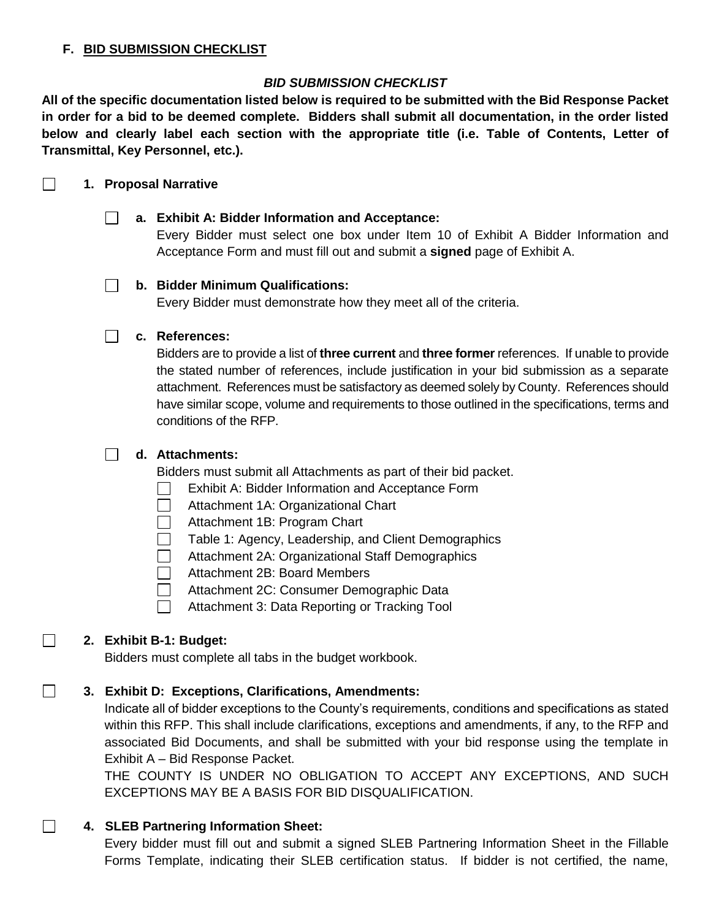## <span id="page-53-0"></span>**F. BID SUBMISSION CHECKLIST**

# *BID SUBMISSION CHECKLIST*

**All of the specific documentation listed below is required to be submitted with the Bid Response Packet in order for a bid to be deemed complete. Bidders shall submit all documentation, in the order listed below and clearly label each section with the appropriate title (i.e. Table of Contents, Letter of Transmittal, Key Personnel, etc.).**

#### $\Box$ **1. Proposal Narrative**

## **a. Exhibit A: Bidder Information and Acceptance:**

Every Bidder must select one box under Item 10 of Exhibit A Bidder Information and Acceptance Form and must fill out and submit a **signed** page of Exhibit A.

## **b. Bidder Minimum Qualifications:**

Every Bidder must demonstrate how they meet all of the criteria.

## **c. References:**

Bidders are to provide a list of **three current** and **three former** references. If unable to provide the stated number of references, include justification in your bid submission as a separate attachment. References must be satisfactory as deemed solely by County. References should have similar scope, volume and requirements to those outlined in the specifications, terms and conditions of the RFP.

## **d. Attachments:**

Bidders must submit all Attachments as part of their bid packet.

- $\Box$ Exhibit A: Bidder Information and Acceptance Form
- Attachment 1A: Organizational Chart  $\Box$
- Attachment 1B: Program Chart  $\mathcal{L}^{\mathcal{A}}$
- $\Box$ Table 1: Agency, Leadership, and Client Demographics
- Attachment 2A: Organizational Staff Demographics
- Attachment 2B: Board Members
- $\Box$ Attachment 2C: Consumer Demographic Data
- $\Box$ Attachment 3: Data Reporting or Tracking Tool

# **2. Exhibit B-1: Budget:**

 $\Box$ 

 $\Box$ 

 $\Box$ 

Bidders must complete all tabs in the budget workbook.

# **3. Exhibit D: Exceptions, Clarifications, Amendments:**

Indicate all of bidder exceptions to the County's requirements, conditions and specifications as stated within this RFP. This shall include clarifications, exceptions and amendments, if any, to the RFP and associated Bid Documents, and shall be submitted with your bid response using the template in Exhibit A – Bid Response Packet.

THE COUNTY IS UNDER NO OBLIGATION TO ACCEPT ANY EXCEPTIONS, AND SUCH EXCEPTIONS MAY BE A BASIS FOR BID DISQUALIFICATION.

# **4. SLEB Partnering Information Sheet:**

Every bidder must fill out and submit a signed SLEB Partnering Information Sheet in the Fillable Forms Template, indicating their SLEB certification status. If bidder is not certified, the name,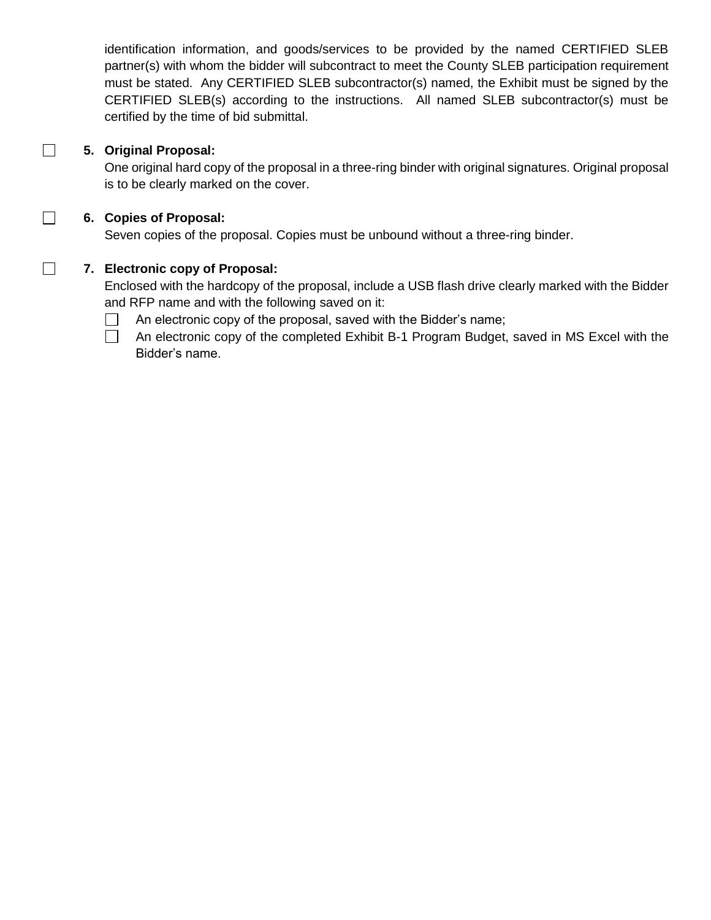identification information, and goods/services to be provided by the named CERTIFIED SLEB partner(s) with whom the bidder will subcontract to meet the County SLEB participation requirement must be stated. Any CERTIFIED SLEB subcontractor(s) named, the Exhibit must be signed by the CERTIFIED SLEB(s) according to the instructions. All named SLEB subcontractor(s) must be certified by the time of bid submittal.

# **5. Original Proposal:**

 $\Box$ 

 $\Box$ 

 $\Box$ 

One original hard copy of the proposal in a three-ring binder with original signatures. Original proposal is to be clearly marked on the cover.

# **6. Copies of Proposal:**

Seven copies of the proposal. Copies must be unbound without a three-ring binder.

# **7. Electronic copy of Proposal:**

Enclosed with the hardcopy of the proposal, include a USB flash drive clearly marked with the Bidder and RFP name and with the following saved on it:

- An electronic copy of the proposal, saved with the Bidder's name;  $\Box$
- $\Box$ An electronic copy of the completed Exhibit B-1 Program Budget, saved in MS Excel with the Bidder's name.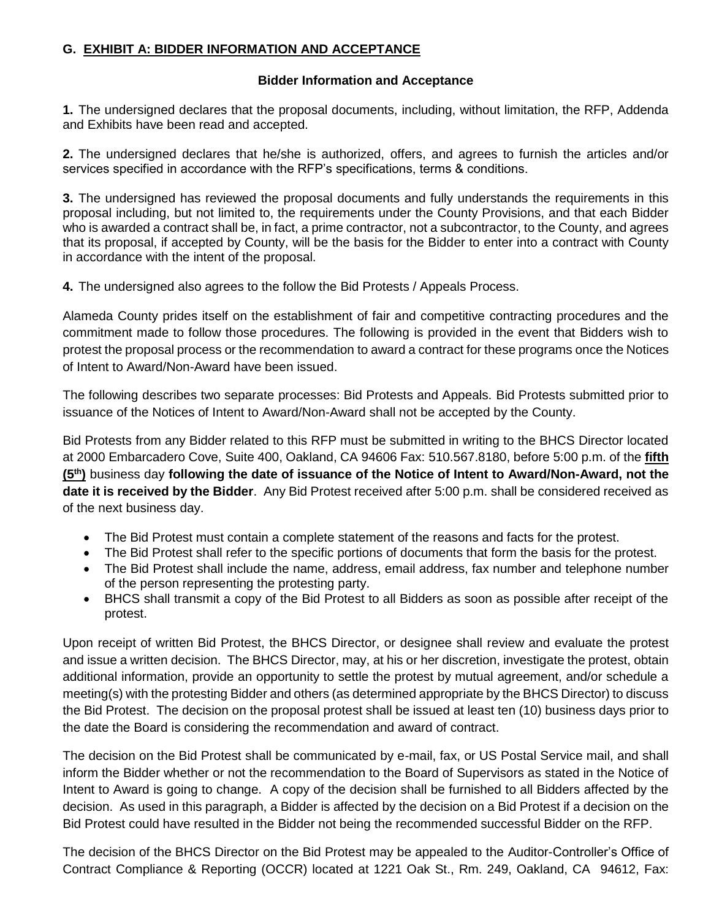## <span id="page-55-0"></span>**G. EXHIBIT A: BIDDER INFORMATION AND ACCEPTANCE**

## **Bidder Information and Acceptance**

**1.** The undersigned declares that the proposal documents, including, without limitation, the RFP, Addenda and Exhibits have been read and accepted.

**2.** The undersigned declares that he/she is authorized, offers, and agrees to furnish the articles and/or services specified in accordance with the RFP's specifications, terms & conditions.

**3.** The undersigned has reviewed the proposal documents and fully understands the requirements in this proposal including, but not limited to, the requirements under the County Provisions, and that each Bidder who is awarded a contract shall be, in fact, a prime contractor, not a subcontractor, to the County, and agrees that its proposal, if accepted by County, will be the basis for the Bidder to enter into a contract with County in accordance with the intent of the proposal.

**4.** The undersigned also agrees to the follow the [Bid Protests / Appeals Process.](http://www.acgov.org/gsa/departments/purchasing/policy/bidappeal.htm)

Alameda County prides itself on the establishment of fair and competitive contracting procedures and the commitment made to follow those procedures. The following is provided in the event that Bidders wish to protest the proposal process or the recommendation to award a contract for these programs once the Notices of Intent to Award/Non-Award have been issued.

The following describes two separate processes: Bid Protests and Appeals. Bid Protests submitted prior to issuance of the Notices of Intent to Award/Non-Award shall not be accepted by the County.

Bid Protests from any Bidder related to this RFP must be submitted in writing to the BHCS Director located at 2000 Embarcadero Cove, Suite 400, Oakland, CA 94606 Fax: 510.567.8180, before 5:00 p.m. of the **fifth (5th)** business day **following the date of issuance of the Notice of Intent to Award/Non-Award, not the date it is received by the Bidder**. Any Bid Protest received after 5:00 p.m. shall be considered received as of the next business day.

- The Bid Protest must contain a complete statement of the reasons and facts for the protest.
- The Bid Protest shall refer to the specific portions of documents that form the basis for the protest.
- The Bid Protest shall include the name, address, email address, fax number and telephone number of the person representing the protesting party.
- BHCS shall transmit a copy of the Bid Protest to all Bidders as soon as possible after receipt of the protest.

Upon receipt of written Bid Protest, the BHCS Director, or designee shall review and evaluate the protest and issue a written decision. The BHCS Director, may, at his or her discretion, investigate the protest, obtain additional information, provide an opportunity to settle the protest by mutual agreement, and/or schedule a meeting(s) with the protesting Bidder and others (as determined appropriate by the BHCS Director) to discuss the Bid Protest. The decision on the proposal protest shall be issued at least ten (10) business days prior to the date the Board is considering the recommendation and award of contract.

The decision on the Bid Protest shall be communicated by e-mail, fax, or US Postal Service mail, and shall inform the Bidder whether or not the recommendation to the Board of Supervisors as stated in the Notice of Intent to Award is going to change. A copy of the decision shall be furnished to all Bidders affected by the decision. As used in this paragraph, a Bidder is affected by the decision on a Bid Protest if a decision on the Bid Protest could have resulted in the Bidder not being the recommended successful Bidder on the RFP.

The decision of the BHCS Director on the Bid Protest may be appealed to the Auditor-Controller's Office of Contract Compliance & Reporting (OCCR) located at 1221 Oak St., Rm. 249, Oakland, CA 94612, Fax: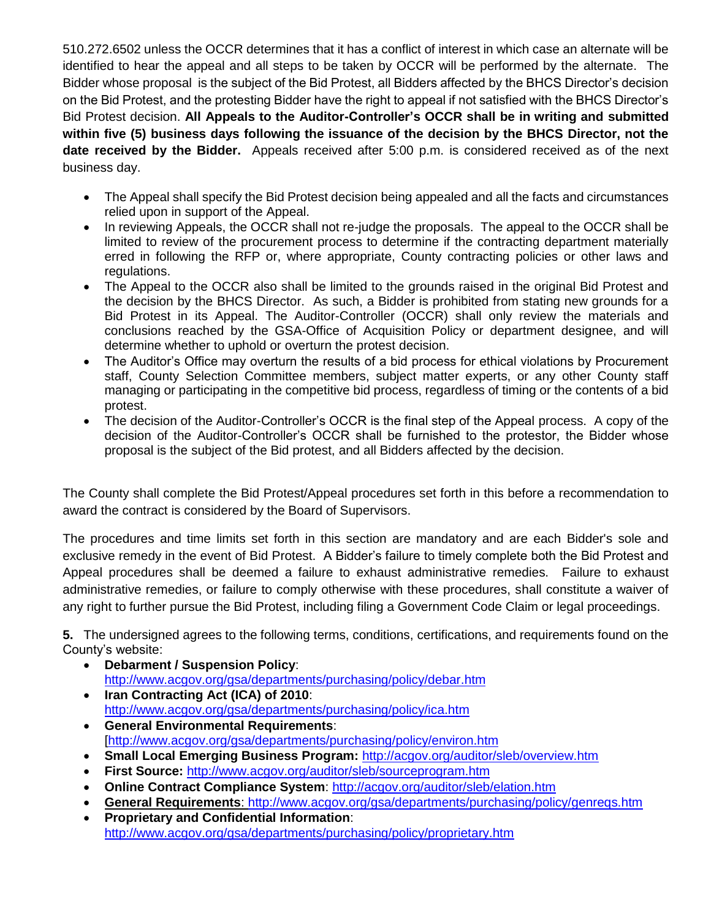510.272.6502 unless the OCCR determines that it has a conflict of interest in which case an alternate will be identified to hear the appeal and all steps to be taken by OCCR will be performed by the alternate. The Bidder whose proposal is the subject of the Bid Protest, all Bidders affected by the BHCS Director's decision on the Bid Protest, and the protesting Bidder have the right to appeal if not satisfied with the BHCS Director's Bid Protest decision. **All Appeals to the Auditor-Controller's OCCR shall be in writing and submitted within five (5) business days following the issuance of the decision by the BHCS Director, not the date received by the Bidder.** Appeals received after 5:00 p.m. is considered received as of the next business day.

- The Appeal shall specify the Bid Protest decision being appealed and all the facts and circumstances relied upon in support of the Appeal.
- In reviewing Appeals, the OCCR shall not re-judge the proposals. The appeal to the OCCR shall be limited to review of the procurement process to determine if the contracting department materially erred in following the RFP or, where appropriate, County contracting policies or other laws and regulations.
- The Appeal to the OCCR also shall be limited to the grounds raised in the original Bid Protest and the decision by the BHCS Director. As such, a Bidder is prohibited from stating new grounds for a Bid Protest in its Appeal. The Auditor-Controller (OCCR) shall only review the materials and conclusions reached by the GSA-Office of Acquisition Policy or department designee, and will determine whether to uphold or overturn the protest decision.
- The Auditor's Office may overturn the results of a bid process for ethical violations by Procurement staff, County Selection Committee members, subject matter experts, or any other County staff managing or participating in the competitive bid process, regardless of timing or the contents of a bid protest.
- The decision of the Auditor-Controller's OCCR is the final step of the Appeal process. A copy of the decision of the Auditor-Controller's OCCR shall be furnished to the protestor, the Bidder whose proposal is the subject of the Bid protest, and all Bidders affected by the decision.

The County shall complete the Bid Protest/Appeal procedures set forth in this before a recommendation to award the contract is considered by the Board of Supervisors.

The procedures and time limits set forth in this section are mandatory and are each Bidder's sole and exclusive remedy in the event of Bid Protest. A Bidder's failure to timely complete both the Bid Protest and Appeal procedures shall be deemed a failure to exhaust administrative remedies. Failure to exhaust administrative remedies, or failure to comply otherwise with these procedures, shall constitute a waiver of any right to further pursue the Bid Protest, including filing a Government Code Claim or legal proceedings.

**5.** The undersigned agrees to the following terms, conditions, certifications, and requirements found on the County's website:

- **[Debarment / Suspension Policy](http://www.acgov.org/gsa/departments/purchasing/policy/debar.htm)**: <http://www.acgov.org/gsa/departments/purchasing/policy/debar.htm>
- **[Iran Contracting Act \(ICA\) of 2010](http://www.acgov.org/gsa/departments/purchasing/policy/ica.htm)**: <http://www.acgov.org/gsa/departments/purchasing/policy/ica.htm>
- **[General Environmental Requirements](http://www.acgov.org/gsa/departments/purchasing/policy/environ.htm)**: [\[http://www.acgov.org/gsa/departments/purchasing/policy/environ.htm](http://www.acgov.org/gsa/departments/purchasing/policy/environ.htm)
- **Small Local Emerging Business Program:** <http://acgov.org/auditor/sleb/overview.htm>
- **[First Source:](http://www.acgov.org/gsa/departments/purchasing/policy/first.htm)** <http://www.acgov.org/auditor/sleb/sourceprogram.htm>
- **[Online Contract Compliance System](http://www.acgov.org/gsa/departments/purchasing/policy/compliance.htm)**:<http://acgov.org/auditor/sleb/elation.htm>
- **[General Requirements](http://www.acgov.org/gsa/departments/purchasing/policy/genreqs.htm)**:<http://www.acgov.org/gsa/departments/purchasing/policy/genreqs.htm>
- **[Proprietary and Confidential Information](http://www.acgov.org/gsa/departments/purchasing/policy/proprietary.htm)**: <http://www.acgov.org/gsa/departments/purchasing/policy/proprietary.htm>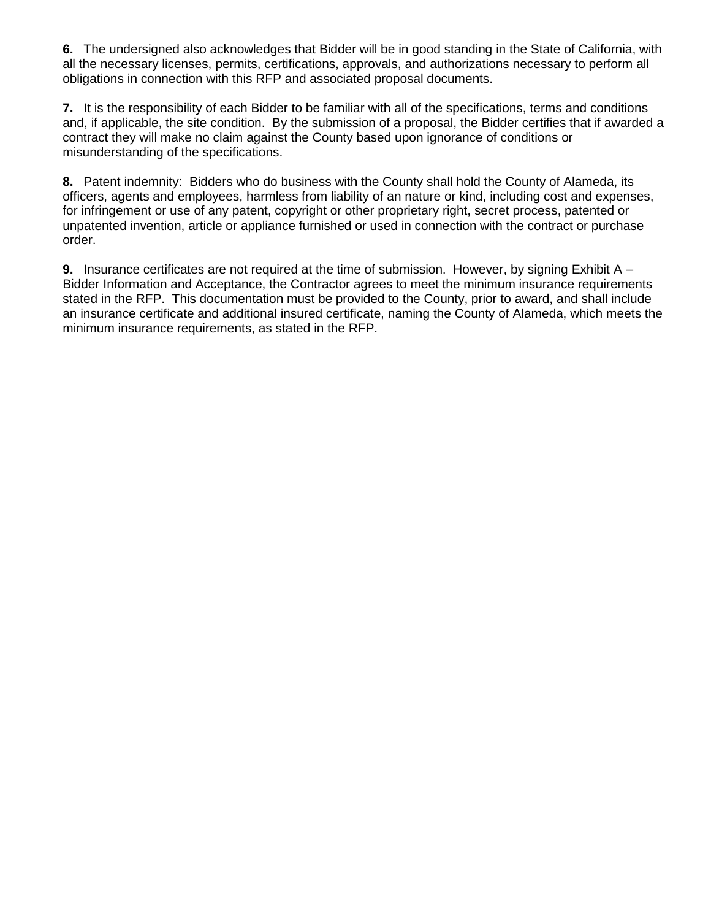**6.** The undersigned also acknowledges that Bidder will be in good standing in the State of California, with all the necessary licenses, permits, certifications, approvals, and authorizations necessary to perform all obligations in connection with this RFP and associated proposal documents.

**7.** It is the responsibility of each Bidder to be familiar with all of the specifications, terms and conditions and, if applicable, the site condition. By the submission of a proposal, the Bidder certifies that if awarded a contract they will make no claim against the County based upon ignorance of conditions or misunderstanding of the specifications.

**8.** Patent indemnity: Bidders who do business with the County shall hold the County of Alameda, its officers, agents and employees, harmless from liability of an nature or kind, including cost and expenses, for infringement or use of any patent, copyright or other proprietary right, secret process, patented or unpatented invention, article or appliance furnished or used in connection with the contract or purchase order.

**9.** Insurance certificates are not required at the time of submission. However, by signing Exhibit A – Bidder Information and Acceptance, the Contractor agrees to meet the minimum insurance requirements stated in the RFP. This documentation must be provided to the County, prior to award, and shall include an insurance certificate and additional insured certificate, naming the County of Alameda, which meets the minimum insurance requirements, as stated in the RFP.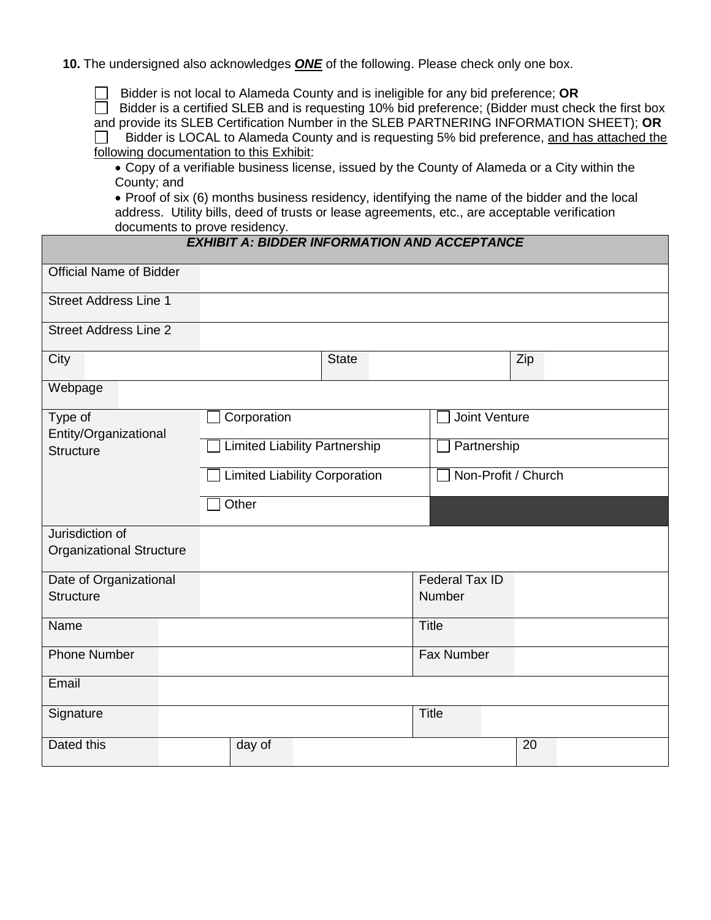**10.** The undersigned also acknowledges *ONE* of the following. Please check only one box.

Bidder is not local to Alameda County and is ineligible for any bid preference; **OR**

 $\Box$  Bidder is a certified SLEB and is requesting 10% bid preference; (Bidder must check the first box and provide its SLEB Certification Number in the SLEB PARTNERING INFORMATION SHEET); **OR**

Bidder is LOCAL to Alameda County and is requesting 5% bid preference, and has attached the  $\Box$ following documentation to this Exhibit:

 Copy of a verifiable business license, issued by the County of Alameda or a City within the County; and

 Proof of six (6) months business residency, identifying the name of the bidder and the local address. Utility bills, deed of trusts or lease agreements, etc., are acceptable verification documents to prove residency.

## *EXHIBIT A: BIDDER INFORMATION AND ACCEPTANCE*

| <b>Official Name of Bidder</b>                     |                                      |              |                       |     |  |
|----------------------------------------------------|--------------------------------------|--------------|-----------------------|-----|--|
| <b>Street Address Line 1</b>                       |                                      |              |                       |     |  |
| <b>Street Address Line 2</b>                       |                                      |              |                       |     |  |
| City                                               |                                      | <b>State</b> |                       | Zip |  |
| Webpage                                            |                                      |              |                       |     |  |
| Type of                                            | Corporation                          |              | <b>Joint Venture</b>  |     |  |
| Entity/Organizational<br><b>Structure</b>          | <b>Limited Liability Partnership</b> |              | Partnership           |     |  |
|                                                    | <b>Limited Liability Corporation</b> |              | Non-Profit / Church   |     |  |
|                                                    | Other                                |              |                       |     |  |
| Jurisdiction of<br><b>Organizational Structure</b> |                                      |              |                       |     |  |
| Date of Organizational                             |                                      |              | <b>Federal Tax ID</b> |     |  |
| <b>Structure</b>                                   |                                      |              | Number                |     |  |
| Name                                               |                                      |              | <b>Title</b>          |     |  |
| <b>Phone Number</b>                                |                                      |              | <b>Fax Number</b>     |     |  |
| Email                                              |                                      |              |                       |     |  |
| Signature                                          |                                      |              | <b>Title</b>          |     |  |
| Dated this                                         | day of                               |              |                       | 20  |  |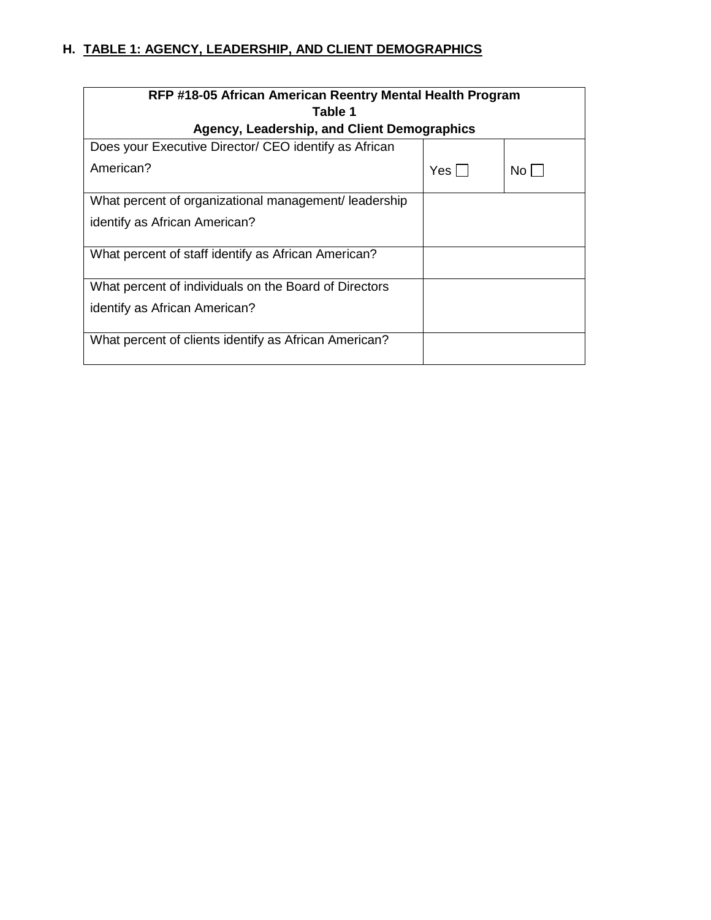# <span id="page-59-0"></span>**H. TABLE 1: AGENCY, LEADERSHIP, AND CLIENT DEMOGRAPHICS**

| RFP #18-05 African American Reentry Mental Health Program |      |      |  |  |  |
|-----------------------------------------------------------|------|------|--|--|--|
| Table 1                                                   |      |      |  |  |  |
| Agency, Leadership, and Client Demographics               |      |      |  |  |  |
| Does your Executive Director/ CEO identify as African     |      |      |  |  |  |
| American?                                                 | Yes. | No l |  |  |  |
| What percent of organizational management/leadership      |      |      |  |  |  |
| identify as African American?                             |      |      |  |  |  |
| What percent of staff identify as African American?       |      |      |  |  |  |
| What percent of individuals on the Board of Directors     |      |      |  |  |  |
| identify as African American?                             |      |      |  |  |  |
| What percent of clients identify as African American?     |      |      |  |  |  |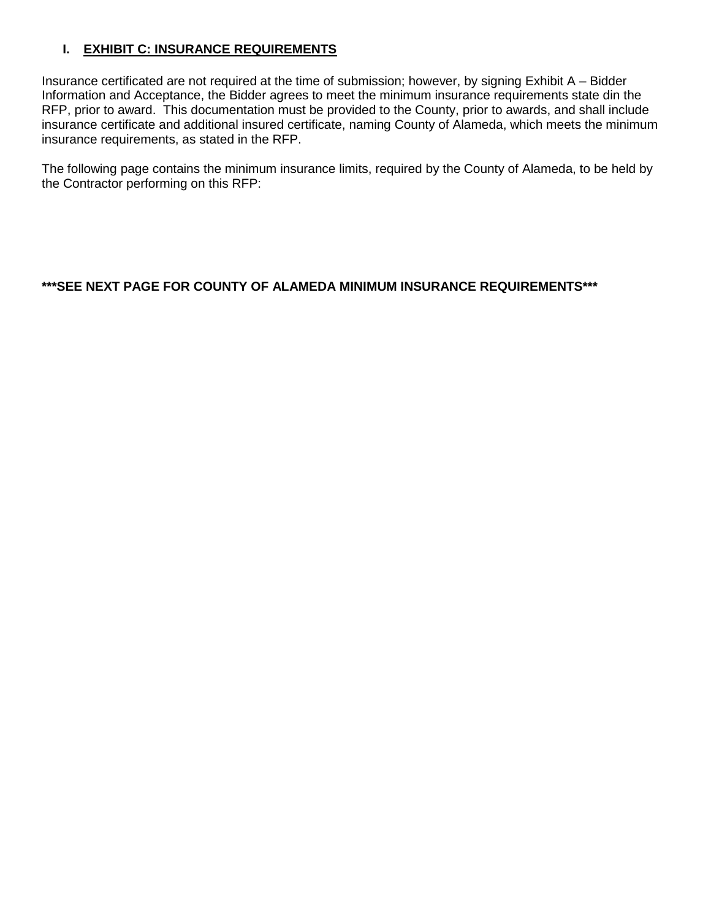# <span id="page-60-0"></span>**I. EXHIBIT C: INSURANCE REQUIREMENTS**

Insurance certificated are not required at the time of submission; however, by signing Exhibit A – Bidder Information and Acceptance, the Bidder agrees to meet the minimum insurance requirements state din the RFP, prior to award. This documentation must be provided to the County, prior to awards, and shall include insurance certificate and additional insured certificate, naming County of Alameda, which meets the minimum insurance requirements, as stated in the RFP.

The following page contains the minimum insurance limits, required by the County of Alameda, to be held by the Contractor performing on this RFP:

## **\*\*\*SEE NEXT PAGE FOR COUNTY OF ALAMEDA MINIMUM INSURANCE REQUIREMENTS\*\*\***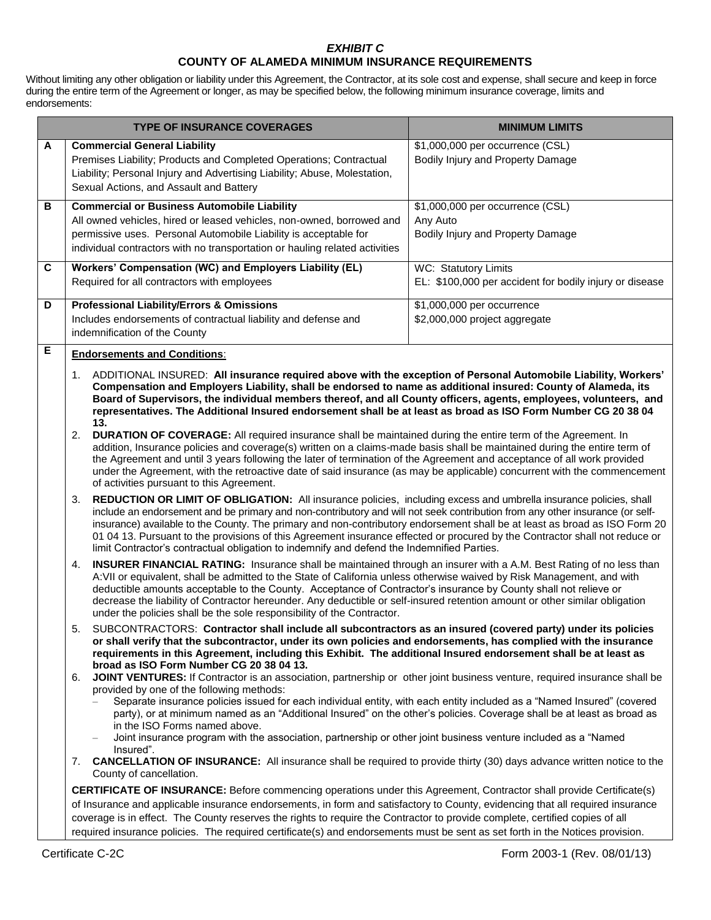## *EXHIBIT C* **COUNTY OF ALAMEDA MINIMUM INSURANCE REQUIREMENTS**

Without limiting any other obligation or liability under this Agreement, the Contractor, at its sole cost and expense, shall secure and keep in force during the entire term of the Agreement or longer, as may be specified below, the following minimum insurance coverage, limits and endorsements:

|                | <b>TYPE OF INSURANCE COVERAGES</b>                                                                                                                                                                                                                                                                                                                                                                                                                                                                                                                                                                                 | <b>MINIMUM LIMITS</b>                                                           |  |  |  |  |  |  |
|----------------|--------------------------------------------------------------------------------------------------------------------------------------------------------------------------------------------------------------------------------------------------------------------------------------------------------------------------------------------------------------------------------------------------------------------------------------------------------------------------------------------------------------------------------------------------------------------------------------------------------------------|---------------------------------------------------------------------------------|--|--|--|--|--|--|
| Α              | <b>Commercial General Liability</b><br>Premises Liability; Products and Completed Operations; Contractual<br>Liability; Personal Injury and Advertising Liability; Abuse, Molestation,<br>Sexual Actions, and Assault and Battery                                                                                                                                                                                                                                                                                                                                                                                  | \$1,000,000 per occurrence (CSL)<br>Bodily Injury and Property Damage           |  |  |  |  |  |  |
| В              | <b>Commercial or Business Automobile Liability</b><br>\$1,000,000 per occurrence (CSL)<br>All owned vehicles, hired or leased vehicles, non-owned, borrowed and<br>Any Auto<br>permissive uses. Personal Automobile Liability is acceptable for<br>Bodily Injury and Property Damage<br>individual contractors with no transportation or hauling related activities                                                                                                                                                                                                                                                |                                                                                 |  |  |  |  |  |  |
| $\overline{c}$ | Workers' Compensation (WC) and Employers Liability (EL)<br>Required for all contractors with employees                                                                                                                                                                                                                                                                                                                                                                                                                                                                                                             | WC: Statutory Limits<br>EL: \$100,000 per accident for bodily injury or disease |  |  |  |  |  |  |
| D              | <b>Professional Liability/Errors &amp; Omissions</b><br>Includes endorsements of contractual liability and defense and<br>indemnification of the County                                                                                                                                                                                                                                                                                                                                                                                                                                                            | \$1,000,000 per occurrence<br>\$2,000,000 project aggregate                     |  |  |  |  |  |  |
| E              | <b>Endorsements and Conditions:</b><br>ADDITIONAL INSURED: All insurance required above with the exception of Personal Automobile Liability, Workers'<br>1.<br>Compensation and Employers Liability, shall be endorsed to name as additional insured: County of Alameda, its<br>Board of Supervisors, the individual members thereof, and all County officers, agents, employees, volunteers, and<br>representatives. The Additional Insured endorsement shall be at least as broad as ISO Form Number CG 20 38 04                                                                                                 |                                                                                 |  |  |  |  |  |  |
|                | 13.<br>DURATION OF COVERAGE: All required insurance shall be maintained during the entire term of the Agreement. In<br>2.<br>addition, Insurance policies and coverage(s) written on a claims-made basis shall be maintained during the entire term of<br>the Agreement and until 3 years following the later of termination of the Agreement and acceptance of all work provided<br>under the Agreement, with the retroactive date of said insurance (as may be applicable) concurrent with the commencement<br>of activities pursuant to this Agreement.                                                         |                                                                                 |  |  |  |  |  |  |
|                | REDUCTION OR LIMIT OF OBLIGATION: All insurance policies, including excess and umbrella insurance policies, shall<br>3.<br>include an endorsement and be primary and non-contributory and will not seek contribution from any other insurance (or self-<br>insurance) available to the County. The primary and non-contributory endorsement shall be at least as broad as ISO Form 20<br>01 04 13. Pursuant to the provisions of this Agreement insurance effected or procured by the Contractor shall not reduce or<br>limit Contractor's contractual obligation to indemnify and defend the Indemnified Parties. |                                                                                 |  |  |  |  |  |  |
|                | INSURER FINANCIAL RATING: Insurance shall be maintained through an insurer with a A.M. Best Rating of no less than<br>4.<br>A: VII or equivalent, shall be admitted to the State of California unless otherwise waived by Risk Management, and with<br>deductible amounts acceptable to the County. Acceptance of Contractor's insurance by County shall not relieve or<br>decrease the liability of Contractor hereunder. Any deductible or self-insured retention amount or other similar obligation<br>under the policies shall be the sole responsibility of the Contractor.                                   |                                                                                 |  |  |  |  |  |  |
|                | SUBCONTRACTORS: Contractor shall include all subcontractors as an insured (covered party) under its policies<br>5.<br>or shall verify that the subcontractor, under its own policies and endorsements, has complied with the insurance<br>requirements in this Agreement, including this Exhibit. The additional Insured endorsement shall be at least as<br>broad as ISO Form Number CG 20 38 04 13.                                                                                                                                                                                                              |                                                                                 |  |  |  |  |  |  |
|                | JOINT VENTURES: If Contractor is an association, partnership or other joint business venture, required insurance shall be<br>6.<br>provided by one of the following methods:<br>Separate insurance policies issued for each individual entity, with each entity included as a "Named Insured" (covered<br>party), or at minimum named as an "Additional Insured" on the other's policies. Coverage shall be at least as broad as<br>in the ISO Forms named above.<br>Joint insurance program with the association, partnership or other joint business venture included as a "Named<br>$\overline{\phantom{0}}$    |                                                                                 |  |  |  |  |  |  |
|                | Insured".<br><b>CANCELLATION OF INSURANCE:</b> All insurance shall be required to provide thirty (30) days advance written notice to the<br>7.<br>County of cancellation.                                                                                                                                                                                                                                                                                                                                                                                                                                          |                                                                                 |  |  |  |  |  |  |
|                | <b>CERTIFICATE OF INSURANCE:</b> Before commencing operations under this Agreement, Contractor shall provide Certificate(s)<br>of Insurance and applicable insurance endorsements, in form and satisfactory to County, evidencing that all required insurance<br>coverage is in effect. The County reserves the rights to require the Contractor to provide complete, certified copies of all<br>required insurance policies. The required certificate(s) and endorsements must be sent as set forth in the Notices provision.                                                                                     |                                                                                 |  |  |  |  |  |  |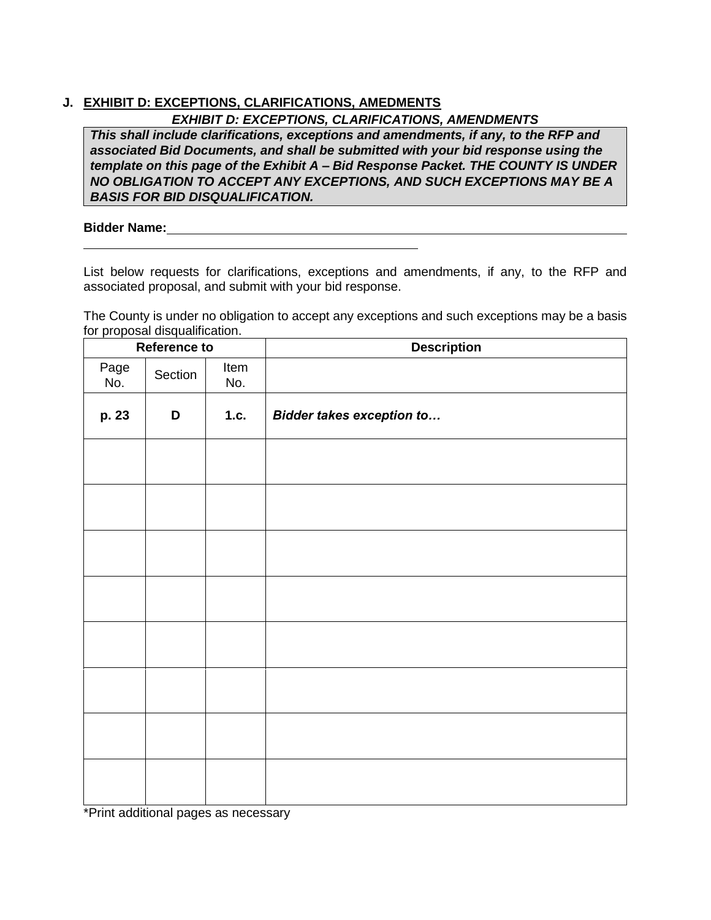# <span id="page-62-0"></span>**J. EXHIBIT D: EXCEPTIONS, CLARIFICATIONS, AMEDMENTS**

*EXHIBIT D: EXCEPTIONS, CLARIFICATIONS, AMENDMENTS*

*This shall include clarifications, exceptions and amendments, if any, to the RFP and associated Bid Documents, and shall be submitted with your bid response using the template on this page of the Exhibit A – Bid Response Packet. THE COUNTY IS UNDER NO OBLIGATION TO ACCEPT ANY EXCEPTIONS, AND SUCH EXCEPTIONS MAY BE A BASIS FOR BID DISQUALIFICATION.*

## **Bidder Name:**

List below requests for clarifications, exceptions and amendments, if any, to the RFP and associated proposal, and submit with your bid response.

The County is under no obligation to accept any exceptions and such exceptions may be a basis for proposal disqualification.

| Reference to |         |             | <b>Description</b>               |  |
|--------------|---------|-------------|----------------------------------|--|
| Page<br>No.  | Section | Item<br>No. |                                  |  |
| p. 23        | D       | 1.c.        | <b>Bidder takes exception to</b> |  |
|              |         |             |                                  |  |
|              |         |             |                                  |  |
|              |         |             |                                  |  |
|              |         |             |                                  |  |
|              |         |             |                                  |  |
|              |         |             |                                  |  |
|              |         |             |                                  |  |
|              |         |             |                                  |  |

\*Print additional pages as necessary